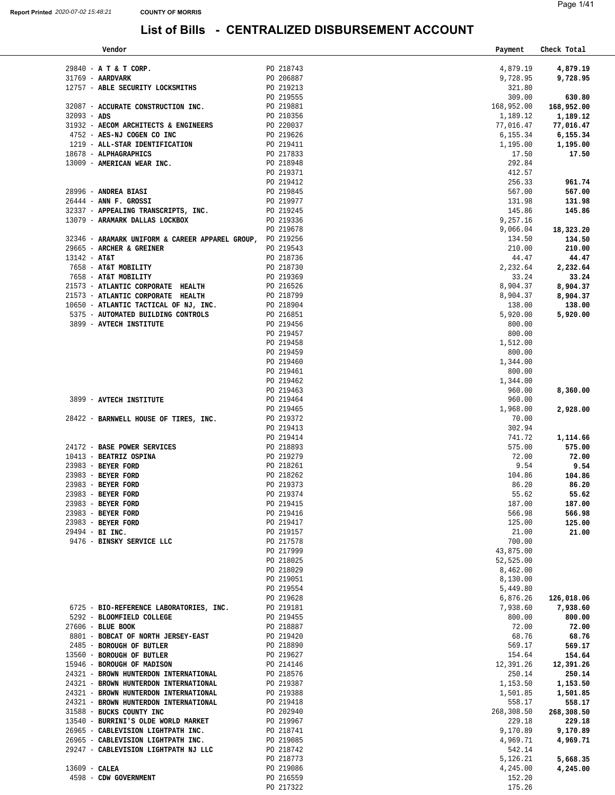| Vendor                                                                                                                                                                              |                        | Payment    | Check Total |
|-------------------------------------------------------------------------------------------------------------------------------------------------------------------------------------|------------------------|------------|-------------|
|                                                                                                                                                                                     |                        |            |             |
| 29840 - A T & T CORP.                                                                                                                                                               | PO 218743              | 4,879.19   | 4,879.19    |
| 31769 - AARDVARK                                                                                                                                                                    | PO 206887              | 9,728.95   | 9,728.95    |
| 12757 - ABLE SECURITY LOCKSMITHS                                                                                                                                                    | PO 219213              | 321.80     |             |
|                                                                                                                                                                                     | PO 219555              | 309.00     | 630.80      |
| 32087 - ACCURATE CONSTRUCTION INC.                                                                                                                                                  | PO 219881              | 168,952.00 | 168,952.00  |
| $32093 - ADS$                                                                                                                                                                       | PO 210356              | 1,189.12   | 1,189.12    |
|                                                                                                                                                                                     |                        |            |             |
| $31932$ - AECOM ARCHITECTS & ENGINEERS<br>$4752$ - $2752$ - $1752$ COCEN CO INC                                                                                                     | PO 220037              | 77,016.47  | 77,016.47   |
| 4752 - AES-NJ COGEN CO INC                                                                                                                                                          | PO 219626              | 6,155.34   | 6,155.34    |
| 1219 - ALL-STAR IDENTIFICATION                                                                                                                                                      | PO 219411<br>PO 217833 | 1,195.00   | 1,195.00    |
| 18678 - ALPHAGRAPHICS                                                                                                                                                               |                        | 17.50      | 17.50       |
|                                                                                                                                                                                     | PO 218948              | 292.84     |             |
| 13009 - AMERICAN WEAR INC.                                                                                                                                                          | PO 219371              | 412.57     |             |
|                                                                                                                                                                                     | PO 219412              | 256.33     | 961.74      |
| 28996 - ANDREA BIASI                                                                                                                                                                | PO 219845              | 567.00     | 567.00      |
|                                                                                                                                                                                     | PO 219977              |            |             |
| 26444 - ANN F. GROSSI                                                                                                                                                               |                        | 131.98     | 131.98      |
| 32337 - APPEALING TRANSCRIPTS, INC.                                                                                                                                                 | PO 219245              | 145.86     | 145.86      |
| 13079 - ARAMARK DALLAS LOCKBOX                                                                                                                                                      | PO 219336              | 9,257.16   |             |
|                                                                                                                                                                                     | PO 219678              | 9,066.04   | 18,323.20   |
| 32346 - ARAMARK UNIFORM & CAREER APPAREL GROUP, PO 219256                                                                                                                           |                        | 134.50     | 134.50      |
| 29665 - ARCHER & GREINER                                                                                                                                                            | PO 219543              | 210.00     | 210.00      |
| 13142 - AT&T                                                                                                                                                                        | PO 218736              | 44.47      | 44.47       |
| 7658 - AT&T MOBILITY                                                                                                                                                                | PO 218730              | 2,232.64   | 2,232.64    |
| 7658 - AT&T MOBILITY                                                                                                                                                                | PO 219369              | 33.24      | 33.24       |
|                                                                                                                                                                                     | PO 216526              |            |             |
| 21573 - ATLANTIC CORPORATE HEALTH                                                                                                                                                   |                        | 8,904.37   | 8,904.37    |
| 21573 - ATLANTIC CORPORATE HEALTH<br>21573 - ATLANTIC CORPORATE HEALTH PO 218799<br>10650 - ATLANTIC TACTICAL OF NJ, INC. PO 218904<br>5375 - AUTOMATED BUILDING CONTROLS PO 216851 | PO 218799              | 8,904.37   | 8,904.37    |
|                                                                                                                                                                                     |                        | 138.00     | 138.00      |
|                                                                                                                                                                                     |                        | 5,920.00   | 5,920.00    |
| 3899 - AVTECH INSTITUTE                                                                                                                                                             | PO 219456              | 800.00     |             |
|                                                                                                                                                                                     | PO 219457              | 800.00     |             |
|                                                                                                                                                                                     | PO 219458              | 1,512.00   |             |
|                                                                                                                                                                                     | PO 219459              | 800.00     |             |
|                                                                                                                                                                                     | PO 219460              | 1,344.00   |             |
|                                                                                                                                                                                     | PO 219461              | 800.00     |             |
|                                                                                                                                                                                     | PO 219462              |            |             |
|                                                                                                                                                                                     |                        | 1,344.00   |             |
|                                                                                                                                                                                     | PO 219463              | 960.00     | 8,360.00    |
| 3899 - AVTECH INSTITUTE                                                                                                                                                             | PO 219464              | 960.00     |             |
|                                                                                                                                                                                     | PO 219465              | 1,968.00   | 2,928.00    |
| 28422 - BARNWELL HOUSE OF TIRES, INC.                                                                                                                                               | PO 219372              | 70.00      |             |
|                                                                                                                                                                                     | PO 219413              | 302.94     |             |
|                                                                                                                                                                                     | PO 219414              | 741.72     | 1,114.66    |
| 24172 - BASE POWER SERVICES                                                                                                                                                         | PO 218893              | 575.00     | 575.00      |
| 10413 - BEATRIZ OSPINA                                                                                                                                                              | PO 219279              | 72.00      | 72.00       |
| PO 218261<br>23983 - BEYER FORD                                                                                                                                                     |                        | 9.54       | 9.54        |
|                                                                                                                                                                                     | PO 218262              |            |             |
| 23983 - BEYER FORD                                                                                                                                                                  |                        | 104.86     | 104.86      |
| 23983 - BEYER FORD                                                                                                                                                                  | PO 219373              | 86.20      | 86.20       |
| 23983 - BEYER FORD                                                                                                                                                                  | PO 219374              | 55.62      | 55.62       |
| 23983 - BEYER FORD                                                                                                                                                                  | PO 219415              | 187.00     | 187.00      |
| 23983 - BEYER FORD                                                                                                                                                                  | PO 219416              | 566.98     | 566.98      |
| 23983 - BEYER FORD                                                                                                                                                                  | PO 219417              | 125.00     | 125.00      |
| 29494 - BI INC.                                                                                                                                                                     | PO 219157              | 21.00      | 21.00       |
| 9476 - BINSKY SERVICE LLC                                                                                                                                                           | PO 217578              | 700.00     |             |
|                                                                                                                                                                                     | PO 217999              | 43,875.00  |             |
|                                                                                                                                                                                     | PO 218025              | 52,525.00  |             |
|                                                                                                                                                                                     | PO 218029              | 8,462.00   |             |
|                                                                                                                                                                                     | PO 219051              | 8,130.00   |             |
|                                                                                                                                                                                     |                        |            |             |
|                                                                                                                                                                                     | PO 219554              | 5,449.80   |             |
|                                                                                                                                                                                     | PO 219628              | 6,876.26   | 126,018.06  |
| 6725 - BIO-REFERENCE LABORATORIES, INC.                                                                                                                                             | PO 219181              | 7,938.60   | 7,938.60    |
| 5292 - BLOOMFIELD COLLEGE                                                                                                                                                           | PO 219455              | 800.00     | 800.00      |
| 27606 - BLUE BOOK                                                                                                                                                                   | PO 218887              | 72.00      | 72.00       |
| 8801 - BOBCAT OF NORTH JERSEY-EAST                                                                                                                                                  | PO 219420              | 68.76      | 68.76       |
| 2485 - BOROUGH OF BUTLER                                                                                                                                                            | PO 218890              | 569.17     | 569.17      |
| 13560 - BOROUGH OF BUTLER                                                                                                                                                           | PO 219627              | 154.64     | 154.64      |
| 15946 - BOROUGH OF MADISON                                                                                                                                                          | PO 214146              | 12,391.26  | 12,391.26   |
| 24321 - BROWN HUNTERDON INTERNATIONAL                                                                                                                                               | PO 218576              | 250.14     | 250.14      |
| 24321 - BROWN HUNTERDON INTERNATIONAL                                                                                                                                               | PO 219387              | 1,153.50   | 1,153.50    |
| 24321 - BROWN HUNTERDON INTERNATIONAL                                                                                                                                               |                        |            |             |
|                                                                                                                                                                                     | PO 219388              | 1,501.85   | 1,501.85    |
| 24321 - BROWN HUNTERDON INTERNATIONAL                                                                                                                                               | PO 219418              | 558.17     | 558.17      |
| 31588 - BUCKS COUNTY INC                                                                                                                                                            | PO 202940              | 268,308.50 | 268,308.50  |
| 13540 - BURRINI'S OLDE WORLD MARKET                                                                                                                                                 | PO 219967              | 229.18     | 229.18      |
| 26965 - CABLEVISION LIGHTPATH INC.                                                                                                                                                  | PO 218741              | 9,170.89   | 9,170.89    |
| 26965 - CABLEVISION LIGHTPATH INC.                                                                                                                                                  | PO 219085              | 4,969.71   | 4,969.71    |
| 29247 - CABLEVISION LIGHTPATH NJ LLC                                                                                                                                                | PO 218742              | 542.14     |             |
|                                                                                                                                                                                     | PO 218773              | 5,126.21   | 5,668.35    |
| $13609 - CALEA$                                                                                                                                                                     | PO 219086              | 4,245.00   | 4,245.00    |
| 4598 - CDW GOVERNMENT                                                                                                                                                               | PO 216559              | 152.20     |             |
|                                                                                                                                                                                     | PO 217322              | 175.26     |             |
|                                                                                                                                                                                     |                        |            |             |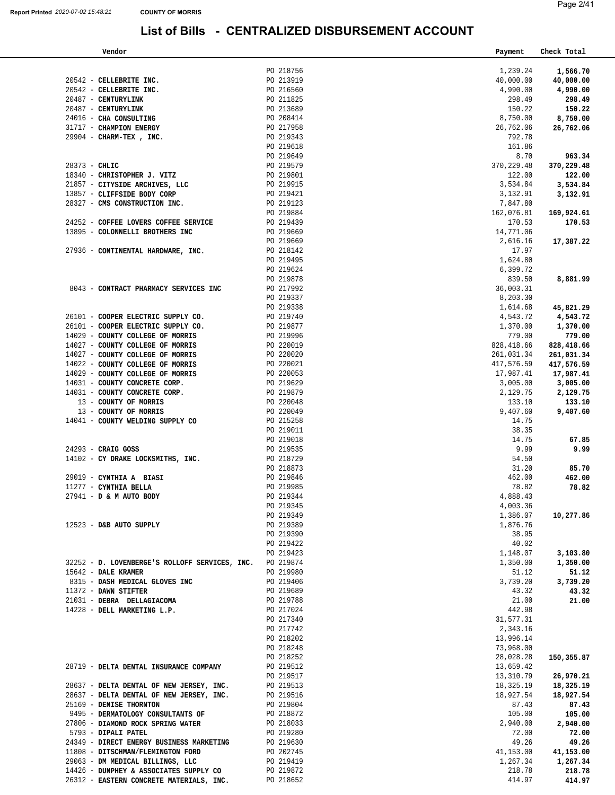| PO 218756<br>20542 - CELLEBRITE INC.<br>PO 213919<br>20542 - CELLEBRITE INC.<br>PO 216560<br>20487 - CENTURYLINK<br>PO 211825<br>20487 - CENTURYLINK<br>PO 213689<br>PO 208414<br>24016 - CHA CONSULTING<br>31717 - CHAMPION ENERGY<br>PO 217958<br>26,762.06<br>PO 219343<br>29904 - CHARM-TEX, INC.<br>PO 219618<br>PO 219649<br>$28373 - \text{CHLIC}$<br>PO 219579<br>18340 - CHRISTOPHER J. VITZ<br>PO 219801<br>PO 219915<br>21857 - CITYSIDE ARCHIVES, LLC | 1,239.24<br>1,566.70<br>40,000.00<br>40,000.00<br>4,990.00<br>4,990.00<br>298.49 |          |
|-------------------------------------------------------------------------------------------------------------------------------------------------------------------------------------------------------------------------------------------------------------------------------------------------------------------------------------------------------------------------------------------------------------------------------------------------------------------|----------------------------------------------------------------------------------|----------|
|                                                                                                                                                                                                                                                                                                                                                                                                                                                                   |                                                                                  |          |
|                                                                                                                                                                                                                                                                                                                                                                                                                                                                   |                                                                                  |          |
|                                                                                                                                                                                                                                                                                                                                                                                                                                                                   |                                                                                  |          |
|                                                                                                                                                                                                                                                                                                                                                                                                                                                                   |                                                                                  |          |
|                                                                                                                                                                                                                                                                                                                                                                                                                                                                   |                                                                                  | 298.49   |
|                                                                                                                                                                                                                                                                                                                                                                                                                                                                   | 150.22                                                                           | 150.22   |
|                                                                                                                                                                                                                                                                                                                                                                                                                                                                   | 8,750.00<br>8,750.00                                                             |          |
|                                                                                                                                                                                                                                                                                                                                                                                                                                                                   |                                                                                  |          |
|                                                                                                                                                                                                                                                                                                                                                                                                                                                                   | 26,762.06                                                                        |          |
|                                                                                                                                                                                                                                                                                                                                                                                                                                                                   | 792.78                                                                           |          |
|                                                                                                                                                                                                                                                                                                                                                                                                                                                                   | 161.86                                                                           |          |
|                                                                                                                                                                                                                                                                                                                                                                                                                                                                   | 8.70                                                                             | 963.34   |
|                                                                                                                                                                                                                                                                                                                                                                                                                                                                   | 370, 229.48<br>370,229.48                                                        |          |
|                                                                                                                                                                                                                                                                                                                                                                                                                                                                   | 122.00                                                                           | 122.00   |
|                                                                                                                                                                                                                                                                                                                                                                                                                                                                   | 3,534.84<br>3,534.84                                                             |          |
| 13857 - CLIFFSIDE BODY CORP<br>PO 219421                                                                                                                                                                                                                                                                                                                                                                                                                          | 3,132.91<br>3,132.91                                                             |          |
| 28327 - CMS CONSTRUCTION INC.<br>PO 219123                                                                                                                                                                                                                                                                                                                                                                                                                        | 7,847.80                                                                         |          |
| PO 219884                                                                                                                                                                                                                                                                                                                                                                                                                                                         | 169,924.61<br>162,076.81                                                         |          |
| PO 219439                                                                                                                                                                                                                                                                                                                                                                                                                                                         |                                                                                  |          |
| 24252 - COFFEE LOVERS COFFEE SERVICE                                                                                                                                                                                                                                                                                                                                                                                                                              | 170.53                                                                           | 170.53   |
| 13895 - COLONNELLI BROTHERS INC<br>PO 219669                                                                                                                                                                                                                                                                                                                                                                                                                      | 14,771.06                                                                        |          |
| PO 219669                                                                                                                                                                                                                                                                                                                                                                                                                                                         | 2,616.16<br>17,387.22                                                            |          |
| PO 218142<br>27936 - CONTINENTAL HARDWARE, INC.                                                                                                                                                                                                                                                                                                                                                                                                                   | 17.97                                                                            |          |
| PO 219495                                                                                                                                                                                                                                                                                                                                                                                                                                                         | 1,624.80                                                                         |          |
| PO 219624                                                                                                                                                                                                                                                                                                                                                                                                                                                         | 6,399.72                                                                         |          |
| PO 219878                                                                                                                                                                                                                                                                                                                                                                                                                                                         | 8,881.99<br>839.50                                                               |          |
| 8043 - CONTRACT PHARMACY SERVICES INC                                                                                                                                                                                                                                                                                                                                                                                                                             |                                                                                  |          |
| PO 217992                                                                                                                                                                                                                                                                                                                                                                                                                                                         | 36,003.31                                                                        |          |
| PO 219337                                                                                                                                                                                                                                                                                                                                                                                                                                                         | 8,203.30                                                                         |          |
| PO 219338                                                                                                                                                                                                                                                                                                                                                                                                                                                         | 1,614.68<br>45,821.29                                                            |          |
| 26101 - COOPER ELECTRIC SUPPLY CO.<br>PO 219740                                                                                                                                                                                                                                                                                                                                                                                                                   | 4,543.72<br>4,543.72                                                             |          |
| 26101 - COOPER ELECTRIC SUPPLY CO.<br>PO 219877                                                                                                                                                                                                                                                                                                                                                                                                                   | 1,370.00<br>1,370.00                                                             |          |
| PO 219996<br>14029 - COUNTY COLLEGE OF MORRIS                                                                                                                                                                                                                                                                                                                                                                                                                     | 779.00                                                                           | 779.00   |
| 14027 - COUNTY COLLEGE OF MORRIS                                                                                                                                                                                                                                                                                                                                                                                                                                  | 828,418.66<br>828,418.66                                                         |          |
| PO 220019<br>PO 220020<br>14027 - COUNTY COLLEGE OF MORRIS                                                                                                                                                                                                                                                                                                                                                                                                        | 261,031.34<br>261,031.34                                                         |          |
| 14022 - COUNTY COLLEGE OF MORRIS                                                                                                                                                                                                                                                                                                                                                                                                                                  | 417,576.59<br>417,576.59                                                         |          |
| PO 220021<br>PO 220053                                                                                                                                                                                                                                                                                                                                                                                                                                            |                                                                                  |          |
| 14029 - COUNTY COLLEGE OF MORRIS                                                                                                                                                                                                                                                                                                                                                                                                                                  | 17,987.41<br>17,987.41                                                           |          |
| PO 219629<br>PO 219879<br>14031 - COUNTY CONCRETE CORP.                                                                                                                                                                                                                                                                                                                                                                                                           | 3,005.00<br>3,005.00                                                             |          |
| 14031 - COUNTY CONCRETE CORP.                                                                                                                                                                                                                                                                                                                                                                                                                                     | 2,129.75<br>2,129.75                                                             |          |
| PO 220048<br>13 - COUNTY OF MORRIS                                                                                                                                                                                                                                                                                                                                                                                                                                | 133.10                                                                           | 133.10   |
| 13 - COUNTY OF MORRIS<br>PO 220049<br>PO 215258                                                                                                                                                                                                                                                                                                                                                                                                                   | 9,407.60<br>9,407.60                                                             |          |
| 14041 - COUNTY WELDING SUPPLY CO                                                                                                                                                                                                                                                                                                                                                                                                                                  | 14.75                                                                            |          |
| PO 219011                                                                                                                                                                                                                                                                                                                                                                                                                                                         | 38.35                                                                            |          |
| PO 219018                                                                                                                                                                                                                                                                                                                                                                                                                                                         | 14.75                                                                            | 67.85    |
| PO 219535<br>$24293$ - CRAIG GOSS                                                                                                                                                                                                                                                                                                                                                                                                                                 | 9.99                                                                             | 9.99     |
|                                                                                                                                                                                                                                                                                                                                                                                                                                                                   |                                                                                  |          |
| 14102 - CY DRAKE LOCKSMITHS, INC.<br>PO 218729<br>PO 218873                                                                                                                                                                                                                                                                                                                                                                                                       | 54.50                                                                            |          |
|                                                                                                                                                                                                                                                                                                                                                                                                                                                                   | 31.20                                                                            | 85.70    |
| 29019 - CYNTHIA A BIASI<br>PO 219846                                                                                                                                                                                                                                                                                                                                                                                                                              | 462.00                                                                           | 462.00   |
| 11277 - CYNTHIA BELLA<br>PO 219985                                                                                                                                                                                                                                                                                                                                                                                                                                | 78.82                                                                            | 78.82    |
| 27941 - D & M AUTO BODY<br>PO 219344                                                                                                                                                                                                                                                                                                                                                                                                                              | 4,888.43                                                                         |          |
| PO 219345                                                                                                                                                                                                                                                                                                                                                                                                                                                         | 4,003.36                                                                         |          |
| PO 219349                                                                                                                                                                                                                                                                                                                                                                                                                                                         | 1,386.07<br>10,277.86                                                            |          |
| 12523 - D&B AUTO SUPPLY<br>PO 219389                                                                                                                                                                                                                                                                                                                                                                                                                              | 1,876.76                                                                         |          |
| PO 219390                                                                                                                                                                                                                                                                                                                                                                                                                                                         | 38.95                                                                            |          |
|                                                                                                                                                                                                                                                                                                                                                                                                                                                                   | 40.02                                                                            |          |
|                                                                                                                                                                                                                                                                                                                                                                                                                                                                   |                                                                                  |          |
| PO 219422                                                                                                                                                                                                                                                                                                                                                                                                                                                         |                                                                                  |          |
| PO 219423                                                                                                                                                                                                                                                                                                                                                                                                                                                         | 1,148.07                                                                         | 3,103.80 |
| 32252 - D. LOVENBERGE'S ROLLOFF SERVICES, INC.<br>PO 219874                                                                                                                                                                                                                                                                                                                                                                                                       | 1,350.00<br>1,350.00                                                             |          |
| 15642 - DALE KRAMER<br>PO 219980                                                                                                                                                                                                                                                                                                                                                                                                                                  | 51.12                                                                            | 51.12    |
| 8315 - DASH MEDICAL GLOVES INC<br>PO 219406                                                                                                                                                                                                                                                                                                                                                                                                                       | 3,739.20<br>3,739.20                                                             |          |
| 11372 - DAWN STIFTER<br>PO 219689                                                                                                                                                                                                                                                                                                                                                                                                                                 | 43.32                                                                            | 43.32    |
| PO 219788                                                                                                                                                                                                                                                                                                                                                                                                                                                         | 21.00                                                                            | 21.00    |
| 21031 - DEBRA DELLAGIACOMA                                                                                                                                                                                                                                                                                                                                                                                                                                        |                                                                                  |          |
| 14228 - DELL MARKETING L.P.<br>PO 217024                                                                                                                                                                                                                                                                                                                                                                                                                          | 442.98                                                                           |          |
| PO 217340                                                                                                                                                                                                                                                                                                                                                                                                                                                         | 31,577.31                                                                        |          |
| PO 217742                                                                                                                                                                                                                                                                                                                                                                                                                                                         | 2,343.16                                                                         |          |
| PO 218202                                                                                                                                                                                                                                                                                                                                                                                                                                                         | 13,996.14                                                                        |          |
| PO 218248                                                                                                                                                                                                                                                                                                                                                                                                                                                         | 73,968.00                                                                        |          |
| PO 218252                                                                                                                                                                                                                                                                                                                                                                                                                                                         | 28,028.28<br>150,355.87                                                          |          |
| 28719 - DELTA DENTAL INSURANCE COMPANY<br>PO 219512                                                                                                                                                                                                                                                                                                                                                                                                               | 13,659.42                                                                        |          |
| PO 219517                                                                                                                                                                                                                                                                                                                                                                                                                                                         | 13,310.79<br>26,970.21                                                           |          |
| 28637 - DELTA DENTAL OF NEW JERSEY, INC.<br>PO 219513                                                                                                                                                                                                                                                                                                                                                                                                             | 18,325.19<br>18,325.19                                                           |          |
| 28637 - DELTA DENTAL OF NEW JERSEY, INC.<br>PO 219516                                                                                                                                                                                                                                                                                                                                                                                                             | 18,927.54<br>18,927.54                                                           |          |
|                                                                                                                                                                                                                                                                                                                                                                                                                                                                   |                                                                                  |          |
| 25169 - DENISE THORNTON<br>PO 219804                                                                                                                                                                                                                                                                                                                                                                                                                              | 87.43                                                                            | 87.43    |
| 9495 - DERMATOLOGY CONSULTANTS OF<br>PO 218872                                                                                                                                                                                                                                                                                                                                                                                                                    | 105.00                                                                           | 105.00   |
| 27806 - DIAMOND ROCK SPRING WATER<br>PO 218033                                                                                                                                                                                                                                                                                                                                                                                                                    | 2,940.00<br>2,940.00                                                             |          |
| 5793 - DIPALI PATEL<br>PO 219280                                                                                                                                                                                                                                                                                                                                                                                                                                  | 72.00                                                                            | 72.00    |
| 24349 - DIRECT ENERGY BUSINESS MARKETING<br>PO 219630                                                                                                                                                                                                                                                                                                                                                                                                             | 49.26                                                                            | 49.26    |
| 11808 - DITSCHMAN/FLEMINGTON FORD<br>PO 202745                                                                                                                                                                                                                                                                                                                                                                                                                    | 41,153.00<br>41,153.00                                                           |          |
| 29063 - DM MEDICAL BILLINGS, LLC<br>PO 219419                                                                                                                                                                                                                                                                                                                                                                                                                     | 1,267.34<br>1,267.34                                                             |          |
| 14426 - DUNPHEY & ASSOCIATES SUPPLY CO<br>PO 219872                                                                                                                                                                                                                                                                                                                                                                                                               | 218.78                                                                           | 218.78   |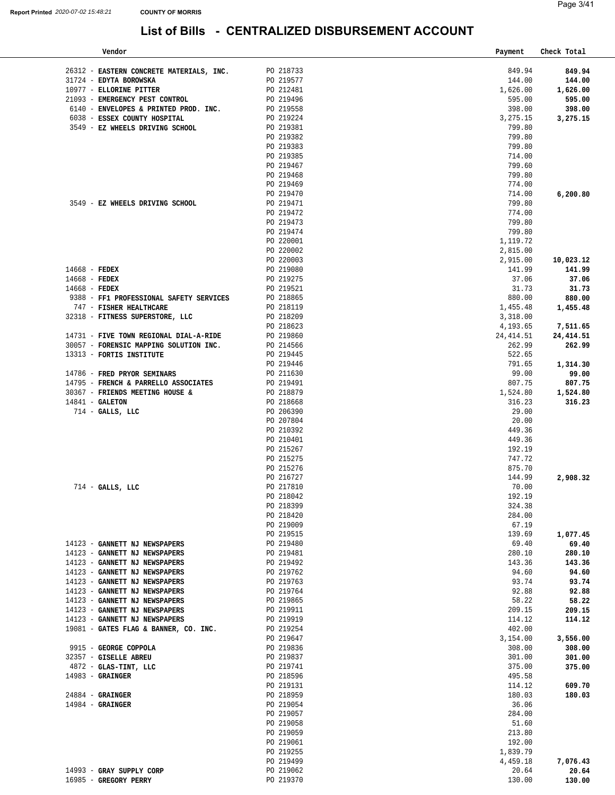| Page 3/41 |  |
|-----------|--|
|           |  |
|           |  |

| Vendor                                   |                        | Payment    | Check Total |
|------------------------------------------|------------------------|------------|-------------|
|                                          |                        |            |             |
| 26312 - EASTERN CONCRETE MATERIALS, INC. | PO 218733              | 849.94     | 849.94      |
| 31724 - EDYTA BOROWSKA                   | PO 219577              | 144.00     | 144.00      |
| 10977 - ELLORINE PITTER                  | PO 212481              | 1,626.00   | 1,626.00    |
| 21093 - EMERGENCY PEST CONTROL           | PO 219496              | 595.00     | 595.00      |
| 6140 - ENVELOPES & PRINTED PROD. INC.    | PO 219558              | 398.00     | 398.00      |
| 6038 - ESSEX COUNTY HOSPITAL             | PO 219224              | 3,275.15   | 3,275.15    |
| 3549 - EZ WHEELS DRIVING SCHOOL          | PO 219381              | 799.80     |             |
|                                          | PO 219382              | 799.80     |             |
|                                          | PO 219383              | 799.80     |             |
|                                          | PO 219385              | 714.00     |             |
|                                          | PO 219467              | 799.60     |             |
|                                          | PO 219468              | 799.80     |             |
|                                          | PO 219469              | 774.00     |             |
|                                          | PO 219470              | 714.00     | 6,200.80    |
| 3549 - EZ WHEELS DRIVING SCHOOL          | PO 219471              | 799.80     |             |
|                                          | PO 219472              | 774.00     |             |
|                                          | PO 219473              | 799.80     |             |
|                                          | PO 219474              | 799.80     |             |
|                                          | PO 220001              | 1,119.72   |             |
|                                          | PO 220002              | 2,815.00   |             |
|                                          | PO 220003              | 2,915.00   | 10,023.12   |
| $14668$ - FEDEX                          | PO 219080              | 141.99     | 141.99      |
| $14668$ - FEDEX                          | PO 219275              | 37.06      | 37.06       |
| $14668$ - FEDEX                          | PO 219521              | 31.73      | 31.73       |
| 9388 - FF1 PROFESSIONAL SAFETY SERVICES  | PO 218865              | 880.00     | 880.00      |
| 747 - FISHER HEALTHCARE                  | PO 218119              | 1,455.48   | 1,455.48    |
| 32318 - FITNESS SUPERSTORE, LLC          | PO 218209              | 3,318.00   |             |
|                                          | PO 218623              | 4,193.65   | 7,511.65    |
| 14731 - FIVE TOWN REGIONAL DIAL-A-RIDE   | PO 219860              | 24, 414.51 | 24, 414.51  |
| 30057 - FORENSIC MAPPING SOLUTION INC.   | PO 214566              | 262.99     | 262.99      |
| 13313 - FORTIS INSTITUTE                 | PO 219445              | 522.65     |             |
|                                          | PO 219446              | 791.65     | 1,314.30    |
| 14786 - FRED PRYOR SEMINARS              | PO 211630              | 99.00      | 99.00       |
| 14795 - FRENCH & PARRELLO ASSOCIATES     | PO 219491              | 807.75     | 807.75      |
| 30367 - FRIENDS MEETING HOUSE &          | PO 218879              | 1,524.80   | 1,524.80    |
| $14841$ - GALETON                        | PO 218668              | 316.23     | 316.23      |
| 714 - GALLS, LLC                         | PO 206390              | 29.00      |             |
|                                          | PO 207804              | 20.00      |             |
|                                          | PO 210392              | 449.36     |             |
|                                          | PO 210401              | 449.36     |             |
|                                          |                        | 192.19     |             |
|                                          | PO 215267<br>PO 215275 | 747.72     |             |
|                                          |                        | 875.70     |             |
|                                          | PO 215276<br>PO 216727 | 144.99     |             |
| 714 - GALLS, LLC                         | PO 217810              | 70.00      | 2,908.32    |
|                                          | PO 218042              | 192.19     |             |
|                                          |                        |            |             |
|                                          | PO 218399              | 324.38     |             |
|                                          | PO 218420              | 284.00     |             |
|                                          | PO 219009              | 67.19      |             |
|                                          | PO 219515              | 139.69     | 1,077.45    |
| 14123 - GANNETT NJ NEWSPAPERS            | PO 219480              | 69.40      | 69.40       |
| 14123 - GANNETT NJ NEWSPAPERS            | PO 219481              | 280.10     | 280.10      |
| 14123 - GANNETT NJ NEWSPAPERS            | PO 219492              | 143.36     | 143.36      |
| 14123 - GANNETT NJ NEWSPAPERS            | PO 219762              | 94.60      | 94.60       |
| 14123 - GANNETT NJ NEWSPAPERS            | PO 219763              | 93.74      | 93.74       |
| 14123 - GANNETT NJ NEWSPAPERS            | PO 219764              | 92.88      | 92.88       |
| 14123 - GANNETT NJ NEWSPAPERS            | PO 219865              | 58.22      | 58.22       |
| 14123 - GANNETT NJ NEWSPAPERS            | PO 219911              | 209.15     | 209.15      |
| 14123 - GANNETT NJ NEWSPAPERS            | PO 219919              | 114.12     | 114.12      |
| 19081 - GATES FLAG & BANNER, CO. INC.    | PO 219254              | 402.00     |             |
|                                          | PO 219647              | 3,154.00   | 3,556.00    |
| 9915 - GEORGE COPPOLA                    | PO 219836              | 308.00     | 308.00      |
| 32357 - GISELLE ABREU                    | PO 219837              | 301.00     | 301.00      |
| $4872$ - GLAS-TINT, LLC                  | PO 219741              | 375.00     | 375.00      |
| $14983 -$ GRAINGER                       | PO 218596              | 495.58     |             |
|                                          | PO 219131              | 114.12     | 609.70      |
| $24884$ - GRAINGER                       | PO 218959              | 180.03     | 180.03      |
| $14984$ - GRAINGER                       | PO 219054              | 36.06      |             |
|                                          | PO 219057              | 284.00     |             |
|                                          | PO 219058              | 51.60      |             |
|                                          | PO 219059              | 213.80     |             |
|                                          | PO 219061              | 192.00     |             |
|                                          | PO 219255              | 1,839.79   |             |
|                                          | PO 219499              | 4,459.18   | 7,076.43    |
| 14993 - GRAY SUPPLY CORP                 | PO 219062              | 20.64      | 20.64       |
| 16985 - GREGORY PERRY                    | PO 219370              | 130.00     | 130.00      |
|                                          |                        |            |             |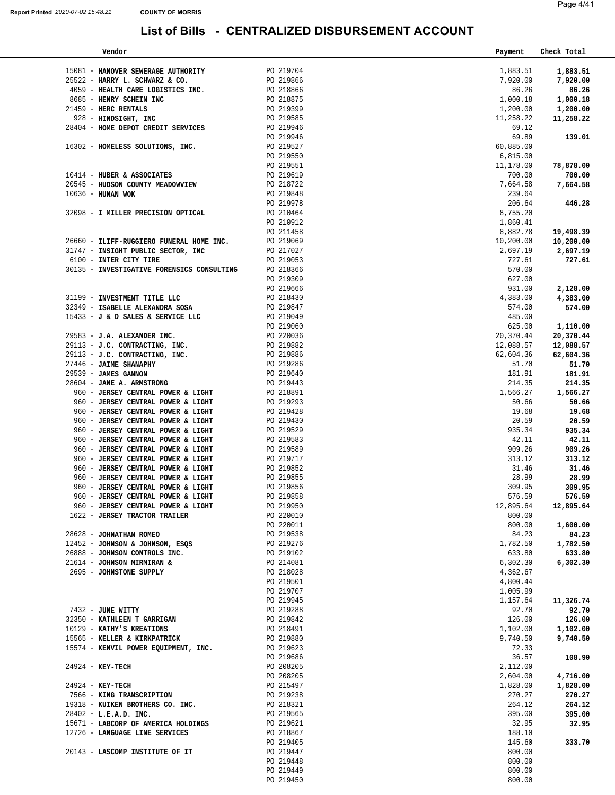| Vendor                                               |                                                                                         | Payment               | Check Total         |
|------------------------------------------------------|-----------------------------------------------------------------------------------------|-----------------------|---------------------|
|                                                      |                                                                                         |                       |                     |
| 15081 - HANOVER SEWERAGE AUTHORITY PO 219704         |                                                                                         | 1,883.51              | 1,883.51            |
| 25522 - HARRY L. SCHWARZ & CO.                       |                                                                                         | 7,920.00              | 7,920.00            |
| 4059 - HEALTH CARE LOGISTICS INC.                    |                                                                                         | 86.26                 | 86.26               |
| 8685 - HENRY SCHEIN INC<br>21459 - HERC RENTALS      |                                                                                         | 1,000.18              | 1,000.18            |
| 928 - HINDSIGHT, INC                                 | PO 219866<br>PO 218866<br>PO 218875<br>PO 219399<br>PO 219946<br>PO 219946<br>PO 219946 | 1,200.00<br>11,258.22 | 1,200.00            |
|                                                      |                                                                                         |                       | 11,258.22           |
| 28404 - HOME DEPOT CREDIT SERVICES                   |                                                                                         | 69.12<br>69.89        |                     |
| 16302 - HOMELESS SOLUTIONS, INC.                     |                                                                                         | 60,885.00             | 139.01              |
|                                                      | PO 219527<br>PO 219550                                                                  | 6,815.00              |                     |
|                                                      |                                                                                         | 11,178.00             |                     |
| 10414 - HUBER & ASSOCIATES                           | PO 219551<br>PO 219619                                                                  | 700.00                | 78,878.00<br>700.00 |
| 20545 - HUDSON COUNTY MEADOWVIEW PO 218722           |                                                                                         | 7,664.58              |                     |
| $10636$ - HUNAN WOK                                  |                                                                                         |                       | 7,664.58            |
|                                                      | PO 219848<br>PO 219978                                                                  | 239.64<br>206.64      | 446.28              |
| 32098 - I MILLER PRECISION OPTICAL                   |                                                                                         | 8,755.20              |                     |
|                                                      | PO 210464<br>PO 210912                                                                  | 1,860.41              |                     |
|                                                      | PO 211458                                                                               | 8,882.78              | 19,498.39           |
| 26660 - ILIFF-RUGGIERO FUNERAL HOME INC.             | PO 219069                                                                               | 10,200.00             | 10,200.00           |
| 31747 - INSIGHT PUBLIC SECTOR, INC                   | PO 217027                                                                               | 2,697.19              | 2,697.19            |
| 6100 - INTER CITY TIRE                               | PO 219053                                                                               | 727.61                | 727.61              |
| 30135 - INVESTIGATIVE FORENSICS CONSULTING PO 218366 |                                                                                         | 570.00                |                     |
|                                                      | PO 219309                                                                               | 627.00                |                     |
|                                                      | PO 219666                                                                               | 931.00                | 2,128.00            |
| 31199 - INVESTMENT TITLE LLC                         |                                                                                         | 4,383.00              | 4,383.00            |
| 32349 - ISABELLE ALEXANDRA SOSA                      | PO 218430<br>PO 219847                                                                  | 574.00                | 574.00              |
| 15433 - J & D SALES & SERVICE LLC                    | PO 219049                                                                               | 485.00                |                     |
|                                                      | PO 219060                                                                               | 625.00                | 1,110.00            |
| 29583 - J.A. ALEXANDER INC.                          |                                                                                         | 20,370.44             | 20,370.44           |
| 29113 - J.C. CONTRACTING, INC.                       | PO 219000<br>PO 220036<br>PO 219882<br>PO 219886                                        | 12,088.57             | 12,088.57           |
| 29113 - J.C. CONTRACTING, INC.                       |                                                                                         | 62,604.36             | 62,604.36           |
| 27446 - JAIME SHANAPHY                               |                                                                                         | 51.70                 | 51.70               |
| 29539 - JAMES GANNON                                 | PO 219286<br>PO 219640                                                                  | 181.91                | 181.91              |
| 28604 - JANE A. ARMSTRONG                            | PO 219443                                                                               | 214.35                | 214.35              |
| 960 - JERSEY CENTRAL POWER & LIGHT                   | PO 218891                                                                               | 1,566.27              | 1,566.27            |
| 960 - JERSEY CENTRAL POWER & LIGHT                   | PO 219293                                                                               | 50.66                 | 50.66               |
| 960 - JERSEY CENTRAL POWER & LIGHT                   |                                                                                         | 19.68                 | 19.68               |
| 960 - JERSEY CENTRAL POWER & LIGHT                   | PO 219428<br>PO 219430                                                                  | 20.59                 | 20.59               |
| 960 - JERSEY CENTRAL POWER & LIGHT                   | PO 219529                                                                               | 935.34                | 935.34              |
| 960 - JERSEY CENTRAL POWER & LIGHT                   | PO 219583                                                                               | 42.11                 | 42.11               |
| 960 - JERSEY CENTRAL POWER & LIGHT                   | PO 219589                                                                               | 909.26                | 909.26              |
| 960 - JERSEY CENTRAL POWER & LIGHT                   | PO 219717                                                                               | 313.12                | 313.12              |
| 960 - JERSEY CENTRAL POWER & LIGHT                   | PO 219852                                                                               | 31.46                 | 31.46               |
| 960 - JERSEY CENTRAL POWER & LIGHT                   |                                                                                         | 28.99                 | 28.99               |
| 960 - JERSEY CENTRAL POWER & LIGHT                   | PO 219855<br>PO 219856                                                                  | 309.95                | 309.95              |
| 960 - JERSEY CENTRAL POWER & LIGHT                   | PO 219858                                                                               | 576.59                | 576.59              |
| 960 - JERSEY CENTRAL POWER & LIGHT                   | PO 219950                                                                               | 12,895.64             | 12,895.64           |
| 1622 - JERSEY TRACTOR TRAILER                        | PO 220010                                                                               | 800.00                |                     |
|                                                      | PO 220011                                                                               | 800.00                | 1,600.00            |
| 28628 - JOHNATHAN ROMEO                              | PO 219538                                                                               | 84.23                 | 84.23               |
| 12452 - JOHNSON & JOHNSON, ESQS                      | PO 219276                                                                               | 1,782.50              | 1,782.50            |
| 26888 - JOHNSON CONTROLS INC.                        | PO 219102                                                                               | 633.80                | 633.80              |
| 21614 - JOHNSON MIRMIRAN &                           | PO 214081                                                                               | 6,302.30              | 6,302.30            |
| 2695 - JOHNSTONE SUPPLY                              | PO 218028                                                                               | 4,362.67              |                     |
|                                                      | PO 219501                                                                               | 4,800.44              |                     |
|                                                      | PO 219707                                                                               | 1,005.99              |                     |
|                                                      | PO 219945                                                                               | 1,157.64              | 11,326.74           |
| 7432 - JUNE WITTY                                    | PO 219288                                                                               | 92.70                 | 92.70               |
| 32350 - KATHLEEN T GARRIGAN                          | PO 219842                                                                               | 126.00                | 126.00              |
| 10129 - KATHY'S KREATIONS                            | PO 218491                                                                               | 1,102.00              | 1,102.00            |
| 15565 - KELLER & KIRKPATRICK                         | PO 219880                                                                               | 9,740.50              | 9,740.50            |
| 15574 - KENVIL POWER EQUIPMENT, INC.                 | PO 219623                                                                               | 72.33                 |                     |
|                                                      | PO 219686                                                                               | 36.57                 | 108.90              |
| $24924 - KEY-TECH$                                   | PO 208205                                                                               | 2,112.00              |                     |
|                                                      | PO 208205                                                                               | 2,604.00              | 4,716.00            |
| 24924 - KEY-TECH                                     | PO 215497                                                                               | 1,828.00              | 1,828.00            |
| 7566 - KING TRANSCRIPTION                            | PO 219238                                                                               | 270.27                | 270.27              |
| 19318 - KUIKEN BROTHERS CO. INC.                     | PO 218321                                                                               | 264.12                | 264.12              |
| 28402 - L.E.A.D. INC.                                | PO 219565                                                                               | 395.00                | 395.00              |
| 15671 - LABCORP OF AMERICA HOLDINGS                  | PO 219621                                                                               | 32.95                 | 32.95               |
| 12726 - LANGUAGE LINE SERVICES                       | PO 218867                                                                               | 188.10                |                     |
| 20143 - LASCOMP INSTITUTE OF IT                      | PO 219405<br>PO 219447                                                                  | 145.60<br>800.00      | 333.70              |
|                                                      | PO 219448                                                                               | 800.00                |                     |
|                                                      | PO 219449                                                                               | 800.00                |                     |
|                                                      | PO 219450                                                                               | 800.00                |                     |
|                                                      |                                                                                         |                       |                     |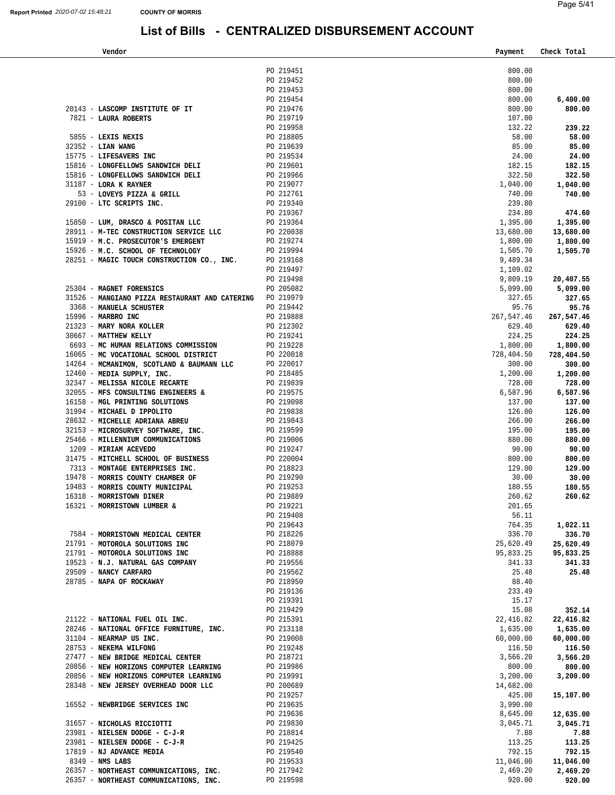**Vendor Payment Check Total** 

|                                                                                                                                                                                                                                              | PO 219451              | 800.00               |                    |
|----------------------------------------------------------------------------------------------------------------------------------------------------------------------------------------------------------------------------------------------|------------------------|----------------------|--------------------|
|                                                                                                                                                                                                                                              | PO 219452              | 800.00               |                    |
|                                                                                                                                                                                                                                              | PO 219453              | 800.00               |                    |
|                                                                                                                                                                                                                                              | PO 219454              | 800.00               | 6,400.00           |
|                                                                                                                                                                                                                                              |                        | 800.00               | 800.00             |
|                                                                                                                                                                                                                                              |                        | 107.00               |                    |
| PO 219454<br>20143 - LASCOMP INSTITUTE OF IT<br>7821 - LAURA ROBERTS<br>5855 - LEXIS NEXIS<br>5855 - LEXIS NEXIS<br>2352 - LIAN WANG<br>15775 - LIFESAVERS INC<br>15775 - LIFESAVERS INC<br>219639<br>20 219639<br>20 219534<br>20 219534    |                        | 132.22               | 239.22             |
|                                                                                                                                                                                                                                              |                        | 58.00                | 58.00              |
|                                                                                                                                                                                                                                              |                        | 85.00                | 85.00              |
|                                                                                                                                                                                                                                              |                        | 24.00                | 24.00              |
| 15816 - LONGFELLOWS SANDWICH DELI<br>15816 - LONGFELLOWS SANDWICH DELI<br>15816 - LONGFELLOWS SANDWICH DELI<br>15816 - LONGFELLOWS SANDWICH DELI<br>15816 - LONGFELLOWS SANDWICH DELI<br>169 219966<br>29100 - LTC SCRIPTS INC.<br>29100 - L |                        | 182.15               | 182.15             |
|                                                                                                                                                                                                                                              |                        | 322.50               | 322.50             |
|                                                                                                                                                                                                                                              |                        | 1,040.00             | 1,040.00           |
|                                                                                                                                                                                                                                              |                        | 740.00               | 740.00             |
|                                                                                                                                                                                                                                              |                        | 239.80               |                    |
| $\begin{tabular}{lllllll} 15850 & - & \texttt{LUM, DRASCO & POSTTAN LLC} & & & & \texttt{PO 219364} \\ \end{tabular}$                                                                                                                        |                        | 234.80               | 474.60             |
|                                                                                                                                                                                                                                              |                        | 1,395.00             | 1,395.00           |
| 28911 - M-TEC CONSTRUCTION SERVICE LLC $PQ$ 220038<br>15919 - M.C. PROSECUTOR'S EMERGENT $PQ$ 219274                                                                                                                                         |                        | 13,680.00            | 13,680.00          |
|                                                                                                                                                                                                                                              |                        | 1,800.00             | 1,800.00           |
| 15926 - M.C. SCHOOL OF TECHNOLOGY PO 219994<br>28251 - MAGIC TOUCH CONSTRUCTION CO., INC. PO 219168                                                                                                                                          |                        | 1,505.70             | 1,505.70           |
|                                                                                                                                                                                                                                              | PO 219497              | 9,489.34<br>1,109.02 |                    |
|                                                                                                                                                                                                                                              | PO 219498              | 9,809.19             | 20,407.55          |
| 25304 - MAGNET FORENSICS                                                                                                                                                                                                                     | PO 205082              | 5,099.00             | 5,099.00           |
| 31526 - MANGIANO PIZZA RESTAURANT AND CATERING PO 219979                                                                                                                                                                                     |                        | 327.65               | 327.65             |
|                                                                                                                                                                                                                                              | PO 219442              | 95.76                | 95.76              |
| 3368 - MANUELA SCHUSTER<br>15996 - MARBRO INC<br>21323 - MARY NORA KOLLER<br>30667 - MATTHEW KELLY                                                                                                                                           | PO 219888              | 267,547.46           | 267,547.46         |
|                                                                                                                                                                                                                                              | PO 212302              | 629.40               | 629.40             |
|                                                                                                                                                                                                                                              | PO 219241              | 224.25               | 224.25             |
|                                                                                                                                                                                                                                              |                        | 1,800.00             | 1,800.00           |
| 6693 - MC HUMAN RELATIONS COMMISSION BO 219228<br>16065 - MC VOCATIONAL SCHOOL DISTRICT BO 220018                                                                                                                                            |                        | 728,404.50           | 728,404.50         |
| 14264 - MCMANIMON, SCOTLAND & BAUMANN LLC $PQ 220017$<br>12460 - MEDIA SUPPLY, INC. $PQ 218485$                                                                                                                                              |                        | 300.00               | 300.00             |
|                                                                                                                                                                                                                                              |                        | 1,200.00             | 1,200.00           |
|                                                                                                                                                                                                                                              |                        | 728.00               | 728.00             |
| 32347 - MELISSA NICOLE RECARTE<br>32347 - MELISSA NICOLE RECARTE<br>32055 - MFS CONSULTING ENGINEERS & PO 219575<br>16158 - MGL PRINTING SOLUTIONS PO 219098                                                                                 |                        | 6,587.96             | 6,587.96           |
|                                                                                                                                                                                                                                              |                        | 137.00               | 137.00             |
|                                                                                                                                                                                                                                              |                        | 126.00               | 126.00             |
| 16158 - MGL PRINTING SOLUTIONS<br>28632 - MICHAEL D IPPOLITO<br>28632 - MICHAEL D IPPOLITO<br>28632 - MICHAEL BADRIANA ABREU<br>25466 - MILLENNIUM COMMUNICATIONS<br>25466 - MILLENNIUM COMMUNICATIONS<br>25466 - MILLENNIUM COMMUNICATION   |                        | 266.00               | 266.00             |
|                                                                                                                                                                                                                                              |                        | 195.00               | 195.00             |
|                                                                                                                                                                                                                                              |                        | 880.00               | 880.00             |
|                                                                                                                                                                                                                                              |                        | 90.00                | 90.00              |
|                                                                                                                                                                                                                                              |                        | 800.00               | 800.00             |
|                                                                                                                                                                                                                                              |                        | 129.00               | 129.00             |
|                                                                                                                                                                                                                                              |                        | 30.00                | 30.00              |
|                                                                                                                                                                                                                                              |                        | 180.55               | 180.55             |
|                                                                                                                                                                                                                                              |                        | 260.62               | 260.62             |
|                                                                                                                                                                                                                                              |                        | 201.65               |                    |
|                                                                                                                                                                                                                                              | PO 219408<br>PO 219643 | 56.11                |                    |
| 7584 - MORRISTOWN MEDICAL CENTER                                                                                                                                                                                                             | PO 218226              | 764.35<br>336.70     | 1,022.11<br>336.70 |
| 21791 - MOTOROLA SOLUTIONS INC                                                                                                                                                                                                               | PO 218079              | 25,620.49            | 25,620.49          |
| 21791 - MOTOROLA SOLUTIONS INC                                                                                                                                                                                                               | PO 218888              | 95,833.25            | 95,833.25          |
| 19523 - N.J. NATURAL GAS COMPANY                                                                                                                                                                                                             | PO 219556              | 341.33               | 341.33             |
| 29509 - NANCY CARFARO                                                                                                                                                                                                                        | PO 219562              | 25.48                | 25.48              |
| 28785 - NAPA OF ROCKAWAY                                                                                                                                                                                                                     | PO 218950              | 88.40                |                    |
|                                                                                                                                                                                                                                              | PO 219136              | 233.49               |                    |
|                                                                                                                                                                                                                                              | PO 219391              | 15.17                |                    |
|                                                                                                                                                                                                                                              | PO 219429              | 15.08                | 352.14             |
| 21122 - NATIONAL FUEL OIL INC.                                                                                                                                                                                                               | PO 215391              | 22,416.82            | 22,416.82          |
| 28246 - NATIONAL OFFICE FURNITURE, INC.                                                                                                                                                                                                      | PO 213118              | 1,635.00             | 1,635.00           |
| 31104 - NEARMAP US INC.                                                                                                                                                                                                                      | PO 219008              | 60,000.00            | 60,000.00          |
| 28753 - NEKEMA WILFONG                                                                                                                                                                                                                       | PO 219248              | 116.50               | 116.50             |
| 27477 - NEW BRIDGE MEDICAL CENTER                                                                                                                                                                                                            | PO 218721              | 3,566.20             | 3,566.20           |
| 20856 - NEW HORIZONS COMPUTER LEARNING                                                                                                                                                                                                       | PO 219986              | 800.00               | 800.00             |
| 20856 - NEW HORIZONS COMPUTER LEARNING                                                                                                                                                                                                       | PO 219991              | 3,200.00             | 3,200.00           |
| 28348 - NEW JERSEY OVERHEAD DOOR LLC                                                                                                                                                                                                         | PO 200689              | 14,682.00            |                    |
|                                                                                                                                                                                                                                              | PO 219257              | 425.00               | 15,107.00          |
| 16552 - NEWBRIDGE SERVICES INC                                                                                                                                                                                                               | PO 219635              | 3,990.00             |                    |
|                                                                                                                                                                                                                                              | PO 219636              | 8,645.00             | 12,635.00          |
| 31657 - NICHOLAS RICCIOTTI                                                                                                                                                                                                                   | PO 219830              | 3,045.71             | 3,045.71           |
| 23981 - NIELSEN DODGE - C-J-R                                                                                                                                                                                                                | PO 218814              | 7.88                 | 7.88               |
| 23981 - NIELSEN DODGE - C-J-R                                                                                                                                                                                                                | PO 219425              | 113.25               | 113.25             |
| 17819 - NJ ADVANCE MEDIA                                                                                                                                                                                                                     | PO 219540              | 792.15               | 792.15             |
| 8349 - NMS LABS                                                                                                                                                                                                                              | PO 219533              | 11,046.00            | 11,046.00          |
| 26357 - NORTHEAST COMMUNICATIONS, INC.                                                                                                                                                                                                       | PO 217942              | 2,469.20             | 2,469.20           |
| 26357 - NORTHEAST COMMUNICATIONS, INC.                                                                                                                                                                                                       | PO 219598              | 920.00               | 920.00             |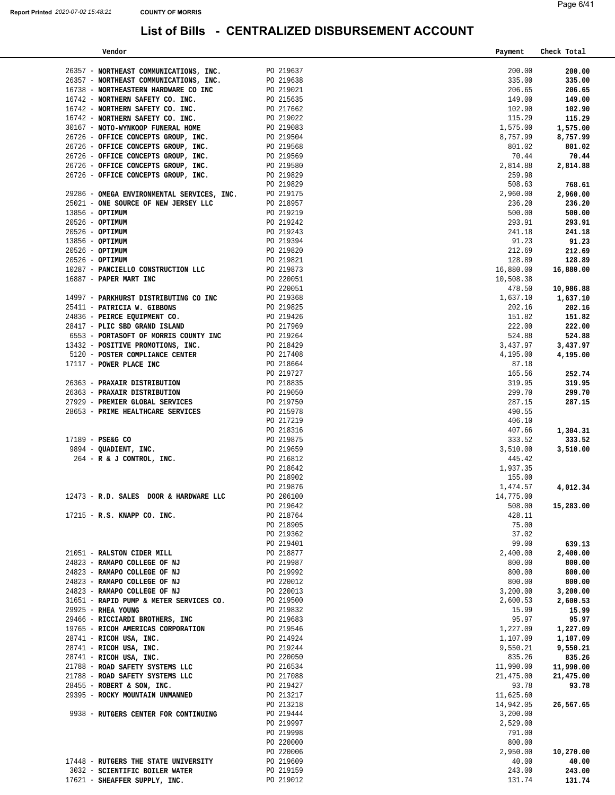| Vendor                                                             |                        | Payment                | Check Total            |
|--------------------------------------------------------------------|------------------------|------------------------|------------------------|
| 26357 - NORTHEAST COMMUNICATIONS, INC.                             | PO 219637              | 200.00                 | 200.00                 |
| 26357 - NORTHEAST COMMUNICATIONS, INC.                             | PO 219638              | 335.00                 | 335.00                 |
| 16738 - NORTHEASTERN HARDWARE CO INC                               | PO 219021              | 206.65                 | 206.65                 |
| 16742 - NORTHERN SAFETY CO. INC.                                   |                        | 149.00                 | 149.00                 |
| 16742 - NORTHERN SAFETY CO. INC.                                   | PO 215635<br>PO 217662 | 102.90                 | 102.90                 |
| 16742 - NORTHERN SAFETY CO. INC.                                   |                        | 115.29                 | 115.29                 |
| 30167 - NOTO-WYNKOOP FUNERAL HOME                                  | PO 219022<br>PO 219083 | 1,575.00               | 1,575.00               |
| 26726 - OFFICE CONCEPTS GROUP, INC.                                | PO 219504              | 8,757.99               | 8,757.99               |
| 26726 - OFFICE CONCEPTS GROUP, INC.                                |                        | 801.02                 | 801.02                 |
| 26726 - OFFICE CONCEPTS GROUP, INC.                                | PO 219568<br>PO 219569 | 70.44                  | 70.44                  |
| 26726 - OFFICE CONCEPTS GROUP, INC.                                | PO 219580<br>PO 219829 | 2,814.88               | 2,814.88               |
| 26726 - OFFICE CONCEPTS GROUP, INC.                                |                        | 259.98                 |                        |
|                                                                    | PO 219829              | 508.63                 | 768.61                 |
| 29286 - OMEGA ENVIRONMENTAL SERVICES, INC.                         | PO 219175              | 2,960.00               | 2,960.00               |
| 25021 - ONE SOURCE OF NEW JERSEY LLC                               | PO 218957              | 236.20                 | 236.20                 |
| $13856 - OPTIMUM$                                                  | PO 219219              | 500.00                 | 500.00                 |
| $20526 - OPTIMUM$                                                  | PO 219242              | 293.91                 | 293.91                 |
| 20526 - OPTIMUM<br>13856 - OPTIMUM                                 | PO 219243              | 241.18<br>91.23        | 241.18                 |
| $20526$ - OPTIMUM                                                  | PO 219394<br>PO 219820 | 212.69                 | 91.23<br>212.69        |
| $20526$ - OPTIMUM                                                  | PO 219821              | 128.89                 | 128.89                 |
| 10287 - PANCIELLO CONSTRUCTION LLC                                 | PO 219873              | 16,880.00              | 16,880.00              |
| 16887 - PAPER MART INC                                             | PO 220051              | 10,508.38              |                        |
|                                                                    | PO 220051              | 478.50                 | 10,986.88              |
| 14997 - PARKHURST DISTRIBUTING CO INC                              | PO 219368              | 1,637.10               | 1,637.10               |
| 25411 - PATRICIA W. GIBBONS                                        | PO 219825              | 202.16                 | 202.16                 |
| 24836 - PEIRCE EQUIPMENT CO.                                       | PO 219426              | 151.82                 | 151.82                 |
| 28417 - PLIC SBD GRAND ISLAND                                      | PO 217969              | 222.00                 | 222.00                 |
| 6553 - PORTASOFT OF MORRIS COUNTY INC                              | PO 219264              | 524.88                 | 524.88                 |
| 13432 - POSITIVE PROMOTIONS, INC.                                  | PO 218429              | 3,437.97               | 3,437.97               |
| 5120 - POSTER COMPLIANCE CENTER                                    | PO 217408              | 4,195.00               | 4,195.00               |
| 17117 - POWER PLACE INC                                            | PO 218664              | 87.18                  |                        |
|                                                                    | PO 219727              | 165.56                 | 252.74                 |
| 26363 - PRAXAIR DISTRIBUTION<br>26363 - PRAXAIR DISTRIBUTION       | PO 218835              | 319.95<br>299.70       | 319.95                 |
| 27929 - PREMIER GLOBAL SERVICES                                    | PO 219050<br>PO 219750 | 287.15                 | 299.70<br>287.15       |
| 28653 - PRIME HEALTHCARE SERVICES                                  | PO 215978              | 490.55                 |                        |
|                                                                    | PO 217219              | 406.10                 |                        |
|                                                                    | PO 218316              | 407.66                 | 1,304.31               |
| $17189$ - PSE&G CO                                                 | PO 219875              | 333.52                 | 333.52                 |
| 9894 - QUADIENT, INC.                                              | PO 219659              | 3,510.00               | 3,510.00               |
| 264 - R & J CONTROL, INC.                                          | PO 216812              | 445.42                 |                        |
|                                                                    | PO 218642              | 1,937.35               |                        |
|                                                                    | PO 218902              | 155.00                 |                        |
|                                                                    | PO 219876              | 1,474.57               | 4,012.34               |
| 12473 - R.D. SALES DOOR & HARDWARE LLC                             | PO 206100              | 14,775.00              |                        |
|                                                                    | PO 219642              | 508.00                 | 15,283.00              |
| 17215 - R.S. KNAPP CO. INC.                                        | PO 218764              | 428.11                 |                        |
|                                                                    | PO 218905<br>PO 219362 | 75.00<br>37.02         |                        |
|                                                                    | PO 219401              | 99.00                  | 639.13                 |
| 21051 - RALSTON CIDER MILL                                         | PO 218877              | 2,400.00               | 2,400.00               |
| 24823 - RAMAPO COLLEGE OF NJ                                       | PO 219987              | 800.00                 | 800.00                 |
| 24823 - RAMAPO COLLEGE OF NJ                                       | PO 219992              | 800.00                 | 800.00                 |
| 24823 - RAMAPO COLLEGE OF NJ                                       | PO 220012              | 800.00                 | 800.00                 |
| 24823 - RAMAPO COLLEGE OF NJ                                       | PO 220013              | 3,200.00               | 3,200.00               |
| 31651 - RAPID PUMP & METER SERVICES CO.                            | PO 219500              | 2,600.53               | 2,600.53               |
| 29925 - RHEA YOUNG                                                 | PO 219832              | 15.99                  | 15.99                  |
| 29466 - RICCIARDI BROTHERS, INC                                    | PO 219683              | 95.97                  | 95.97                  |
| 19765 - RICOH AMERICAS CORPORATION                                 | PO 219546              | 1,227.09               | 1,227.09               |
| 28741 - RICOH USA, INC.                                            | PO 214924              | 1,107.09               | 1,107.09               |
| 28741 - RICOH USA, INC.                                            | PO 219244              | 9,550.21               | 9,550.21               |
| 28741 - RICOH USA, INC.                                            | PO 220050              | 835.26                 | 835.26                 |
| 21788 - ROAD SAFETY SYSTEMS LLC<br>21788 - ROAD SAFETY SYSTEMS LLC | PO 216534<br>PO 217088 | 11,990.00<br>21,475.00 | 11,990.00<br>21,475.00 |
| 28455 - ROBERT & SON, INC.                                         | PO 219427              | 93.78                  | 93.78                  |
| 29395 - ROCKY MOUNTAIN UNMANNED                                    | PO 213217              | 11,625.60              |                        |
|                                                                    | PO 213218              | 14,942.05              | 26,567.65              |
| 9938 - RUTGERS CENTER FOR CONTINUING                               | PO 219444              | 3,200.00               |                        |
|                                                                    | PO 219997              | 2,529.00               |                        |
|                                                                    | PO 219998              | 791.00                 |                        |
|                                                                    | PO 220000              | 800.00                 |                        |
|                                                                    | PO 220006              | 2,950.00               | 10,270.00              |
| 17448 - RUTGERS THE STATE UNIVERSITY                               | PO 219609              | 40.00                  | 40.00                  |
| 3032 - SCIENTIFIC BOILER WATER                                     | PO 219159              | 243.00                 | 243.00                 |
| 17621 - SHEAFFER SUPPLY, INC.                                      | PO 219012              | 131.74                 | 131.74                 |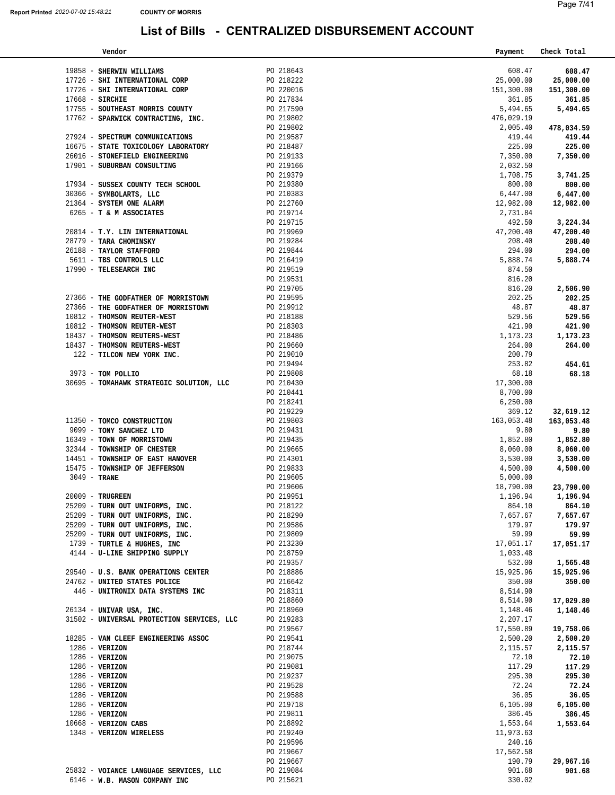| Vendor                                     |           | Payment    | Check Total |
|--------------------------------------------|-----------|------------|-------------|
|                                            |           |            |             |
| 19858 - SHERWIN WILLIAMS                   | PO 218643 | 608.47     | 608.47      |
| 17726 - SHI INTERNATIONAL CORP             | PO 218222 | 25,000.00  | 25,000.00   |
| 17726 - SHI INTERNATIONAL CORP             | PO 220016 | 151,300.00 | 151,300.00  |
| $17668$ - SIRCHIE                          | PO 217834 | 361.85     | 361.85      |
| 17755 - SOUTHEAST MORRIS COUNTY            | PO 217590 | 5,494.65   | 5,494.65    |
| 17762 - SPARWICK CONTRACTING, INC.         | PO 219802 | 476,029.19 |             |
|                                            | PO 219802 | 2,005.40   | 478,034.59  |
| 27924 - SPECTRUM COMMUNICATIONS            | PO 219587 | 419.44     | 419.44      |
| 16675 - STATE TOXICOLOGY LABORATORY        | PO 218487 | 225.00     | 225.00      |
| 26016 - STONEFIELD ENGINEERING             | PO 219133 | 7,350.00   | 7,350.00    |
| 17901 - SUBURBAN CONSULTING                | PO 219166 | 2,032.50   |             |
|                                            | PO 219379 | 1,708.75   | 3,741.25    |
| 17934 - SUSSEX COUNTY TECH SCHOOL          | PO 219380 | 800.00     | 800.00      |
|                                            |           | 6,447.00   |             |
| 30366 - SYMBOLARTS, LLC                    | PO 210383 |            | 6,447.00    |
| 21364 - SYSTEM ONE ALARM                   | PO 212760 | 12,982.00  | 12,982.00   |
| 6265 - T & M ASSOCIATES                    | PO 219714 | 2,731.84   |             |
|                                            | PO 219715 | 492.50     | 3,224.34    |
| 20814 - T.Y. LIN INTERNATIONAL             | PO 219969 | 47,200.40  | 47,200.40   |
| 28779 - TARA CHOMINSKY                     | PO 219284 | 208.40     | 208.40      |
| 26188 - TAYLOR STAFFORD                    | PO 219844 | 294.00     | 294.00      |
| 5611 - TBS CONTROLS LLC                    | PO 216419 | 5,888.74   | 5,888.74    |
| 17990 - TELESEARCH INC                     | PO 219519 | 874.50     |             |
|                                            | PO 219531 | 816.20     |             |
|                                            | PO 219705 | 816.20     | 2,506.90    |
| 27366 - THE GODFATHER OF MORRISTOWN        | PO 219595 | 202.25     | 202.25      |
| 27366 - THE GODFATHER OF MORRISTOWN        | PO 219912 | 48.87      | 48.87       |
| 10812 - THOMSON REUTER-WEST                | PO 218188 | 529.56     | 529.56      |
| 10812 - THOMSON REUTER-WEST                | PO 218303 | 421.90     |             |
| 18437 - THOMSON REUTERS-WEST               |           |            | 421.90      |
|                                            | PO 218486 | 1,173.23   | 1,173.23    |
| 18437 - THOMSON REUTERS-WEST               | PO 219660 | 264.00     | 264.00      |
| 122 - TILCON NEW YORK INC.                 | PO 219010 | 200.79     |             |
|                                            | PO 219494 | 253.82     | 454.61      |
| 3973 - TOM POLLIO                          | PO 219808 | 68.18      | 68.18       |
| 30695 - TOMAHAWK STRATEGIC SOLUTION, LLC   | PO 210430 | 17,300.00  |             |
|                                            | PO 210441 | 8,700.00   |             |
|                                            | PO 218241 | 6, 250.00  |             |
|                                            | PO 219229 | 369.12     | 32,619.12   |
| 11350 - TOMCO CONSTRUCTION                 | PO 219803 | 163,053.48 | 163,053.48  |
| 9099 - TONY SANCHEZ LTD                    | PO 219431 | 9.80       | 9.80        |
| 16349 - TOWN OF MORRISTOWN                 | PO 219435 | 1,852.80   | 1,852.80    |
| 32344 - TOWNSHIP OF CHESTER                | PO 219665 | 8,060.00   | 8,060.00    |
| 14451 - TOWNSHIP OF EAST HANOVER           | PO 214301 | 3,530.00   | 3,530.00    |
| 15475 - TOWNSHIP OF JEFFERSON              | PO 219833 | 4,500.00   | 4,500.00    |
| 3049 - TRANE                               | PO 219605 | 5,000.00   |             |
|                                            | PO 219606 | 18,790.00  | 23,790.00   |
| 20009 - TRUGREEN                           |           |            |             |
|                                            | PO 219951 | 1,196.94   | 1,196.94    |
| 25209 - TURN OUT UNIFORMS, INC.            | PO 218122 | 864.10     | 864.10      |
| 25209 - TURN OUT UNIFORMS, INC.            | PO 218290 | 7,657.67   | 7,657.67    |
| 25209 - TURN OUT UNIFORMS, INC.            | PO 219586 | 179.97     | 179.97      |
| 25209 - TURN OUT UNIFORMS, INC.            | PO 219809 | 59.99      | 59.99       |
| 1739 - TURTLE & HUGHES, INC                | PO 213230 | 17,051.17  | 17,051.17   |
| 4144 - U-LINE SHIPPING SUPPLY              | PO 218759 | 1,033.48   |             |
|                                            | PO 219357 | 532.00     | 1,565.48    |
| 29540 - U.S. BANK OPERATIONS CENTER        | PO 218886 | 15,925.96  | 15,925.96   |
| 24762 - UNITED STATES POLICE               | PO 216642 | 350.00     | 350.00      |
| 446 - UNITRONIX DATA SYSTEMS INC           | PO 218311 | 8,514.90   |             |
|                                            | PO 218860 | 8,514.90   | 17,029.80   |
| 26134 - UNIVAR USA, INC.                   | PO 218960 | 1,148.46   | 1,148.46    |
| 31502 - UNIVERSAL PROTECTION SERVICES, LLC | PO 219283 | 2,207.17   |             |
|                                            | PO 219567 | 17,550.89  | 19,758.06   |
| 18285 - VAN CLEEF ENGINEERING ASSOC        | PO 219541 | 2,500.20   | 2,500.20    |
| 1286 - VERIZON                             | PO 218744 | 2,115.57   | 2,115.57    |
| 1286 - VERIZON                             | PO 219075 | 72.10      | 72.10       |
| 1286 - VERIZON                             | PO 219081 | 117.29     | 117.29      |
| 1286 - VERIZON                             | PO 219237 | 295.30     |             |
|                                            |           |            | 295.30      |
| $1286$ - VERIZON                           | PO 219528 | 72.24      | 72.24       |
| $1286$ - VERIZON                           | PO 219588 | 36.05      | 36.05       |
| 1286 - VERIZON                             | PO 219718 | 6,105.00   | 6,105.00    |
| 1286 - VERIZON                             | PO 219811 | 386.45     | 386.45      |
| 10668 - VERIZON CABS                       | PO 218892 | 1,553.64   | 1,553.64    |
| 1348 - VERIZON WIRELESS                    | PO 219240 | 11,973.63  |             |
|                                            | PO 219596 | 240.16     |             |
|                                            | PO 219667 | 17,562.58  |             |
|                                            | PO 219667 | 190.79     | 29,967.16   |
| 25832 - VOIANCE LANGUAGE SERVICES, LLC     | PO 219084 | 901.68     | 901.68      |
| 6146 - W.B. MASON COMPANY INC              | PO 215621 | 330.02     |             |
|                                            |           |            |             |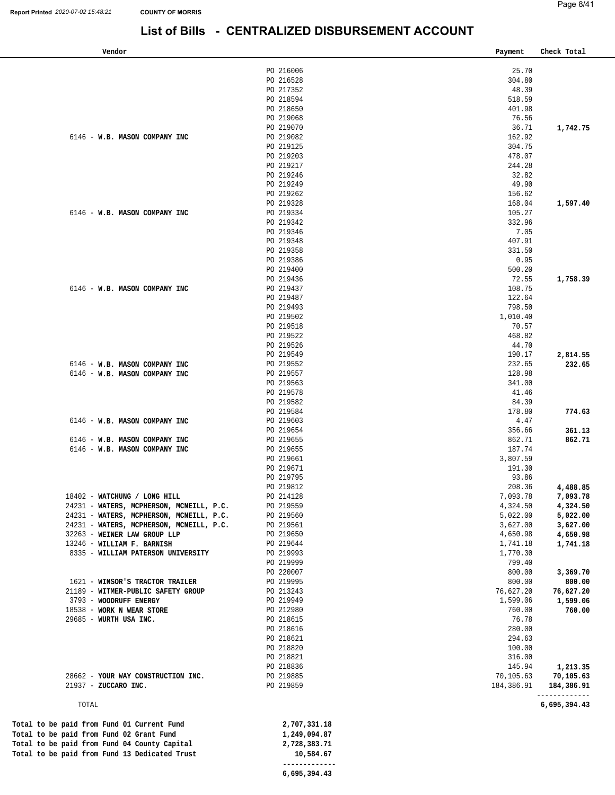### **List of Bills - CENTRALIZED DISBURSEMENT ACCOUNT**

| Vendor                                        |                        | Payment             | Check Total                 |
|-----------------------------------------------|------------------------|---------------------|-----------------------------|
|                                               | PO 216006              | 25.70               |                             |
|                                               | PO 216528              | 304.80              |                             |
|                                               | PO 217352              | 48.39               |                             |
|                                               | PO 218594              | 518.59              |                             |
|                                               | PO 218650              | 401.98              |                             |
|                                               | PO 219068              | 76.56               |                             |
|                                               | PO 219070              | 36.71               | 1,742.75                    |
| 6146 - W.B. MASON COMPANY INC                 | PO 219082              | 162.92              |                             |
|                                               | PO 219125              | 304.75              |                             |
|                                               | PO 219203              | 478.07              |                             |
|                                               | PO 219217<br>PO 219246 | 244.28<br>32.82     |                             |
|                                               | PO 219249              | 49.90               |                             |
|                                               | PO 219262              | 156.62              |                             |
|                                               | PO 219328              | 168.04              | 1,597.40                    |
| 6146 - W.B. MASON COMPANY INC                 | PO 219334              | 105.27              |                             |
|                                               | PO 219342              | 332.96              |                             |
|                                               | PO 219346              | 7.05                |                             |
|                                               | PO 219348              | 407.91              |                             |
|                                               | PO 219358              | 331.50              |                             |
|                                               | PO 219386              | 0.95                |                             |
|                                               | PO 219400              | 500.20              |                             |
|                                               | PO 219436              | 72.55               | 1,758.39                    |
| 6146 - W.B. MASON COMPANY INC                 | PO 219437              | 108.75              |                             |
|                                               | PO 219487              | 122.64              |                             |
|                                               | PO 219493<br>PO 219502 | 798.50<br>1,010.40  |                             |
|                                               | PO 219518              | 70.57               |                             |
|                                               | PO 219522              | 468.82              |                             |
|                                               | PO 219526              | 44.70               |                             |
|                                               | PO 219549              | 190.17              | 2,814.55                    |
| 6146 - W.B. MASON COMPANY INC                 | PO 219552              | 232.65              | 232.65                      |
| 6146 - W.B. MASON COMPANY INC                 | PO 219557              | 128.98              |                             |
|                                               | PO 219563              | 341.00              |                             |
|                                               | PO 219578              | 41.46               |                             |
|                                               | PO 219582              | 84.39               |                             |
|                                               | PO 219584              | 178.80              | 774.63                      |
| 6146 - W.B. MASON COMPANY INC                 | PO 219603              | 4.47                |                             |
| 6146 - W.B. MASON COMPANY INC                 | PO 219654<br>PO 219655 | 356.66<br>862.71    | 361.13<br>862.71            |
| 6146 - W.B. MASON COMPANY INC                 | PO 219655              | 187.74              |                             |
|                                               | PO 219661              | 3,807.59            |                             |
|                                               | PO 219671              | 191.30              |                             |
|                                               | PO 219795              | 93.86               |                             |
|                                               | PO 219812              | 208.36              | 4,488.85                    |
| 18402 - WATCHUNG / LONG HILL                  | PO 214128              | 7,093.78            | 7,093.78                    |
| 24231 - WATERS, MCPHERSON, MCNEILL, P.C.      | PO 219559              | 4,324.50            | 4,324.50                    |
| 24231 - WATERS, MCPHERSON, MCNEILL, P.C.      | PO 219560              | 5,022.00            | 5,022.00                    |
| 24231 - WATERS, MCPHERSON, MCNEILL, P.C.      | PO 219561              | 3,627.00            | 3,627.00                    |
| 32263 - WEINER LAW GROUP LLP                  | PO 219650              | 4,650.98            | 4,650.98                    |
| 13246 - WILLIAM F. BARNISH                    | PO 219644              | 1,741.18            | 1,741.18                    |
| 8335 - WILLIAM PATERSON UNIVERSITY            | PO 219993<br>PO 219999 | 1,770.30<br>799.40  |                             |
|                                               | PO 220007              | 800.00              | 3,369.70                    |
| 1621 - WINSOR'S TRACTOR TRAILER               | PO 219995              | 800.00              | 800.00                      |
| 21189 - WITMER-PUBLIC SAFETY GROUP            | PO 213243              | 76,627.20           | 76,627.20                   |
| 3793 - WOODRUFF ENERGY                        | PO 219949              | 1,599.06            | 1,599.06                    |
| 18538 - WORK N WEAR STORE                     | PO 212980              | 760.00              | 760.00                      |
| 29685 - WURTH USA INC.                        | PO 218615              | 76.78               |                             |
|                                               | PO 218616              | 280.00              |                             |
|                                               | PO 218621              | 294.63              |                             |
|                                               | PO 218820              | 100.00              |                             |
|                                               | PO 218821              | 316.00              |                             |
| 28662 - YOUR WAY CONSTRUCTION INC.            | PO 218836<br>PO 219885 | 145.94<br>70,105.63 | 1,213.35<br>70,105.63       |
| 21937 - ZUCCARO INC.                          | PO 219859              | 184,386.91          |                             |
|                                               |                        |                     | 184,386.91<br>------------- |
| TOTAL                                         |                        |                     | 6,695,394.43                |
| Total to be paid from Fund 01 Current Fund    | 2,707,331.18           |                     |                             |
| Total to be paid from Fund 02 Grant Fund      | 1,249,094.87           |                     |                             |
| Total to be paid from Fund 04 County Capital  | 2,728,383.71           |                     |                             |
| Total to be paid from Fund 13 Dedicated Trust | 10,584.67              |                     |                             |
|                                               | -------------          |                     |                             |

**[6,695,394.43](https://6,695,394.43)**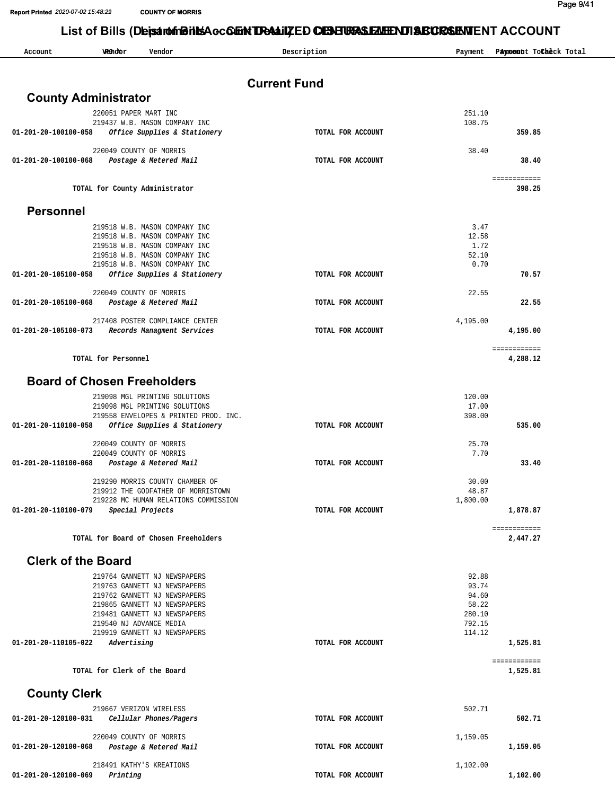**Report Printed** *2020-07- 2020-07-02 15:48:29 02 15:48:21* **COUNTY OF MORRIS COUNTY MORRIS**

Page 9/41

### List of Bills (DeisartofolBiltsAcc CuEnt Detail) **ZED CHENERAS EMIENT ABCRSEMENT** ACCOUNT

| Account                            | Wethofbr              | Vendor                                                                     | Description         | Payment           | Payment ToCheck Total |
|------------------------------------|-----------------------|----------------------------------------------------------------------------|---------------------|-------------------|-----------------------|
|                                    |                       |                                                                            | <b>Current Fund</b> |                   |                       |
| <b>County Administrator</b>        |                       |                                                                            |                     |                   |                       |
|                                    |                       |                                                                            |                     | 251.10            |                       |
|                                    | 220051 PAPER MART INC | 219437 W.B. MASON COMPANY INC                                              |                     | 108.75            |                       |
| 01-201-20-100100-058               |                       | Office Supplies & Stationery                                               | TOTAL FOR ACCOUNT   |                   | 359.85                |
|                                    |                       | 220049 COUNTY OF MORRIS                                                    |                     | 38.40             |                       |
| 01-201-20-100100-068               |                       | Postage & Metered Mail                                                     | TOTAL FOR ACCOUNT   |                   | 38.40                 |
|                                    |                       |                                                                            |                     |                   | ===== =======         |
|                                    |                       | TOTAL for County Administrator                                             |                     |                   | 398.25                |
| <b>Personnel</b>                   |                       |                                                                            |                     |                   |                       |
|                                    |                       |                                                                            |                     |                   |                       |
|                                    |                       | 219518 W.B. MASON COMPANY INC<br>219518 W.B. MASON COMPANY INC             |                     | 3.47<br>12.58     |                       |
|                                    |                       | 219518 W.B. MASON COMPANY INC                                              |                     | 1.72              |                       |
|                                    |                       | 219518 W.B. MASON COMPANY INC<br>219518 W.B. MASON COMPANY INC             |                     | 52.10<br>0.70     |                       |
| 01-201-20-105100-058               |                       | Office Supplies & Stationery                                               | TOTAL FOR ACCOUNT   |                   | 70.57                 |
|                                    |                       | 220049 COUNTY OF MORRIS                                                    |                     | 22.55             |                       |
| 01-201-20-105100-068               |                       | Postage & Metered Mail                                                     | TOTAL FOR ACCOUNT   |                   | 22.55                 |
|                                    |                       | 217408 POSTER COMPLIANCE CENTER                                            |                     | 4,195.00          |                       |
| 01-201-20-105100-073               |                       | Records Managment Services                                                 | TOTAL FOR ACCOUNT   |                   | 4,195.00              |
|                                    |                       |                                                                            |                     |                   | ===== =======         |
|                                    | TOTAL for Personnel   |                                                                            |                     |                   | 4,288.12              |
|                                    |                       |                                                                            |                     |                   |                       |
| <b>Board of Chosen Freeholders</b> |                       |                                                                            |                     |                   |                       |
|                                    |                       | 219098 MGL PRINTING SOLUTIONS<br>219098 MGL PRINTING SOLUTIONS             |                     | 120.00<br>17.00   |                       |
|                                    |                       | 219558 ENVELOPES & PRINTED PROD. INC.                                      |                     | 398.00            |                       |
| 01-201-20-110100-058               |                       | Office Supplies & Stationery                                               | TOTAL FOR ACCOUNT   |                   | 535.00                |
|                                    |                       | 220049 COUNTY OF MORRIS                                                    |                     | 25.70             |                       |
|                                    |                       | 220049 COUNTY OF MORRIS                                                    |                     | 7.70              |                       |
| 01-201-20-110100-068               |                       | Postage & Metered Mail                                                     | TOTAL FOR ACCOUNT   |                   | 33.40                 |
|                                    |                       | 219290 MORRIS COUNTY CHAMBER OF                                            |                     | 30.00             |                       |
|                                    |                       | 219912 THE GODFATHER OF MORRISTOWN<br>219228 MC HUMAN RELATIONS COMMISSION |                     | 48.87<br>1,800.00 |                       |
| 01-201-20-110100-079               |                       | Special Projects                                                           | TOTAL FOR ACCOUNT   |                   | 1,878.87              |
|                                    |                       |                                                                            |                     |                   | ===== =======         |
|                                    |                       | TOTAL for Board of Chosen Freeholders                                      |                     |                   | 2,447.27              |
| <b>Clerk of the Board</b>          |                       |                                                                            |                     |                   |                       |
|                                    |                       |                                                                            |                     |                   |                       |
|                                    |                       | 219764 GANNETT NJ NEWSPAPERS<br>219763 GANNETT NJ NEWSPAPERS               |                     | 92.88<br>93.74    |                       |
|                                    |                       | 219762 GANNETT NJ NEWSPAPERS                                               |                     | 94.60             |                       |
|                                    |                       | 219865 GANNETT NJ NEWSPAPERS                                               |                     | 58.22             |                       |
|                                    |                       | 219481 GANNETT NJ NEWSPAPERS<br>219540 NJ ADVANCE MEDIA                    |                     | 280.10<br>792.15  |                       |
|                                    |                       | 219919 GANNETT NJ NEWSPAPERS                                               |                     | 114.12            |                       |
| 01-201-20-110105-022               | Advertising           |                                                                            | TOTAL FOR ACCOUNT   |                   | 1,525.81              |
|                                    |                       |                                                                            |                     |                   | ===== =======         |
|                                    |                       | TOTAL for Clerk of the Board                                               |                     |                   | 1,525.81              |
| <b>County Clerk</b>                |                       |                                                                            |                     |                   |                       |
|                                    |                       | 219667 VERIZON WIRELESS                                                    |                     | 502.71            |                       |
| 01-201-20-120100-031               |                       | Cellular Phones/Pagers                                                     | TOTAL FOR ACCOUNT   |                   | 502.71                |
|                                    |                       | 220049 COUNTY OF MORRIS                                                    |                     | 1,159.05          |                       |
| 01-201-20-120100-068               |                       | Postage & Metered Mail                                                     | TOTAL FOR ACCOUNT   |                   | 1,159.05              |
|                                    |                       | 218491 KATHY'S KREATIONS                                                   |                     | 1,102.00          |                       |
| 01-201-20-120100-069               | Printing              |                                                                            | TOTAL FOR ACCOUNT   |                   | 1,102.00              |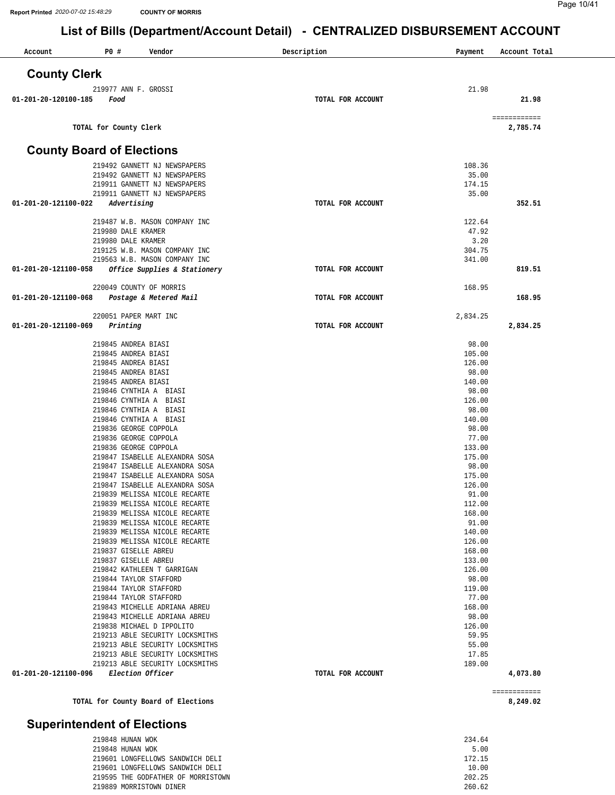| Account<br><b>PO #</b><br>Vendor                                 | Description       | Payment          | Account Total            |
|------------------------------------------------------------------|-------------------|------------------|--------------------------|
| <b>County Clerk</b>                                              |                   |                  |                          |
| 219 977 ANN F. GROSSI                                            |                   | 21.98            |                          |
| 01-201-20-120100-185<br>Food                                     | TOTAL FOR ACCOUNT |                  | 21.98                    |
| TOTAL for County Clerk                                           |                   |                  | ============<br>2,785.74 |
| <b>County Board of Elections</b>                                 |                   |                  |                          |
|                                                                  |                   |                  |                          |
| 219492 GANNETT NJ NEWSPAPERS<br>219492 GANNETT NJ NEWSPAPERS     |                   | 108.36<br>35.00  |                          |
| 219911 GANNETT NJ NEWSPAPERS                                     |                   | 174.15           |                          |
| 219911 GANNETT NJ NEWSPAPERS                                     |                   | 35.00            |                          |
| Advertising<br>01-201-20-121100-022                              | TOTAL FOR ACCOUNT |                  | 352.51                   |
| 219487 W.B. MASON COMPANY INC                                    |                   | 122.64           |                          |
| 219980 DALE KRAMER                                               |                   | 47.92            |                          |
| 219980 DALE KRAMER                                               |                   | 3.20             |                          |
| 219125 W.B. MASON COMPANY INC                                    |                   | 304.75           |                          |
| 219563 W.B. MASON COMPANY INC                                    |                   | 341.00           |                          |
| Office Supplies & Stationery<br>01-201-20-121100-058             | TOTAL FOR ACCOUNT |                  | 819.51                   |
| 220049 COUNTY OF MORRIS                                          |                   | 168.95           |                          |
| Postage & Metered Mail<br>01-201-20-121100-068                   | TOTAL FOR ACCOUNT |                  | 168.95                   |
| 220051 PAPER MART INC                                            |                   | 2,834.25         |                          |
| 01-201-20-121100-069<br>Printing                                 | TOTAL FOR ACCOUNT |                  | 2,834.25                 |
| 219845 ANDREA BIASI                                              |                   | 98.00            |                          |
| 219845 ANDREA BIASI                                              |                   | 105.00           |                          |
| 219845 ANDREA BIASI                                              |                   | 126.00           |                          |
| 219845 ANDREA BIASI                                              |                   | 98.00            |                          |
| 219845 ANDREA BIASI                                              |                   | 140.00           |                          |
| 219846 CYNTHIA A BIASI<br>219846 CYNTHIA A BIASI                 |                   | 98.00<br>126.00  |                          |
| 219846 CYNTHIA A BIASI                                           |                   | 98.00            |                          |
| 219846 CYNTHIA A BIASI                                           |                   | 140.00           |                          |
| 219836 GEORGE COPPOLA                                            |                   | 98.00            |                          |
| 219836 GEORGE COPPOLA                                            |                   | 77.00            |                          |
| 219836 GEORGE COPPOLA                                            |                   | 133.00           |                          |
| 219847 ISABELLE ALEXANDRA SOSA                                   |                   | 175.00           |                          |
| 219847 ISABELLE ALEXANDRA SOSA<br>219847 ISABELLE ALEXANDRA SOSA |                   | 98.00<br>175.00  |                          |
| 219847 ISABELLE ALEXANDRA SOSA                                   |                   | 126.00           |                          |
| 219839 MELISSA NICOLE RECARTE                                    |                   | 91.00            |                          |
| 219839 MELISSA NICOLE RECARTE                                    |                   | 112.00           |                          |
| 219839 MELISSA NICOLE RECARTE                                    |                   | 168.00           |                          |
| 219839 MELISSA NICOLE RECARTE                                    |                   | 91.00            |                          |
| 219839 MELISSA NICOLE RECARTE<br>219839 MELISSA NICOLE RECARTE   |                   | 140.00           |                          |
| 219837 GISELLE ABREU                                             |                   | 126.00<br>168.00 |                          |
| 219837 GISELLE ABREU                                             |                   | 133.00           |                          |
| 219842 KATHLEEN T GARRIGAN                                       |                   | 126.00           |                          |
| 219844 TAYLOR STAFFORD                                           |                   | 98.00            |                          |
| 219844 TAYLOR STAFFORD                                           |                   | 119.00           |                          |
| 219844 TAYLOR STAFFORD                                           |                   | 77.00            |                          |
| 219843 MICHELLE ADRIANA ABREU                                    |                   | 168.00           |                          |
| 219843 MICHELLE ADRIANA ABREU<br>219838 MICHAEL D IPPOLITO       |                   | 98.00<br>126.00  |                          |
| 219213 ABLE SECURITY LOCKSMITHS                                  |                   | 59.95            |                          |
| 219213 ABLE SECURITY LOCKSMITHS                                  |                   | 55.00            |                          |
| 219213 ABLE SECURITY LOCKSMITHS                                  |                   | 17.85            |                          |
| 219213 ABLE SECURITY LOCKSMITHS                                  |                   | 189.00           |                          |
| Election Officer<br>01-201-20-121100-096                         | TOTAL FOR ACCOUNT |                  | 4,073.80                 |
|                                                                  |                   |                  | ============             |
| TOTAL for County Board of Elections                              |                   |                  | 8,249.02                 |

### **Superintendent of Elections**

| 219848 HUNAN WOK                   | 234.64 |
|------------------------------------|--------|
| 219848 HUNAN WOK                   | 5.00   |
| 219601 LONGFELLOWS SANDWICH DELI   | 172.15 |
| 219601 LONGFELLOWS SANDWICH DELI   | 10.00  |
| 219595 THE GODFATHER OF MORRISTOWN | 202.25 |
| 219889 MORRISTOWN DINER            | 260.62 |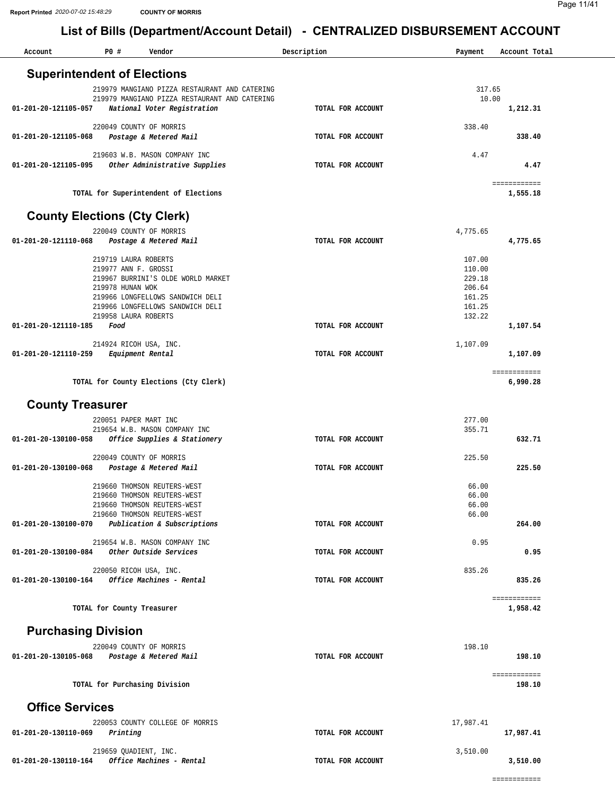| Account                                     | P0 #             | Vendor                                                     | Description       | Payment        | Account Total            |
|---------------------------------------------|------------------|------------------------------------------------------------|-------------------|----------------|--------------------------|
| <b>Superintendent of Elections</b>          |                  |                                                            |                   |                |                          |
|                                             |                  | 219979 MANGIANO PIZZA RESTAURANT AND CATERING              |                   | 317.65         |                          |
|                                             |                  | 219979 MANGIANO PIZZA RESTAURANT AND CATERING              |                   | 10.00          |                          |
| 01-201-20-121105-057                        |                  | National Voter Registration                                | TOTAL FOR ACCOUNT |                | 1,212.31                 |
|                                             |                  | 220049 COUNTY OF MORRIS                                    |                   | 338.40         |                          |
| 01-201-20-121105-068                        |                  | Postage & Metered Mail                                     | TOTAL FOR ACCOUNT |                | 338.40                   |
|                                             |                  | 219603 W.B. MASON COMPANY INC                              |                   | 4.47           |                          |
| 01-201-20-121105-095                        |                  | Other Administrative Supplies                              | TOTAL FOR ACCOUNT |                | 4.47                     |
|                                             |                  | TOTAL for Superintendent of Elections                      |                   |                | ============<br>1,555.18 |
|                                             |                  |                                                            |                   |                |                          |
|                                             |                  | <b>County Elections (Cty Clerk)</b>                        |                   |                |                          |
|                                             |                  | 220049 COUNTY OF MORRIS                                    |                   | 4,775.65       |                          |
| 01-201-20-121110-068                        |                  | Postage & Metered Mail                                     | TOTAL FOR ACCOUNT |                | 4,775.65                 |
|                                             |                  | 219719 LAURA ROBERTS                                       |                   | 107.00         |                          |
|                                             |                  | 219977 ANN F. GROSSI                                       |                   | 110.00         |                          |
|                                             |                  | 219967 BURRINI'S OLDE WORLD MARKET                         |                   | 229.18         |                          |
|                                             | 219978 HUNAN WOK |                                                            |                   | 206.64         |                          |
|                                             |                  | 219966 LONGFELLOWS SANDWICH DELI                           |                   | 161.25         |                          |
|                                             |                  | 219966 LONGFELLOWS SANDWICH DELI                           |                   | 161.25         |                          |
| 01-201-20-121110-185                        | Food             | 219958 LAURA ROBERTS                                       | TOTAL FOR ACCOUNT | 132.22         | 1,107.54                 |
|                                             |                  |                                                            |                   |                |                          |
|                                             |                  | 214924 RICOH USA, INC.                                     |                   | 1,107.09       |                          |
| 01-201-20-121110-259                        |                  | Equipment Rental                                           | TOTAL FOR ACCOUNT |                | 1,107.09                 |
|                                             |                  |                                                            |                   |                | ============             |
|                                             |                  | TOTAL for County Elections (Cty Clerk)                     |                   |                | 6,990.28                 |
|                                             |                  |                                                            |                   |                |                          |
| <b>County Treasurer</b>                     |                  |                                                            |                   |                |                          |
|                                             |                  | 220051 PAPER MART INC                                      |                   | 277.00         |                          |
|                                             |                  | 219654 W.B. MASON COMPANY INC                              |                   | 355.71         |                          |
| 01-201-20-130100-058                        |                  | Office Supplies & Stationery                               | TOTAL FOR ACCOUNT |                | 632.71                   |
|                                             |                  | 220049 COUNTY OF MORRIS                                    |                   | 225.50         |                          |
| 01-201-20-130100-068                        |                  | Postage & Metered Mail                                     | TOTAL FOR ACCOUNT |                | 225.50                   |
|                                             |                  |                                                            |                   |                |                          |
|                                             |                  | 219660 THOMSON REUTERS-WEST                                |                   | 66.00          |                          |
|                                             |                  | 219660 THOMSON REUTERS-WEST                                |                   | 66.00          |                          |
|                                             |                  | 219660 THOMSON REUTERS-WEST<br>219660 THOMSON REUTERS-WEST |                   | 66.00<br>66.00 |                          |
| 01-201-20-130100-070                        |                  | Publication & Subscriptions                                | TOTAL FOR ACCOUNT |                | 264.00                   |
|                                             |                  |                                                            |                   |                |                          |
|                                             |                  | 219654 W.B. MASON COMPANY INC                              |                   | 0.95           |                          |
| 01-201-20-130100-084                        |                  | Other Outside Services                                     | TOTAL FOR ACCOUNT |                | 0.95                     |
|                                             |                  | 220050 RICOH USA, INC.                                     |                   | 835.26         |                          |
| 01-201-20-130100-164                        |                  | Office Machines - Rental                                   | TOTAL FOR ACCOUNT |                | 835.26                   |
|                                             |                  |                                                            |                   |                |                          |
|                                             |                  | TOTAL for County Treasurer                                 |                   |                | ============<br>1,958.42 |
|                                             |                  |                                                            |                   |                |                          |
| <b>Purchasing Division</b>                  |                  |                                                            |                   |                |                          |
|                                             |                  | 220049 COUNTY OF MORRIS                                    |                   | 198.10         |                          |
| 01-201-20-130105-068 Postage & Metered Mail |                  |                                                            | TOTAL FOR ACCOUNT |                | 198.10                   |
|                                             |                  |                                                            |                   |                |                          |
|                                             |                  | TOTAL for Purchasing Division                              |                   |                | ============<br>198.10   |
|                                             |                  |                                                            |                   |                |                          |
| <b>Office Services</b>                      |                  |                                                            |                   |                |                          |
|                                             |                  | 220053 COUNTY COLLEGE OF MORRIS                            |                   | 17,987.41      |                          |
| 01-201-20-130110-069                        | Printing         |                                                            | TOTAL FOR ACCOUNT |                | 17,987.41                |
|                                             |                  |                                                            |                   |                |                          |
| 01-201-20-130110-164                        |                  | 219659 QUADIENT, INC.<br>Office Machines - Rental          | TOTAL FOR ACCOUNT | 3,510.00       | 3,510.00                 |
|                                             |                  |                                                            |                   |                |                          |

============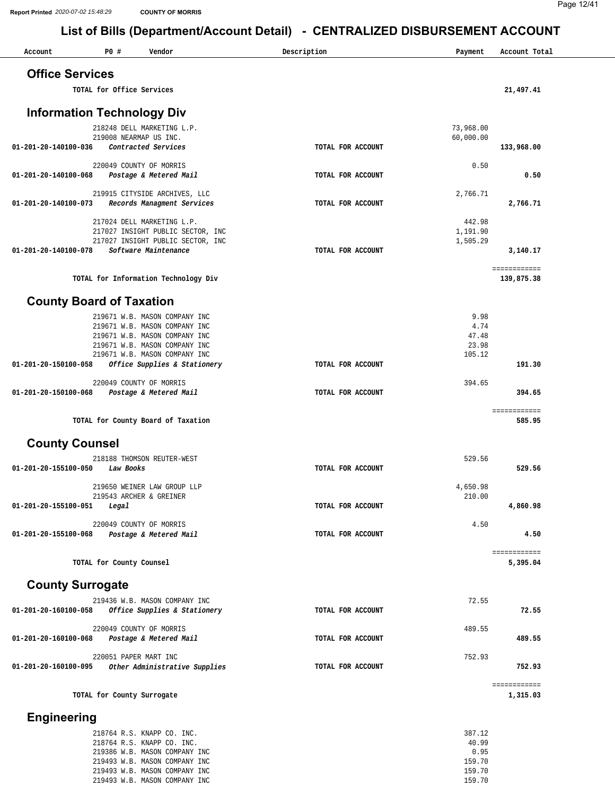#### Page 12/41

| Account                 | P0 #<br>Vendor                                                         | Description       | Payment                | Account Total              |
|-------------------------|------------------------------------------------------------------------|-------------------|------------------------|----------------------------|
| <b>Office Services</b>  |                                                                        |                   |                        |                            |
|                         |                                                                        |                   |                        |                            |
|                         | TOTAL for Office Services                                              |                   |                        | 21,497.41                  |
|                         | <b>Information Technology Div</b>                                      |                   |                        |                            |
|                         |                                                                        |                   |                        |                            |
|                         | 218248 DELL MARKETING L.P.<br>219008 NEARMAP US INC.                   |                   | 73,968.00<br>60,000.00 |                            |
| 01-201-20-140100-036    | Contracted Services                                                    | TOTAL FOR ACCOUNT |                        | 133,968.00                 |
|                         |                                                                        |                   |                        |                            |
| 01-201-20-140100-068    | 220049 COUNTY OF MORRIS<br>Postage & Metered Mail                      | TOTAL FOR ACCOUNT | 0.50                   | 0.50                       |
|                         |                                                                        |                   |                        |                            |
| 01-201-20-140100-073    | 219915 CITYSIDE ARCHIVES, LLC<br>Records Managment Services            | TOTAL FOR ACCOUNT | 2,766.71               | 2,766.71                   |
|                         |                                                                        |                   |                        |                            |
|                         | 217024 DELL MARKETING L.P.                                             |                   | 442.98                 |                            |
|                         | 217027 INSIGHT PUBLIC SECTOR, INC<br>217027 INSIGHT PUBLIC SECTOR, INC |                   | 1,191.90<br>1,505.29   |                            |
| 01-201-20-140100-078    | Software Maintenance                                                   | TOTAL FOR ACCOUNT |                        | 3,140.17                   |
|                         |                                                                        |                   |                        |                            |
|                         | TOTAL for Information Technology Div                                   |                   |                        | ============<br>139,875.38 |
|                         |                                                                        |                   |                        |                            |
|                         | <b>County Board of Taxation</b>                                        |                   |                        |                            |
|                         | 219671 W.B. MASON COMPANY INC                                          |                   | 9.98                   |                            |
|                         | 219671 W.B. MASON COMPANY INC                                          |                   | 4.74                   |                            |
|                         | 219671 W.B. MASON COMPANY INC                                          |                   | 47.48                  |                            |
|                         | 219671 W.B. MASON COMPANY INC<br>219671 W.B. MASON COMPANY INC         |                   | 23.98<br>105.12        |                            |
| 01-201-20-150100-058    | Office Supplies & Stationery                                           | TOTAL FOR ACCOUNT |                        | 191.30                     |
|                         |                                                                        |                   |                        |                            |
| 01-201-20-150100-068    | 220049 COUNTY OF MORRIS<br>Postage & Metered Mail                      | TOTAL FOR ACCOUNT | 394.65                 | 394.65                     |
|                         |                                                                        |                   |                        |                            |
|                         |                                                                        |                   |                        | ============               |
|                         | TOTAL for County Board of Taxation                                     |                   |                        | 585.95                     |
| <b>County Counsel</b>   |                                                                        |                   |                        |                            |
|                         |                                                                        |                   |                        |                            |
| 01-201-20-155100-050    | 218188 THOMSON REUTER-WEST<br>Law Books                                | TOTAL FOR ACCOUNT | 529.56                 | 529.56                     |
|                         |                                                                        |                   |                        |                            |
|                         | 219650 WEINER LAW GROUP LLP                                            |                   | 4,650.98               |                            |
| 01-201-20-155100-051    | 219543 ARCHER & GREINER<br>Legal                                       | TOTAL FOR ACCOUNT | 210.00                 | 4,860.98                   |
|                         |                                                                        |                   |                        |                            |
|                         | 220049 COUNTY OF MORRIS                                                |                   | 4.50                   |                            |
| 01-201-20-155100-068    | Postage & Metered Mail                                                 | TOTAL FOR ACCOUNT |                        | 4.50                       |
|                         |                                                                        |                   |                        | ============               |
|                         | TOTAL for County Counsel                                               |                   |                        | 5,395.04                   |
|                         |                                                                        |                   |                        |                            |
| <b>County Surrogate</b> |                                                                        |                   |                        |                            |
|                         | 219436 W.B. MASON COMPANY INC                                          |                   | 72.55                  |                            |
| 01-201-20-160100-058    | Office Supplies & Stationery                                           | TOTAL FOR ACCOUNT |                        | 72.55                      |
|                         | 220049 COUNTY OF MORRIS                                                |                   | 489.55                 |                            |
| 01-201-20-160100-068    | Postage & Metered Mail                                                 | TOTAL FOR ACCOUNT |                        | 489.55                     |
|                         | 220051 PAPER MART INC                                                  |                   | 752.93                 |                            |
|                         | 01-201-20-160100-095 Other Administrative Supplies                     | TOTAL FOR ACCOUNT |                        | 752.93                     |
|                         |                                                                        |                   |                        | ============               |
|                         | TOTAL for County Surrogate                                             |                   |                        | 1,315.03                   |
|                         |                                                                        |                   |                        |                            |
| <b>Engineering</b>      |                                                                        |                   |                        |                            |
|                         | 218764 R.S. KNAPP CO. INC.                                             |                   | 387.12                 |                            |
|                         | 218764 R.S. KNAPP CO. INC.                                             |                   | 40.99                  |                            |
|                         | 219386 W.B. MASON COMPANY INC                                          |                   | 0.95<br>159.70         |                            |
|                         | 219493 W.B. MASON COMPANY INC<br>219493 W.B. MASON COMPANY INC         |                   | 159.70                 |                            |
|                         | 219493 W.B. MASON COMPANY INC                                          |                   | 159.70                 |                            |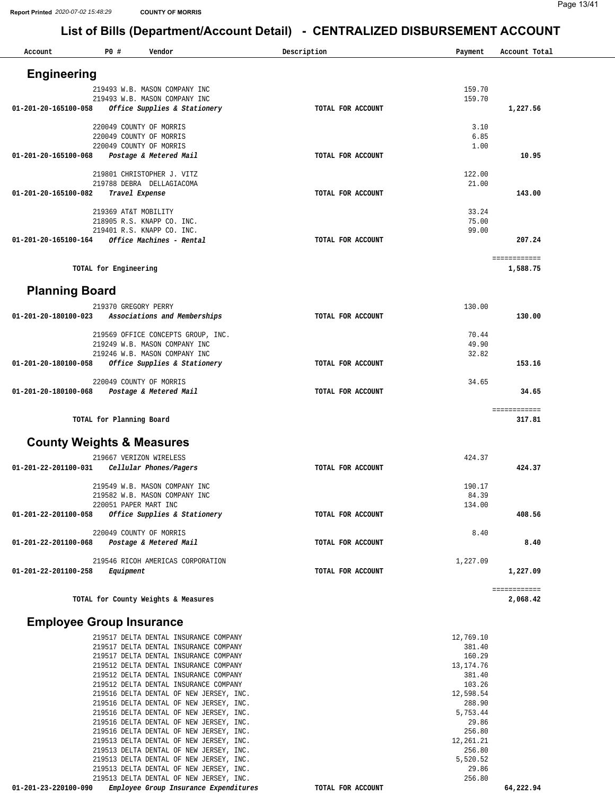| Account                              | <b>PO #</b>              | Vendor                                                                             | Description       | Payment               | Account Total            |
|--------------------------------------|--------------------------|------------------------------------------------------------------------------------|-------------------|-----------------------|--------------------------|
| <b>Engineering</b>                   |                          |                                                                                    |                   |                       |                          |
|                                      |                          | 219493 W.B. MASON COMPANY INC                                                      |                   | 159.70                |                          |
| 01-201-20-165100-058                 |                          | 219493 W.B. MASON COMPANY INC<br>Office Supplies & Stationery                      | TOTAL FOR ACCOUNT | 159.70                | 1,227.56                 |
|                                      |                          |                                                                                    |                   |                       |                          |
|                                      |                          | 220049 COUNTY OF MORRIS                                                            |                   | 3.10                  |                          |
|                                      |                          | 220049 COUNTY OF MORRIS<br>220049 COUNTY OF MORRIS                                 |                   | 6.85<br>1.00          |                          |
| 01-201-20-165100-068                 |                          | Postage & Metered Mail                                                             | TOTAL FOR ACCOUNT |                       | 10.95                    |
|                                      |                          |                                                                                    |                   |                       |                          |
|                                      |                          | 219801 CHRISTOPHER J. VITZ<br>219788 DEBRA DELLAGIACOMA                            |                   | 122.00<br>21.00       |                          |
| 01-201-20-165100-082                 |                          | Travel Expense                                                                     | TOTAL FOR ACCOUNT |                       | 143.00                   |
|                                      |                          |                                                                                    |                   |                       |                          |
|                                      | 219369 AT&T MOBILITY     | 218905 R.S. KNAPP CO. INC.                                                         |                   | 33.24<br>75.00        |                          |
|                                      |                          | 219401 R.S. KNAPP CO. INC.                                                         |                   | 99.00                 |                          |
| 01-201-20-165100-164                 |                          | Office Machines - Rental                                                           | TOTAL FOR ACCOUNT |                       | 207.24                   |
|                                      | TOTAL for Engineering    |                                                                                    |                   |                       | ============<br>1,588.75 |
|                                      |                          |                                                                                    |                   |                       |                          |
| <b>Planning Board</b>                |                          |                                                                                    |                   |                       |                          |
| 01-201-20-180100-023                 | 219370 GREGORY PERRY     | Associations and Memberships                                                       | TOTAL FOR ACCOUNT | 130.00                | 130.00                   |
|                                      |                          |                                                                                    |                   |                       |                          |
|                                      |                          | 219569 OFFICE CONCEPTS GROUP, INC.                                                 |                   | 70.44                 |                          |
|                                      |                          | 219249 W.B. MASON COMPANY INC<br>219246 W.B. MASON COMPANY INC                     |                   | 49.90<br>32.82        |                          |
| 01-201-20-180100-058                 |                          | Office Supplies & Stationery                                                       | TOTAL FOR ACCOUNT |                       | 153.16                   |
|                                      |                          |                                                                                    |                   |                       |                          |
| 01-201-20-180100-068                 |                          | 220049 COUNTY OF MORRIS<br>Postage & Metered Mail                                  | TOTAL FOR ACCOUNT | 34.65                 | 34.65                    |
|                                      |                          |                                                                                    |                   |                       |                          |
|                                      | TOTAL for Planning Board |                                                                                    |                   |                       | ============<br>317.81   |
| <b>County Weights &amp; Measures</b> |                          |                                                                                    |                   |                       |                          |
|                                      |                          | 219667 VERIZON WIRELESS                                                            |                   | 424.37                |                          |
| 01-201-22-201100-031                 |                          | Cellular Phones/Pagers                                                             | TOTAL FOR ACCOUNT |                       | 424.37                   |
|                                      |                          |                                                                                    |                   |                       |                          |
|                                      |                          | 219549 W.B. MASON COMPANY INC<br>219582 W.B. MASON COMPANY INC                     |                   | 190.17<br>84.39       |                          |
|                                      |                          | 220051 PAPER MART INC                                                              |                   | 134.00                |                          |
| 01-201-22-201100-058                 |                          | Office Supplies & Stationery                                                       | TOTAL FOR ACCOUNT |                       | 408.56                   |
|                                      |                          | 220049 COUNTY OF MORRIS                                                            |                   | 8.40                  |                          |
| 01-201-22-201100-068                 |                          | Postage & Metered Mail                                                             | TOTAL FOR ACCOUNT |                       | 8.40                     |
|                                      |                          |                                                                                    |                   |                       |                          |
| 01-201-22-201100-258                 | Equipment                | 219546 RICOH AMERICAS CORPORATION                                                  | TOTAL FOR ACCOUNT | 1,227.09              | 1,227.09                 |
|                                      |                          |                                                                                    |                   |                       |                          |
|                                      |                          | TOTAL for County Weights & Measures                                                |                   |                       | ============<br>2,068.42 |
|                                      |                          |                                                                                    |                   |                       |                          |
| <b>Employee Group Insurance</b>      |                          |                                                                                    |                   |                       |                          |
|                                      |                          | 219517 DELTA DENTAL INSURANCE COMPANY                                              |                   | 12,769.10             |                          |
|                                      |                          | 219517 DELTA DENTAL INSURANCE COMPANY                                              |                   | 381.40                |                          |
|                                      |                          | 219517 DELTA DENTAL INSURANCE COMPANY<br>219512 DELTA DENTAL INSURANCE COMPANY     |                   | 160.29<br>13, 174. 76 |                          |
|                                      |                          | 219512 DELTA DENTAL INSURANCE COMPANY                                              |                   | 381.40                |                          |
|                                      |                          | 219512 DELTA DENTAL INSURANCE COMPANY                                              |                   | 103.26                |                          |
|                                      |                          | 219516 DELTA DENTAL OF NEW JERSEY, INC.<br>219516 DELTA DENTAL OF NEW JERSEY, INC. |                   | 12,598.54<br>288.90   |                          |
|                                      |                          | 219516 DELTA DENTAL OF NEW JERSEY, INC.                                            |                   | 5,753.44              |                          |
|                                      |                          | 219516 DELTA DENTAL OF NEW JERSEY, INC.                                            |                   | 29.86                 |                          |
|                                      |                          | 219516 DELTA DENTAL OF NEW JERSEY, INC.<br>219513 DELTA DENTAL OF NEW JERSEY, INC. |                   | 256.80<br>12,261.21   |                          |
|                                      |                          | 219513 DELTA DENTAL OF NEW JERSEY, INC.                                            |                   | 256.80                |                          |
|                                      |                          | 219513 DELTA DENTAL OF NEW JERSEY, INC.                                            |                   | 5,520.52              |                          |
|                                      |                          | 219513 DELTA DENTAL OF NEW JERSEY, INC.                                            |                   | 29.86<br>256.80       |                          |
| 01-201-23-220100-090                 |                          | 219513 DELTA DENTAL OF NEW JERSEY, INC.<br>Employee Group Insurance Expenditures   | TOTAL FOR ACCOUNT |                       | 64,222.94                |
|                                      |                          |                                                                                    |                   |                       |                          |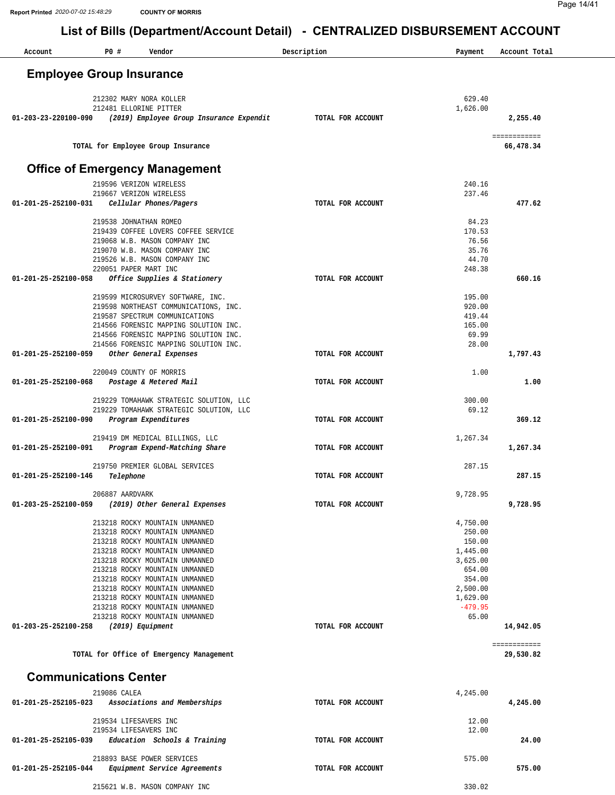| Account                        | P0 #                            | List of Dins (Department/Account Detail)<br>Vendor                      | - OLIVINALIZLD DIODONOLIVILIVI AUUUOIVI<br>Description | Payment              | Account Total             |
|--------------------------------|---------------------------------|-------------------------------------------------------------------------|--------------------------------------------------------|----------------------|---------------------------|
|                                |                                 |                                                                         |                                                        |                      |                           |
|                                | <b>Employee Group Insurance</b> |                                                                         |                                                        |                      |                           |
|                                |                                 | 212302 MARY NORA KOLLER                                                 |                                                        | 629.40               |                           |
| 01-203-23-220100-090           |                                 | 212481 ELLORINE PITTER<br>(2019) Employee Group Insurance Expendit      | TOTAL FOR ACCOUNT                                      | 1,626.00             | 2,255.40                  |
|                                |                                 | TOTAL for Employee Group Insurance                                      |                                                        |                      | ============<br>66,478.34 |
|                                |                                 | <b>Office of Emergency Management</b>                                   |                                                        |                      |                           |
|                                |                                 | 219596 VERIZON WIRELESS                                                 |                                                        | 240.16               |                           |
| 01-201-25-252100-031           |                                 | 219667 VERIZON WIRELESS<br>Cellular Phones/Pagers                       | TOTAL FOR ACCOUNT                                      | 237.46               | 477.62                    |
|                                |                                 |                                                                         |                                                        |                      |                           |
|                                |                                 | 219538 JOHNATHAN ROMEO                                                  |                                                        | 84.23                |                           |
|                                |                                 | 219439 COFFEE LOVERS COFFEE SERVICE<br>219068 W.B. MASON COMPANY INC    |                                                        | 170.53<br>76.56      |                           |
|                                |                                 | 219070 W.B. MASON COMPANY INC                                           |                                                        | 35.76                |                           |
|                                |                                 | 219526 W.B. MASON COMPANY INC                                           |                                                        | 44.70                |                           |
| $01 - 201 - 25 - 252100 - 058$ |                                 | 220051 PAPER MART INC<br>Office Supplies & Stationery                   | TOTAL FOR ACCOUNT                                      | 248.38               | 660.16                    |
|                                |                                 |                                                                         |                                                        |                      |                           |
|                                |                                 | 219599 MICROSURVEY SOFTWARE, INC.                                       |                                                        | 195.00               |                           |
|                                |                                 | 219598 NORTHEAST COMMUNICATIONS, INC.<br>219587 SPECTRUM COMMUNICATIONS |                                                        | 920.00<br>419.44     |                           |
|                                |                                 | 214566 FORENSIC MAPPING SOLUTION INC.                                   |                                                        | 165.00               |                           |
|                                |                                 | 214566 FORENSIC MAPPING SOLUTION INC.                                   |                                                        | 69.99                |                           |
| 01-201-25-252100-059           |                                 | 214566 FORENSIC MAPPING SOLUTION INC.<br>Other General Expenses         | TOTAL FOR ACCOUNT                                      | 28.00                | 1,797.43                  |
|                                |                                 |                                                                         |                                                        |                      |                           |
| 01-201-25-252100-068           |                                 | 220049 COUNTY OF MORRIS<br>Postage & Metered Mail                       | TOTAL FOR ACCOUNT                                      | 1.00                 | 1.00                      |
|                                |                                 |                                                                         |                                                        |                      |                           |
|                                |                                 | 219229 TOMAHAWK STRATEGIC SOLUTION, LLC                                 |                                                        | 300.00               |                           |
| 01-201-25-252100-090           |                                 | 219229 TOMAHAWK STRATEGIC SOLUTION, LLC<br>Program Expenditures         | TOTAL FOR ACCOUNT                                      | 69.12                | 369.12                    |
|                                |                                 |                                                                         |                                                        |                      |                           |
| 01-201-25-252100-091           |                                 | 219419 DM MEDICAL BILLINGS, LLC<br>Program Expend-Matching Share        | TOTAL FOR ACCOUNT                                      | 1,267.34             | 1,267.34                  |
|                                |                                 |                                                                         |                                                        |                      |                           |
|                                |                                 | 219750 PREMIER GLOBAL SERVICES                                          |                                                        | 287.15               |                           |
| 01-201-25-252100-146           | Telephone                       |                                                                         | TOTAL FOR ACCOUNT                                      |                      | 287.15                    |
|                                | 206887 AARDVARK                 |                                                                         |                                                        | 9,728.95             |                           |
| 01-203-25-252100-059           |                                 | (2019) Other General Expenses                                           | TOTAL FOR ACCOUNT                                      |                      | 9,728.95                  |
|                                |                                 | 213218 ROCKY MOUNTAIN UNMANNED                                          |                                                        | 4,750.00             |                           |
|                                |                                 | 213218 ROCKY MOUNTAIN UNMANNED                                          |                                                        | 250.00               |                           |
|                                |                                 | 213218 ROCKY MOUNTAIN UNMANNED<br>213218 ROCKY MOUNTAIN UNMANNED        |                                                        | 150.00<br>1,445.00   |                           |
|                                |                                 | 213218 ROCKY MOUNTAIN UNMANNED                                          |                                                        | 3,625.00             |                           |
|                                |                                 | 213218 ROCKY MOUNTAIN UNMANNED                                          |                                                        | 654.00               |                           |
|                                |                                 | 213218 ROCKY MOUNTAIN UNMANNED                                          |                                                        | 354.00               |                           |
|                                |                                 | 213218 ROCKY MOUNTAIN UNMANNED<br>213218 ROCKY MOUNTAIN UNMANNED        |                                                        | 2,500.00<br>1,629.00 |                           |
|                                |                                 | 213218 ROCKY MOUNTAIN UNMANNED                                          |                                                        | $-479.95$            |                           |
|                                |                                 | 213218 ROCKY MOUNTAIN UNMANNED                                          |                                                        | 65.00                |                           |
| 01-203-25-252100-258           |                                 | (2019) Equipment                                                        | TOTAL FOR ACCOUNT                                      |                      | 14,942.05                 |
|                                |                                 | TOTAL for Office of Emergency Management                                |                                                        |                      | ============<br>29,530.82 |
|                                | <b>Communications Center</b>    |                                                                         |                                                        |                      |                           |
|                                | 219086 CALEA                    |                                                                         |                                                        | 4,245.00             |                           |
| 01-201-25-252105-023           |                                 | Associations and Memberships                                            | TOTAL FOR ACCOUNT                                      |                      | 4,245.00                  |
|                                | 219534 LIFESAVERS INC           |                                                                         |                                                        | 12.00                |                           |
|                                |                                 | 219534 LIFESAVERS INC                                                   |                                                        | 12.00                |                           |
| 01-201-25-252105-039           |                                 | Education Schools & Training                                            | TOTAL FOR ACCOUNT                                      |                      | 24.00                     |
|                                |                                 | 218893 BASE POWER SERVICES                                              |                                                        | 575.00               |                           |
| 01-201-25-252105-044           |                                 | Equipment Service Agreements                                            | TOTAL FOR ACCOUNT                                      |                      | 575.00                    |

330.02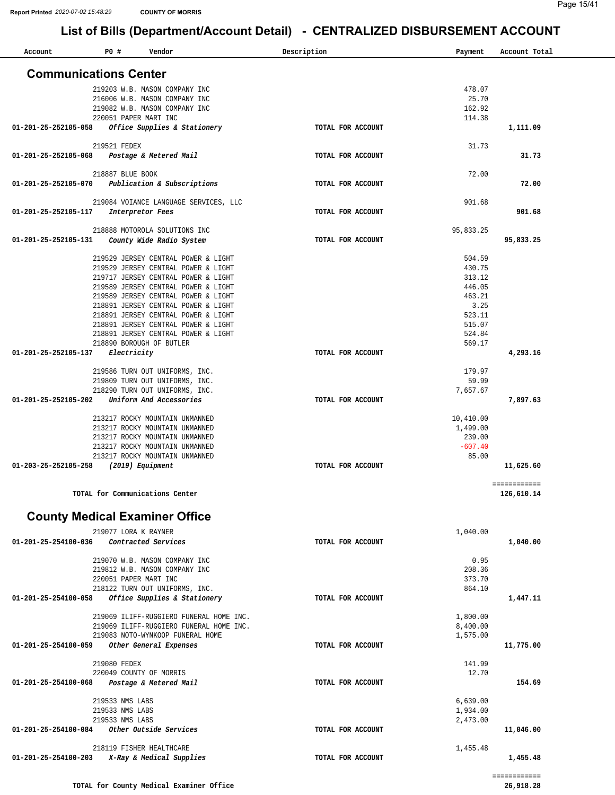| Account              | P0#<br>Vendor                                                              | Description       | Payment               | Account Total |
|----------------------|----------------------------------------------------------------------------|-------------------|-----------------------|---------------|
|                      | <b>Communications Center</b>                                               |                   |                       |               |
|                      | 219203 W.B. MASON COMPANY INC                                              |                   | 478.07                |               |
|                      | 216006 W.B. MASON COMPANY INC                                              |                   | 25.70                 |               |
|                      | 219082 W.B. MASON COMPANY INC                                              |                   | 162.92                |               |
|                      | 220051 PAPER MART INC                                                      |                   | 114.38                |               |
| 01-201-25-252105-058 | Office Supplies & Stationery                                               | TOTAL FOR ACCOUNT |                       | 1,111.09      |
|                      | 219521 FEDEX                                                               |                   | 31.73                 |               |
| 01-201-25-252105-068 | Postage & Metered Mail                                                     | TOTAL FOR ACCOUNT |                       | 31.73         |
|                      | 218887 BLUE BOOK                                                           |                   | 72.00                 |               |
| 01-201-25-252105-070 | Publication & Subscriptions                                                | TOTAL FOR ACCOUNT |                       | 72.00         |
|                      |                                                                            |                   |                       |               |
|                      | 219084 VOIANCE LANGUAGE SERVICES, LLC                                      |                   | 901.68                |               |
| 01-201-25-252105-117 | Interpretor Fees                                                           | TOTAL FOR ACCOUNT |                       | 901.68        |
|                      | 218888 MOTOROLA SOLUTIONS INC                                              |                   | 95,833.25             |               |
| 01-201-25-252105-131 | County Wide Radio System                                                   | TOTAL FOR ACCOUNT |                       | 95,833.25     |
|                      |                                                                            |                   |                       |               |
|                      | 219529 JERSEY CENTRAL POWER & LIGHT                                        |                   | 504.59                |               |
|                      | 219529 JERSEY CENTRAL POWER & LIGHT                                        |                   | 430.75                |               |
|                      | 219717 JERSEY CENTRAL POWER & LIGHT<br>219589 JERSEY CENTRAL POWER & LIGHT |                   | 313.12<br>446.05      |               |
|                      | 219589 JERSEY CENTRAL POWER & LIGHT                                        |                   | 463.21                |               |
|                      | 218891 JERSEY CENTRAL POWER & LIGHT                                        |                   | 3.25                  |               |
|                      | 218891 JERSEY CENTRAL POWER & LIGHT                                        |                   | 523.11                |               |
|                      | 218891 JERSEY CENTRAL POWER & LIGHT                                        |                   | 515.07                |               |
|                      | 218891 JERSEY CENTRAL POWER & LIGHT                                        |                   | 524.84                |               |
|                      | 218890 BOROUGH OF BUTLER                                                   |                   | 569.17                |               |
| 01-201-25-252105-137 | Electricity                                                                | TOTAL FOR ACCOUNT |                       | 4,293.16      |
|                      | 219586 TURN OUT UNIFORMS, INC.                                             |                   | 179.97                |               |
|                      | 219809 TURN OUT UNIFORMS, INC.                                             |                   | 59.99                 |               |
|                      | 218290 TURN OUT UNIFORMS, INC.                                             |                   | 7,657.67              |               |
| 01-201-25-252105-202 | Uniform And Accessories                                                    | TOTAL FOR ACCOUNT |                       | 7,897.63      |
|                      |                                                                            |                   |                       |               |
|                      | 213217 ROCKY MOUNTAIN UNMANNED<br>213217 ROCKY MOUNTAIN UNMANNED           |                   | 10,410.00<br>1,499.00 |               |
|                      | 213217 ROCKY MOUNTAIN UNMANNED                                             |                   | 239.00                |               |
|                      | 213217 ROCKY MOUNTAIN UNMANNED                                             |                   | $-607.40$             |               |
|                      | 213217 ROCKY MOUNTAIN UNMANNED                                             |                   | 85.00                 |               |
| 01-203-25-252105-258 | (2019) Equipment                                                           | TOTAL FOR ACCOUNT |                       | 11,625.60     |
|                      |                                                                            |                   |                       | ============  |
|                      | TOTAL for Communications Center                                            |                   |                       | 126,610.14    |
|                      | <b>County Medical Examiner Office</b>                                      |                   |                       |               |
|                      | 219077 LORA K RAYNER                                                       |                   | 1,040.00              |               |
| 01-201-25-254100-036 | Contracted Services                                                        | TOTAL FOR ACCOUNT |                       | 1,040.00      |
|                      | 219070 W.B. MASON COMPANY INC                                              |                   | 0.95                  |               |
|                      | 219812 W.B. MASON COMPANY INC                                              |                   | 208.36                |               |
|                      | 220051 PAPER MART INC                                                      |                   | 373.70                |               |
|                      | 218122 TURN OUT UNIFORMS, INC.                                             |                   | 864.10                |               |
| 01-201-25-254100-058 | Office Supplies & Stationery                                               | TOTAL FOR ACCOUNT |                       | 1,447.11      |
|                      | 219069 ILIFF-RUGGIERO FUNERAL HOME INC.                                    |                   | 1,800.00              |               |
|                      | 219069 ILIFF-RUGGIERO FUNERAL HOME INC.                                    |                   | 8,400.00              |               |
|                      | 219083 NOTO-WYNKOOP FUNERAL HOME                                           |                   | 1,575.00              |               |
| 01-201-25-254100-059 | Other General Expenses                                                     | TOTAL FOR ACCOUNT |                       | 11,775.00     |
|                      |                                                                            |                   |                       |               |
|                      | 219080 FEDEX<br>220049 COUNTY OF MORRIS                                    |                   | 141.99<br>12.70       |               |
| 01-201-25-254100-068 | Postage & Metered Mail                                                     | TOTAL FOR ACCOUNT |                       | 154.69        |
|                      |                                                                            |                   |                       |               |
|                      | 219533 NMS LABS                                                            |                   | 6,639.00              |               |
|                      | 219533 NMS LABS                                                            |                   | 1,934.00              |               |
|                      | 219533 NMS LABS                                                            |                   | 2,473.00              |               |
| 01-201-25-254100-084 | Other Outside Services                                                     | TOTAL FOR ACCOUNT |                       | 11,046.00     |
|                      | 218119 FISHER HEALTHCARE                                                   |                   | 1,455.48              |               |
| 01-201-25-254100-203 | X-Ray & Medical Supplies                                                   | TOTAL FOR ACCOUNT |                       | 1,455.48      |
|                      |                                                                            |                   |                       |               |
|                      |                                                                            |                   |                       | ============  |
|                      | TOTAL for County Medical Examiner Office                                   |                   |                       | 26,918.28     |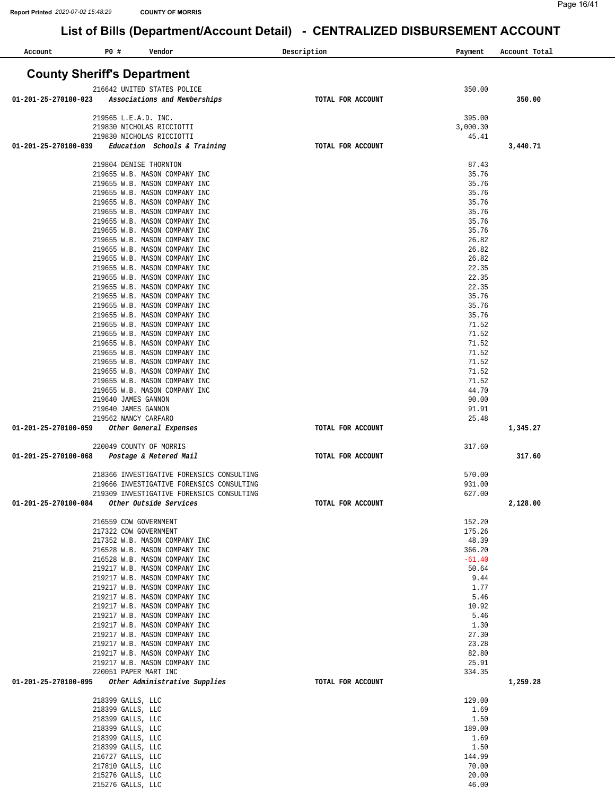| Account              | P0 # | Vendor                                                         | Description       | Payment           | Account Total |
|----------------------|------|----------------------------------------------------------------|-------------------|-------------------|---------------|
|                      |      | <b>County Sheriff's Department</b>                             |                   |                   |               |
|                      |      | 216642 UNITED STATES POLICE                                    |                   | 350.00            |               |
| 01-201-25-270100-023 |      | Associations and Memberships                                   | TOTAL FOR ACCOUNT |                   | 350.00        |
|                      |      | 219565 L.E.A.D. INC.                                           |                   | 395.00            |               |
|                      |      | 219830 NICHOLAS RICCIOTTI                                      |                   | 3,000.30          |               |
|                      |      | 219830 NICHOLAS RICCIOTTI                                      |                   | 45.41             |               |
| 01-201-25-270100-039 |      | Education Schools & Training                                   | TOTAL FOR ACCOUNT |                   | 3,440.71      |
|                      |      | 219804 DENISE THORNTON                                         |                   | 87.43             |               |
|                      |      | 219655 W.B. MASON COMPANY INC                                  |                   | 35.76             |               |
|                      |      | 219655 W.B. MASON COMPANY INC                                  |                   | 35.76             |               |
|                      |      | 219655 W.B. MASON COMPANY INC                                  |                   | 35.76             |               |
|                      |      | 219655 W.B. MASON COMPANY INC                                  |                   | 35.76             |               |
|                      |      | 219655 W.B. MASON COMPANY INC                                  |                   | 35.76             |               |
|                      |      | 219655 W.B. MASON COMPANY INC<br>219655 W.B. MASON COMPANY INC |                   | 35.76<br>35.76    |               |
|                      |      | 219655 W.B. MASON COMPANY INC                                  |                   | 26.82             |               |
|                      |      | 219655 W.B. MASON COMPANY INC                                  |                   | 26.82             |               |
|                      |      | 219655 W.B. MASON COMPANY INC                                  |                   | 26.82             |               |
|                      |      | 219655 W.B. MASON COMPANY INC                                  |                   | 22.35             |               |
|                      |      | 219655 W.B. MASON COMPANY INC<br>219655 W.B. MASON COMPANY INC |                   | 22.35<br>22.35    |               |
|                      |      | 219655 W.B. MASON COMPANY INC                                  |                   | 35.76             |               |
|                      |      | 219655 W.B. MASON COMPANY INC                                  |                   | 35.76             |               |
|                      |      | 219655 W.B. MASON COMPANY INC                                  |                   | 35.76             |               |
|                      |      | 219655 W.B. MASON COMPANY INC                                  |                   | 71.52             |               |
|                      |      | 219655 W.B. MASON COMPANY INC                                  |                   | 71.52             |               |
|                      |      | 219655 W.B. MASON COMPANY INC<br>219655 W.B. MASON COMPANY INC |                   | 71.52<br>71.52    |               |
|                      |      | 219655 W.B. MASON COMPANY INC                                  |                   | 71.52             |               |
|                      |      | 219655 W.B. MASON COMPANY INC                                  |                   | 71.52             |               |
|                      |      | 219655 W.B. MASON COMPANY INC                                  |                   | 71.52             |               |
|                      |      | 219655 W.B. MASON COMPANY INC                                  |                   | 44.70             |               |
|                      |      | 219640 JAMES GANNON                                            |                   | 90.00             |               |
|                      |      | 219640 JAMES GANNON<br>219562 NANCY CARFARO                    |                   | 91.91<br>25.48    |               |
| 01-201-25-270100-059 |      | Other General Expenses                                         | TOTAL FOR ACCOUNT |                   | 1,345.27      |
|                      |      |                                                                |                   |                   |               |
| 01-201-25-270100-068 |      | 220049 COUNTY OF MORRIS<br>Postage & Metered Mail              | TOTAL FOR ACCOUNT | 317.60            | 317.60        |
|                      |      |                                                                |                   |                   |               |
|                      |      | 218366 INVESTIGATIVE FORENSICS CONSULTING                      |                   | 570.00            |               |
|                      |      | 219666 INVESTIGATIVE FORENSICS CONSULTING                      |                   | 931.00            |               |
|                      |      | 219309 INVESTIGATIVE FORENSICS CONSULTING                      |                   | 627.00            |               |
| 01-201-25-270100-084 |      | Other Outside Services                                         | TOTAL FOR ACCOUNT |                   | 2,128.00      |
|                      |      | 216559 CDW GOVERNMENT                                          |                   | 152.20            |               |
|                      |      | 217322 CDW GOVERNMENT                                          |                   | 175.26            |               |
|                      |      | 217352 W.B. MASON COMPANY INC                                  |                   | 48.39             |               |
|                      |      | 216528 W.B. MASON COMPANY INC                                  |                   | 366.20            |               |
|                      |      | 216528 W.B. MASON COMPANY INC<br>219217 W.B. MASON COMPANY INC |                   | $-61.40$<br>50.64 |               |
|                      |      | 219217 W.B. MASON COMPANY INC                                  |                   | 9.44              |               |
|                      |      | 219217 W.B. MASON COMPANY INC                                  |                   | 1.77              |               |
|                      |      | 219217 W.B. MASON COMPANY INC                                  |                   | 5.46              |               |
|                      |      | 219217 W.B. MASON COMPANY INC                                  |                   | 10.92             |               |
|                      |      | 219217 W.B. MASON COMPANY INC                                  |                   | 5.46              |               |
|                      |      | 219217 W.B. MASON COMPANY INC<br>219217 W.B. MASON COMPANY INC |                   | 1.30<br>27.30     |               |
|                      |      | 219217 W.B. MASON COMPANY INC                                  |                   | 23.28             |               |
|                      |      | 219217 W.B. MASON COMPANY INC                                  |                   | 82.80             |               |
|                      |      | 219217 W.B. MASON COMPANY INC                                  |                   | 25.91             |               |
|                      |      | 220051 PAPER MART INC                                          |                   | 334.35            |               |
| 01-201-25-270100-095 |      | Other Administrative Supplies                                  | TOTAL FOR ACCOUNT |                   | 1,259.28      |
|                      |      | 218399 GALLS, LLC                                              |                   | 129.00            |               |
|                      |      | 218399 GALLS, LLC                                              |                   | 1.69              |               |
|                      |      | 218399 GALLS, LLC                                              |                   | 1.50              |               |
|                      |      | 218399 GALLS, LLC<br>218399 GALLS, LLC                         |                   | 189.00<br>1.69    |               |
|                      |      | 218399 GALLS, LLC                                              |                   | 1.50              |               |
|                      |      | 216727 GALLS, LLC                                              |                   | 144.99            |               |
|                      |      | 217810 GALLS, LLC                                              |                   | 70.00             |               |
|                      |      | 215276 GALLS, LLC                                              |                   | 20.00             |               |
|                      |      | 215276 GALLS, LLC                                              |                   | 46.00             |               |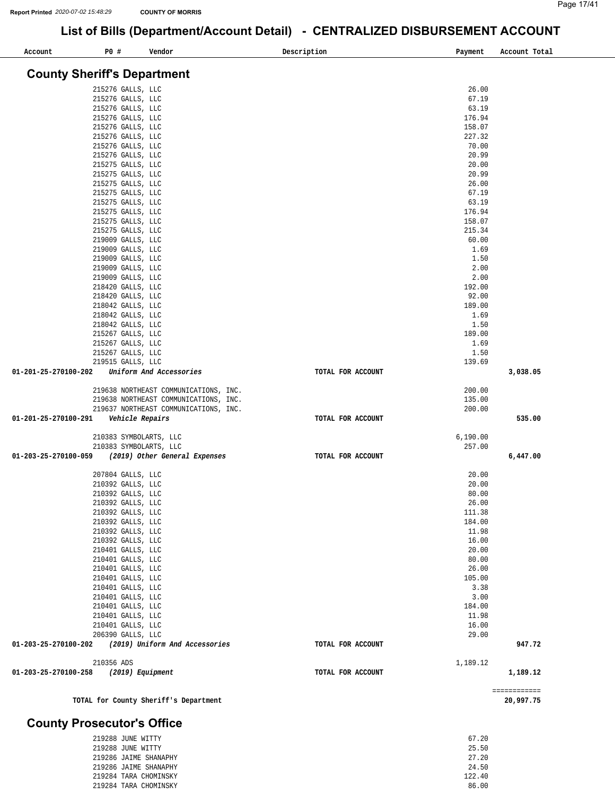| Account              | P0 #                                   | Vendor                                                                         | Description       | Payment         | Account Total             |
|----------------------|----------------------------------------|--------------------------------------------------------------------------------|-------------------|-----------------|---------------------------|
|                      | <b>County Sheriff's Department</b>     |                                                                                |                   |                 |                           |
|                      | 215276 GALLS, LLC                      |                                                                                |                   | 26.00           |                           |
|                      | 215276 GALLS, LLC                      |                                                                                |                   | 67.19           |                           |
|                      | 215276 GALLS, LLC                      |                                                                                |                   | 63.19           |                           |
|                      | 215276 GALLS, LLC                      |                                                                                |                   | 176.94          |                           |
|                      | 215276 GALLS, LLC                      |                                                                                |                   | 158.07          |                           |
|                      | 215276 GALLS, LLC                      |                                                                                |                   | 227.32          |                           |
|                      | 215276 GALLS, LLC                      |                                                                                |                   | 70.00           |                           |
|                      | 215276 GALLS, LLC                      |                                                                                |                   | 20.99<br>20.00  |                           |
|                      | 215275 GALLS, LLC<br>215275 GALLS, LLC |                                                                                |                   | 20.99           |                           |
|                      | 215275 GALLS, LLC                      |                                                                                |                   | 26.00           |                           |
|                      | 215275 GALLS, LLC                      |                                                                                |                   | 67.19           |                           |
|                      | 215275 GALLS, LLC                      |                                                                                |                   | 63.19           |                           |
|                      | 215275 GALLS, LLC                      |                                                                                |                   | 176.94          |                           |
|                      | 215275 GALLS, LLC                      |                                                                                |                   | 158.07          |                           |
|                      | 215275 GALLS, LLC                      |                                                                                |                   | 215.34          |                           |
|                      | 219009 GALLS, LLC                      |                                                                                |                   | 60.00           |                           |
|                      | 219009 GALLS, LLC                      |                                                                                |                   | 1.69            |                           |
|                      | 219009 GALLS, LLC                      |                                                                                |                   | 1.50            |                           |
|                      | 219009 GALLS, LLC                      |                                                                                |                   | 2.00<br>2.00    |                           |
|                      | 219009 GALLS, LLC<br>218420 GALLS, LLC |                                                                                |                   | 192.00          |                           |
|                      | 218420 GALLS, LLC                      |                                                                                |                   | 92.00           |                           |
|                      | 218042 GALLS, LLC                      |                                                                                |                   | 189.00          |                           |
|                      | 218042 GALLS, LLC                      |                                                                                |                   | 1.69            |                           |
|                      | 218042 GALLS, LLC                      |                                                                                |                   | 1.50            |                           |
|                      | 215267 GALLS, LLC                      |                                                                                |                   | 189.00          |                           |
|                      | 215267 GALLS, LLC                      |                                                                                |                   | 1.69            |                           |
|                      | 215267 GALLS, LLC                      |                                                                                |                   | 1.50            |                           |
| 01-201-25-270100-202 | 219515 GALLS, LLC                      | Uniform And Accessories                                                        | TOTAL FOR ACCOUNT | 139.69          | 3,038.05                  |
|                      |                                        |                                                                                |                   | 200.00          |                           |
|                      |                                        | 219638 NORTHEAST COMMUNICATIONS, INC.<br>219638 NORTHEAST COMMUNICATIONS, INC. |                   | 135.00          |                           |
|                      |                                        | 219637 NORTHEAST COMMUNICATIONS, INC.                                          |                   | 200.00          |                           |
| 01-201-25-270100-291 | Vehicle Repairs                        |                                                                                | TOTAL FOR ACCOUNT |                 | 535.00                    |
|                      | 210383 SYMBOLARTS, LLC                 |                                                                                |                   | 6, 190.00       |                           |
|                      | 210383 SYMBOLARTS, LLC                 |                                                                                |                   | 257.00          |                           |
| 01-203-25-270100-059 |                                        | (2019) Other General Expenses                                                  | TOTAL FOR ACCOUNT |                 | 6,447.00                  |
|                      | 207804 GALLS, LLC                      |                                                                                |                   | 20.00           |                           |
|                      | 210392 GALLS, LLC                      |                                                                                |                   | 20.00           |                           |
|                      | 210392 GALLS, LLC                      |                                                                                |                   | 80.00           |                           |
|                      | 210392 GALLS, LLC                      |                                                                                |                   | 26.00           |                           |
|                      | 210392 GALLS, LLC                      |                                                                                |                   | 111.38          |                           |
|                      | 210392 GALLS, LLC                      |                                                                                |                   | 184.00<br>11.98 |                           |
|                      | 210392 GALLS, LLC<br>210392 GALLS, LLC |                                                                                |                   | 16.00           |                           |
|                      | 210401 GALLS, LLC                      |                                                                                |                   | 20.00           |                           |
|                      | 210401 GALLS, LLC                      |                                                                                |                   | 80.00           |                           |
|                      | 210401 GALLS, LLC                      |                                                                                |                   | 26.00           |                           |
|                      | 210401 GALLS, LLC                      |                                                                                |                   | 105.00          |                           |
|                      | 210401 GALLS, LLC                      |                                                                                |                   | 3.38            |                           |
|                      | 210401 GALLS, LLC                      |                                                                                |                   | 3.00            |                           |
|                      | 210401 GALLS, LLC                      |                                                                                |                   | 184.00          |                           |
|                      | 210401 GALLS, LLC                      |                                                                                |                   | 11.98           |                           |
|                      | 210401 GALLS, LLC                      |                                                                                |                   | 16.00           |                           |
| 01-203-25-270100-202 | 206390 GALLS, LLC                      | (2019) Uniform And Accessories                                                 | TOTAL FOR ACCOUNT | 29.00           | 947.72                    |
|                      |                                        |                                                                                |                   |                 |                           |
| 01-203-25-270100-258 | 210356 ADS<br>(2019) Equipment         |                                                                                | TOTAL FOR ACCOUNT | 1,189.12        | 1,189.12                  |
|                      |                                        |                                                                                |                   |                 |                           |
|                      |                                        | TOTAL for County Sheriff's Department                                          |                   |                 | ============<br>20,997.75 |

#### **County Prosecutor's Office**

| 219288 JUNE WITTY     | 67.20  |
|-----------------------|--------|
| 219288 JUNE WITTY     | 25.50  |
| 219286 JAIME SHANAPHY | 27.20  |
| 219286 JAIME SHANAPHY | 24.50  |
| 219284 TARA CHOMINSKY | 122.40 |
| 219284 TARA CHOMINSKY | 86.00  |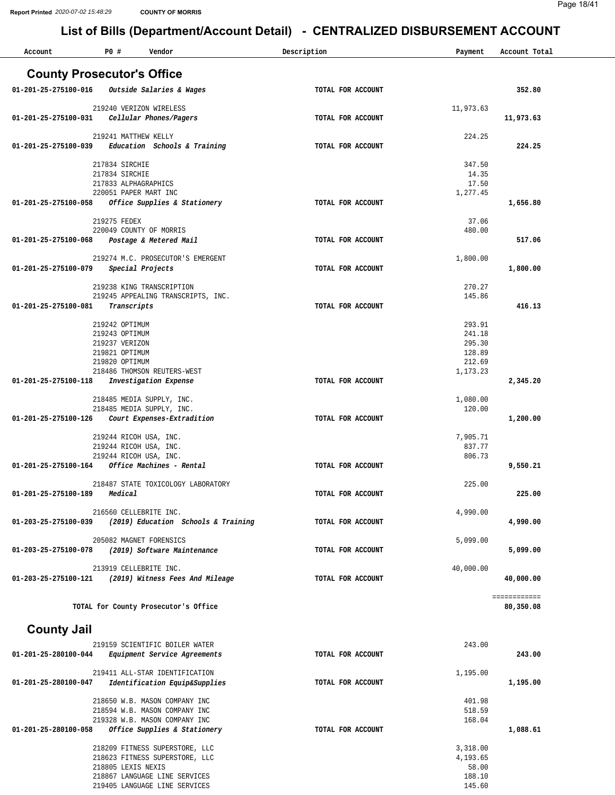| Account                           | P0 #                                          | Vendor                                                           | Description       | Payment              | Account Total |
|-----------------------------------|-----------------------------------------------|------------------------------------------------------------------|-------------------|----------------------|---------------|
| <b>County Prosecutor's Office</b> |                                               |                                                                  |                   |                      |               |
| 01-201-25-275100-016              |                                               | Outside Salaries & Wages                                         | TOTAL FOR ACCOUNT |                      | 352.80        |
|                                   |                                               |                                                                  |                   |                      |               |
| 01-201-25-275100-031              | 219240 VERIZON WIRELESS                       | Cellular Phones/Pagers                                           | TOTAL FOR ACCOUNT | 11,973.63            | 11,973.63     |
|                                   |                                               |                                                                  |                   |                      |               |
|                                   | 219241 MATTHEW KELLY                          |                                                                  |                   | 224.25               |               |
| 01-201-25-275100-039              |                                               | Education Schools & Training                                     | TOTAL FOR ACCOUNT |                      | 224.25        |
|                                   | 217834 SIRCHIE                                |                                                                  |                   | 347.50               |               |
|                                   | 217834 SIRCHIE                                |                                                                  |                   | 14.35                |               |
|                                   | 217833 ALPHAGRAPHICS<br>220051 PAPER MART INC |                                                                  |                   | 17.50<br>1,277.45    |               |
| 01-201-25-275100-058              |                                               | Office Supplies & Stationery                                     | TOTAL FOR ACCOUNT |                      | 1,656.80      |
|                                   | 219275 FEDEX                                  |                                                                  |                   | 37.06                |               |
|                                   | 220049 COUNTY OF MORRIS                       |                                                                  |                   | 480.00               |               |
| 01-201-25-275100-068              |                                               | Postage & Metered Mail                                           | TOTAL FOR ACCOUNT |                      | 517.06        |
|                                   |                                               | 219274 M.C. PROSECUTOR'S EMERGENT                                |                   | 1,800.00             |               |
| 01-201-25-275100-079              | Special Projects                              |                                                                  | TOTAL FOR ACCOUNT |                      | 1,800.00      |
|                                   |                                               |                                                                  |                   |                      |               |
|                                   |                                               | 219238 KING TRANSCRIPTION<br>219245 APPEALING TRANSCRIPTS, INC.  |                   | 270.27<br>145.86     |               |
| 01-201-25-275100-081              | Transcripts                                   |                                                                  | TOTAL FOR ACCOUNT |                      | 416.13        |
|                                   | 219242 OPTIMUM                                |                                                                  |                   | 293.91               |               |
|                                   | 219243 OPTIMUM                                |                                                                  |                   | 241.18               |               |
|                                   | 219237 VERIZON                                |                                                                  |                   | 295.30               |               |
|                                   | 219821 OPTIMUM<br>219820 OPTIMUM              |                                                                  |                   | 128.89<br>212.69     |               |
|                                   |                                               | 218486 THOMSON REUTERS-WEST                                      |                   | 1,173.23             |               |
| 01-201-25-275100-118              |                                               | Investigation Expense                                            | TOTAL FOR ACCOUNT |                      | 2,345.20      |
|                                   |                                               | 218485 MEDIA SUPPLY, INC.                                        |                   | 1,080.00             |               |
|                                   |                                               | 218485 MEDIA SUPPLY, INC.                                        |                   | 120.00               |               |
| 01-201-25-275100-126              |                                               | Court Expenses-Extradition                                       | TOTAL FOR ACCOUNT |                      | 1,200.00      |
|                                   | 219244 RICOH USA, INC.                        |                                                                  |                   | 7.905.71             |               |
|                                   | 219244 RICOH USA, INC.                        |                                                                  |                   | 837.77               |               |
| 01-201-25-275100-164              | 219244 RICOH USA, INC.                        | Office Machines - Rental                                         | TOTAL FOR ACCOUNT | 806.73               | 9,550.21      |
|                                   |                                               |                                                                  |                   |                      |               |
| 01-201-25-275100-189              | Medical                                       | 218487 STATE TOXICOLOGY LABORATORY                               | TOTAL FOR ACCOUNT | 225.00               | 225.00        |
|                                   |                                               |                                                                  |                   |                      |               |
|                                   | 216560 CELLEBRITE INC.                        |                                                                  |                   | 4,990.00             |               |
| 01-203-25-275100-039              |                                               | (2019) Education Schools & Training                              | TOTAL FOR ACCOUNT |                      | 4,990.00      |
|                                   | 205082 MAGNET FORENSICS                       |                                                                  |                   | 5,099.00             |               |
| 01-203-25-275100-078              |                                               | (2019) Software Maintenance                                      | TOTAL FOR ACCOUNT |                      | 5,099.00      |
|                                   | 213919 CELLEBRITE INC.                        |                                                                  |                   | 40,000.00            |               |
| 01-203-25-275100-121              |                                               | (2019) Witness Fees And Mileage                                  | TOTAL FOR ACCOUNT |                      | 40,000.00     |
|                                   |                                               |                                                                  |                   |                      | ============  |
|                                   |                                               | TOTAL for County Prosecutor's Office                             |                   |                      | 80,350.08     |
|                                   |                                               |                                                                  |                   |                      |               |
| <b>County Jail</b>                |                                               |                                                                  |                   |                      |               |
|                                   |                                               | 219159 SCIENTIFIC BOILER WATER                                   |                   | 243.00               |               |
| 01-201-25-280100-044              |                                               | Equipment Service Agreements                                     | TOTAL FOR ACCOUNT |                      | 243.00        |
|                                   |                                               | 219411 ALL-STAR IDENTIFICATION                                   |                   | 1,195.00             |               |
| 01-201-25-280100-047              |                                               | Identification Equip&Supplies                                    | TOTAL FOR ACCOUNT |                      | 1,195.00      |
|                                   |                                               | 218650 W.B. MASON COMPANY INC                                    |                   | 401.98               |               |
|                                   |                                               | 218594 W.B. MASON COMPANY INC                                    |                   | 518.59               |               |
| 01-201-25-280100-058              |                                               | 219328 W.B. MASON COMPANY INC<br>Office Supplies & Stationery    | TOTAL FOR ACCOUNT | 168.04               | 1,088.61      |
|                                   |                                               |                                                                  |                   |                      |               |
|                                   |                                               | 218209 FITNESS SUPERSTORE, LLC<br>218623 FITNESS SUPERSTORE, LLC |                   | 3,318.00<br>4,193.65 |               |
|                                   | 218805 LEXIS NEXIS                            |                                                                  |                   | 58.00                |               |
|                                   |                                               | 218867 LANGUAGE LINE SERVICES                                    |                   | 188.10               |               |
|                                   |                                               | 219405 LANGUAGE LINE SERVICES                                    |                   | 145.60               |               |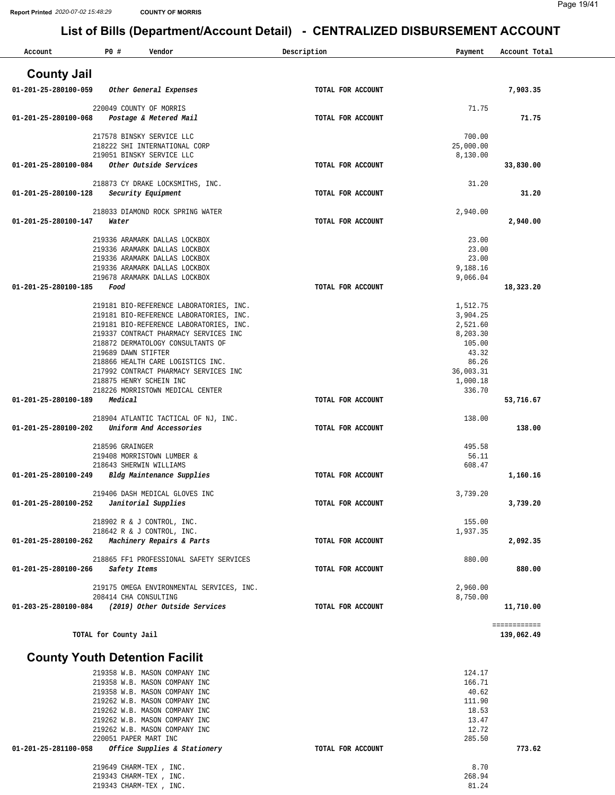219343 CHARM-TEX , INC. 219343 CHARM-TEX , INC.

### **List of Bills (Department/Account Detail) - CENTRALIZED DISBURSEMENT ACCOUNT**

| Account                               | P0 #                    | Vendor                                                                     | Description       | Payment               | Account Total              |
|---------------------------------------|-------------------------|----------------------------------------------------------------------------|-------------------|-----------------------|----------------------------|
| <b>County Jail</b>                    |                         |                                                                            |                   |                       |                            |
| 01-201-25-280100-059                  |                         | Other General Expenses                                                     | TOTAL FOR ACCOUNT |                       | 7,903.35                   |
|                                       | 220049 COUNTY OF MORRIS |                                                                            |                   | 71.75                 |                            |
| 01-201-25-280100-068                  |                         | Postage & Metered Mail                                                     | TOTAL FOR ACCOUNT |                       | 71.75                      |
|                                       |                         | 217578 BINSKY SERVICE LLC                                                  |                   | 700.00                |                            |
|                                       |                         | 218222 SHI INTERNATIONAL CORP<br>219051 BINSKY SERVICE LLC                 |                   | 25,000.00<br>8,130.00 |                            |
| 01-201-25-280100-084                  |                         | Other Outside Services                                                     | TOTAL FOR ACCOUNT |                       | 33,830.00                  |
|                                       |                         | 218873 CY DRAKE LOCKSMITHS, INC.                                           |                   | 31.20                 |                            |
| 01-201-25-280100-128                  |                         | Security Equipment                                                         | TOTAL FOR ACCOUNT |                       | 31.20                      |
|                                       |                         | 218033 DIAMOND ROCK SPRING WATER                                           |                   | 2,940.00              |                            |
| 01-201-25-280100-147                  | Water                   |                                                                            | TOTAL FOR ACCOUNT |                       | 2,940.00                   |
|                                       |                         | 219336 ARAMARK DALLAS LOCKBOX                                              |                   | 23.00                 |                            |
|                                       |                         | 219336 ARAMARK DALLAS LOCKBOX                                              |                   | 23.00                 |                            |
|                                       |                         | 219336 ARAMARK DALLAS LOCKBOX                                              |                   | 23.00                 |                            |
|                                       |                         | 219336 ARAMARK DALLAS LOCKBOX<br>219678 ARAMARK DALLAS LOCKBOX             |                   | 9,188.16<br>9,066.04  |                            |
| 01-201-25-280100-185                  | Food                    |                                                                            | TOTAL FOR ACCOUNT |                       | 18,323.20                  |
|                                       |                         | 219181 BIO-REFERENCE LABORATORIES, INC.                                    |                   | 1,512.75              |                            |
|                                       |                         | 219181 BIO-REFERENCE LABORATORIES, INC.                                    |                   | 3,904.25              |                            |
|                                       |                         | 219181 BIO-REFERENCE LABORATORIES, INC.                                    |                   | 2,521.60              |                            |
|                                       |                         | 219337 CONTRACT PHARMACY SERVICES INC<br>218872 DERMATOLOGY CONSULTANTS OF |                   | 8,203.30<br>105.00    |                            |
|                                       | 219689 DAWN STIFTER     |                                                                            |                   | 43.32                 |                            |
|                                       |                         | 218866 HEALTH CARE LOGISTICS INC.                                          |                   | 86.26                 |                            |
|                                       | 218875 HENRY SCHEIN INC | 217992 CONTRACT PHARMACY SERVICES INC                                      |                   | 36,003.31<br>1,000.18 |                            |
|                                       |                         | 218226 MORRISTOWN MEDICAL CENTER                                           |                   | 336.70                |                            |
| 01-201-25-280100-189                  | Medical                 |                                                                            | TOTAL FOR ACCOUNT |                       | 53,716.67                  |
|                                       |                         | 218904 ATLANTIC TACTICAL OF NJ, INC.                                       |                   | 138.00                |                            |
| $01 - 201 - 25 - 280100 - 202$        |                         | Uniform And Accessories                                                    | TOTAL FOR ACCOUNT |                       | 138.00                     |
|                                       | 218596 GRAINGER         |                                                                            |                   | 495.58                |                            |
|                                       | 218643 SHERWIN WILLIAMS | 219408 MORRISTOWN LUMBER &                                                 |                   | 56.11<br>608.47       |                            |
| 01-201-25-280100-249                  |                         | Bldg Maintenance Supplies                                                  | TOTAL FOR ACCOUNT |                       | 1,160.16                   |
|                                       |                         | 219406 DASH MEDICAL GLOVES INC                                             |                   | 3,739.20              |                            |
| 01-201-25-280100-252                  |                         | Janitorial Supplies                                                        | TOTAL FOR ACCOUNT |                       | 3,739.20                   |
|                                       |                         | 218902 R & J CONTROL, INC.                                                 |                   | 155.00                |                            |
|                                       |                         | 218642 R & J CONTROL, INC.                                                 |                   | 1,937.35              |                            |
| 01-201-25-280100-262                  |                         | Machinery Repairs & Parts                                                  | TOTAL FOR ACCOUNT |                       | 2,092.35                   |
|                                       |                         | 218865 FF1 PROFESSIONAL SAFETY SERVICES                                    |                   | 880.00                |                            |
| 01-201-25-280100-266                  | Safety Items            |                                                                            | TOTAL FOR ACCOUNT |                       | 880.00                     |
|                                       |                         | 219175 OMEGA ENVIRONMENTAL SERVICES, INC.                                  |                   | 2,960.00              |                            |
|                                       | 208414 CHA CONSULTING   | (2019) Other Outside Services                                              |                   | 8,750.00              |                            |
| 01-203-25-280100-084                  |                         |                                                                            | TOTAL FOR ACCOUNT |                       | 11,710.00                  |
|                                       | TOTAL for County Jail   |                                                                            |                   |                       | ============<br>139,062.49 |
|                                       |                         |                                                                            |                   |                       |                            |
| <b>County Youth Detention Facilit</b> |                         |                                                                            |                   |                       |                            |
|                                       |                         | 219358 W.B. MASON COMPANY INC<br>219358 W.B. MASON COMPANY INC             |                   | 124.17<br>166.71      |                            |
|                                       |                         | 219358 W.B. MASON COMPANY INC                                              |                   | 40.62                 |                            |
|                                       |                         | 219262 W.B. MASON COMPANY INC                                              |                   | 111.90                |                            |
|                                       |                         | 219262 W.B. MASON COMPANY INC                                              |                   | 18.53                 |                            |
|                                       |                         | 219262 W.B. MASON COMPANY INC<br>219262 W.B. MASON COMPANY INC             |                   | 13.47<br>12.72        |                            |
|                                       | 220051 PAPER MART INC   |                                                                            |                   | 285.50                |                            |
| 01-201-25-281100-058                  |                         | Office Supplies & Stationery                                               | TOTAL FOR ACCOUNT |                       | 773.62                     |
|                                       | 219649 CHARM-TEX, INC.  |                                                                            |                   | 8.70                  |                            |

268.94 81.24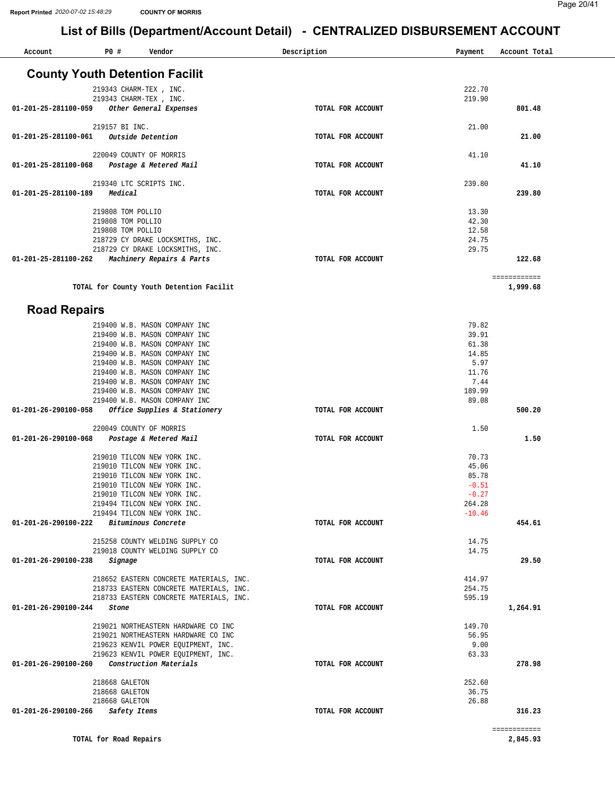**1,999.68**

### **List of Bills (Department/Account Detail) - CENTRALIZED DISBURSEMENT ACCOUNT**

| Account              | P0 #              | Vendor                                | Description       | Payment | Account Total |
|----------------------|-------------------|---------------------------------------|-------------------|---------|---------------|
|                      |                   | <b>County Youth Detention Facilit</b> |                   |         |               |
|                      |                   | 219343 CHARM-TEX, INC.                |                   | 222.70  |               |
|                      |                   | 219343 CHARM-TEX, INC.                |                   | 219.90  |               |
| 01-201-25-281100-059 |                   | Other General Expenses                | TOTAL FOR ACCOUNT |         | 801.48        |
|                      | 219157 BI INC.    |                                       |                   | 21.00   |               |
| 01-201-25-281100-061 |                   | Outside Detention                     | TOTAL FOR ACCOUNT |         | 21.00         |
|                      |                   | 220049 COUNTY OF MORRIS               |                   | 41.10   |               |
| 01-201-25-281100-068 |                   | Postage & Metered Mail                | TOTAL FOR ACCOUNT |         | 41.10         |
|                      |                   | 219340 LTC SCRIPTS INC.               |                   | 239.80  |               |
| 01-201-25-281100-189 | Medical           |                                       | TOTAL FOR ACCOUNT |         | 239.80        |
|                      | 219808 TOM POLLIO |                                       |                   | 13.30   |               |
|                      | 219808 TOM POLLIO |                                       |                   | 42.30   |               |
|                      | 219808 TOM POLLIO |                                       |                   | 12.58   |               |
|                      |                   | 218729 CY DRAKE LOCKSMITHS, INC.      |                   | 24.75   |               |
|                      |                   | 218729 CY DRAKE LOCKSMITHS, INC.      |                   | 29.75   |               |
| 01-201-25-281100-262 |                   | Machinery Repairs & Parts             | TOTAL FOR ACCOUNT |         | 122.68        |
|                      |                   |                                       |                   |         | ============  |

#### **TOTAL for County Youth Detention Facilit**

#### **Road Repairs**

| 219400 W.B. MASON COMPANY INC                            |                   | 79.82    |              |
|----------------------------------------------------------|-------------------|----------|--------------|
| 219400 W.B. MASON COMPANY INC                            |                   | 39.91    |              |
| 219400 W.B. MASON COMPANY INC                            |                   | 61.38    |              |
| 219400 W.B. MASON COMPANY INC                            |                   | 14.85    |              |
| 219400 W.B. MASON COMPANY INC                            |                   | 5.97     |              |
| 219400 W.B. MASON COMPANY INC                            |                   | 11.76    |              |
| 219400 W.B. MASON COMPANY INC                            |                   | 7.44     |              |
| 219400 W.B. MASON COMPANY INC                            |                   | 189.99   |              |
| 219400 W.B. MASON COMPANY INC                            |                   | 89.08    |              |
| Office Supplies & Stationery<br>01-201-26-290100-058     | TOTAL FOR ACCOUNT |          | 500.20       |
| 220049 COUNTY OF MORRIS                                  |                   | 1.50     |              |
| 01-201-26-290100-068 Postage & Metered Mail              | TOTAL FOR ACCOUNT |          | 1.50         |
| 219010 TILCON NEW YORK INC.                              |                   | 70.73    |              |
| 219010 TILCON NEW YORK INC.                              |                   | 45.06    |              |
| 219010 TILCON NEW YORK INC.                              |                   | 85.78    |              |
| 219010 TILCON NEW YORK INC.                              |                   | $-0.51$  |              |
| 219010 TILCON NEW YORK INC.                              |                   | $-0.27$  |              |
| 219494 TILCON NEW YORK INC.                              |                   | 264.28   |              |
| 219494 TILCON NEW YORK INC.                              |                   | $-10.46$ |              |
| 01-201-26-290100-222<br>Bituminous Concrete              | TOTAL FOR ACCOUNT |          | 454.61       |
| 215258 COUNTY WELDING SUPPLY CO                          |                   | 14.75    |              |
| 219018 COUNTY WELDING SUPPLY CO                          |                   | 14.75    |              |
| Signage<br>01-201-26-290100-238                          | TOTAL FOR ACCOUNT |          | 29.50        |
| 218652 EASTERN CONCRETE MATERIALS, INC.                  |                   | 414.97   |              |
| 218733 EASTERN CONCRETE MATERIALS, INC.                  |                   | 254.75   |              |
| 218733 EASTERN CONCRETE MATERIALS, INC.                  |                   | 595.19   |              |
| 01-201-26-290100-244<br>Stone                            | TOTAL FOR ACCOUNT |          | 1,264.91     |
| 219021 NORTHEASTERN HARDWARE CO INC                      |                   | 149.70   |              |
| 219021 NORTHEASTERN HARDWARE CO INC                      |                   | 56.95    |              |
| 219623 KENVIL POWER EQUIPMENT, INC.                      |                   | 9.00     |              |
| 219623 KENVIL POWER EOUIPMENT, INC.                      |                   | 63.33    |              |
| Construction Materials<br>$01 - 201 - 26 - 290100 - 260$ | TOTAL FOR ACCOUNT |          | 278.98       |
| 218668 GALETON                                           |                   | 252.60   |              |
| 218668 GALETON                                           |                   | 36.75    |              |
| 218668 GALETON                                           |                   | 26.88    |              |
| 01-201-26-290100-266 Safety Items                        | TOTAL FOR ACCOUNT |          | 316.23       |
|                                                          |                   |          | ============ |
| TOTAL for Road Repairs                                   |                   |          | 2,845.93     |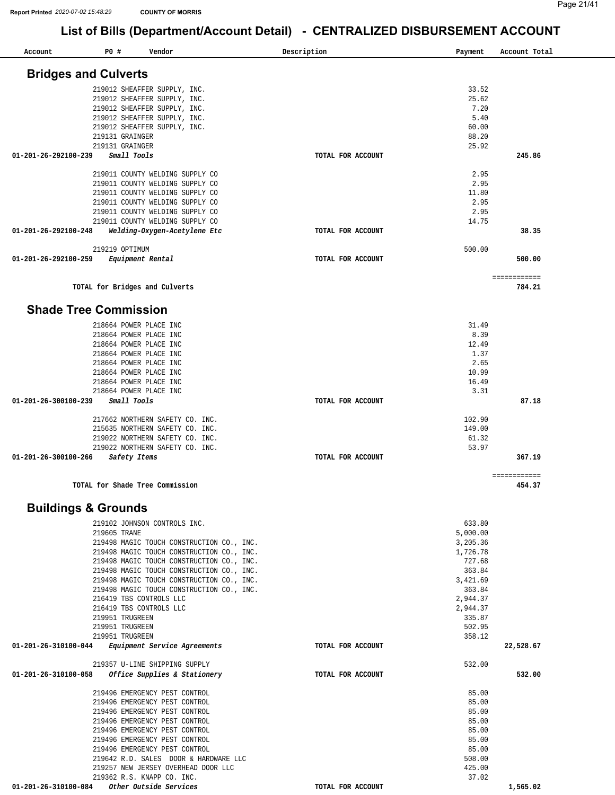**784.21** 

**454.37** 

### **List of Bills (Department/Account Detail) - CENTRALIZED DISBURSEMENT ACCOUNT**

| Account                     | P0 #            | Vendor                          | Description       | Payment | Account Total |
|-----------------------------|-----------------|---------------------------------|-------------------|---------|---------------|
|                             |                 |                                 |                   |         |               |
| <b>Bridges and Culverts</b> |                 |                                 |                   |         |               |
|                             |                 | 219012 SHEAFFER SUPPLY, INC.    |                   | 33.52   |               |
|                             |                 | 219012 SHEAFFER SUPPLY, INC.    |                   | 25.62   |               |
|                             |                 | 219012 SHEAFFER SUPPLY, INC.    |                   | 7.20    |               |
|                             |                 | 219012 SHEAFFER SUPPLY, INC.    |                   | 5.40    |               |
|                             |                 | 219012 SHEAFFER SUPPLY, INC.    |                   | 60.00   |               |
|                             | 219131 GRAINGER |                                 |                   | 88.20   |               |
|                             | 219131 GRAINGER |                                 |                   | 25.92   |               |
| 01-201-26-292100-239        | Small Tools     |                                 | TOTAL FOR ACCOUNT |         | 245.86        |
|                             |                 | 219011 COUNTY WELDING SUPPLY CO |                   | 2.95    |               |
|                             |                 | 219011 COUNTY WELDING SUPPLY CO |                   | 2.95    |               |
|                             |                 | 219011 COUNTY WELDING SUPPLY CO |                   | 11.80   |               |
|                             |                 | 219011 COUNTY WELDING SUPPLY CO |                   | 2.95    |               |
|                             |                 | 219011 COUNTY WELDING SUPPLY CO |                   | 2.95    |               |
|                             |                 | 219011 COUNTY WELDING SUPPLY CO |                   | 14.75   |               |
| 01-201-26-292100-248        |                 | Welding-Oxygen-Acetylene Etc    | TOTAL FOR ACCOUNT |         | 38.35         |
|                             | 219219 OPTIMUM  |                                 |                   | 500.00  |               |
| 01-201-26-292100-259        |                 | Equipment Rental                | TOTAL FOR ACCOUNT |         | 500.00        |

**TOTAL for Bridges and Culverts** 

#### **Shade Tree Commission**

| 218664 POWER PLACE INC               |                   | 31.49  |        |
|--------------------------------------|-------------------|--------|--------|
| 218664 POWER PLACE INC               |                   | 8.39   |        |
| 218664 POWER PLACE INC               |                   | 12.49  |        |
| 218664 POWER PLACE INC               |                   | 1.37   |        |
| 218664 POWER PLACE INC               |                   | 2.65   |        |
| 218664 POWER PLACE INC               |                   | 10.99  |        |
| 218664 POWER PLACE INC               |                   | 16.49  |        |
| 218664 POWER PLACE INC               |                   | 3.31   |        |
| Small Tools<br>01-201-26-300100-239  | TOTAL FOR ACCOUNT |        | 87.18  |
| 217662 NORTHERN SAFETY CO. INC.      |                   | 102.90 |        |
| 215635 NORTHERN SAFETY CO. INC.      |                   | 149.00 |        |
| 219022 NORTHERN SAFETY CO. INC.      |                   | 61.32  |        |
| 219022 NORTHERN SAFETY CO. INC.      |                   | 53.97  |        |
| 01-201-26-300100-266<br>Safety Items | TOTAL FOR ACCOUNT |        | 367.19 |
|                                      |                   |        |        |

============

**TOTAL for Shade Tree Commission** 

#### **Buildings & Grounds**

| 219102 JOHNSON CONTROLS INC.                      |                   | 633.80   |           |
|---------------------------------------------------|-------------------|----------|-----------|
| 219605 TRANE                                      |                   | 5,000.00 |           |
| 219498 MAGIC TOUCH CONSTRUCTION CO., INC.         |                   | 3,205.36 |           |
| 219498 MAGIC TOUCH CONSTRUCTION CO., INC.         |                   | 1,726.78 |           |
| 219498 MAGIC TOUCH CONSTRUCTION CO., INC.         |                   | 727.68   |           |
| 219498 MAGIC TOUCH CONSTRUCTION CO., INC.         |                   | 363.84   |           |
| 219498 MAGIC TOUCH CONSTRUCTION CO., INC.         |                   | 3,421.69 |           |
| 219498 MAGIC TOUCH CONSTRUCTION CO., INC.         |                   | 363.84   |           |
| 216419 TBS CONTROLS LLC                           |                   | 2,944.37 |           |
| 216419 TBS CONTROLS LLC                           |                   | 2,944.37 |           |
| 219951 TRUGREEN                                   |                   | 335.87   |           |
| 219951 TRUGREEN                                   |                   | 502.95   |           |
| 219951 TRUGREEN                                   |                   | 358.12   |           |
| 01-201-26-310100-044 Equipment Service Agreements | TOTAL FOR ACCOUNT |          | 22,528.67 |
| 219357 U-LINE SHIPPING SUPPLY                     |                   | 532.00   |           |
| 01-201-26-310100-058 Office Supplies & Stationery | TOTAL FOR ACCOUNT |          | 532.00    |
| 219496 EMERGENCY PEST CONTROL                     |                   | 85.00    |           |
| 219496 EMERGENCY PEST CONTROL                     |                   | 85.00    |           |
| 219496 EMERGENCY PEST CONTROL                     |                   | 85.00    |           |
| 219496 EMERGENCY PEST CONTROL                     |                   | 85.00    |           |
| 219496 EMERGENCY PEST CONTROL                     |                   | 85.00    |           |
| 219496 EMERGENCY PEST CONTROL                     |                   | 85.00    |           |
| 219496 EMERGENCY PEST CONTROL                     |                   | 85.00    |           |
| 219642 R.D. SALES DOOR & HARDWARE LLC             |                   | 508.00   |           |
| 219257 NEW JERSEY OVERHEAD DOOR LLC               |                   | 425.00   |           |
| 219362 R.S. KNAPP CO. INC.                        |                   | 37.02    |           |
|                                                   | TOTAL FOR ACCOUNT |          | 1,565.02  |
|                                                   |                   |          |           |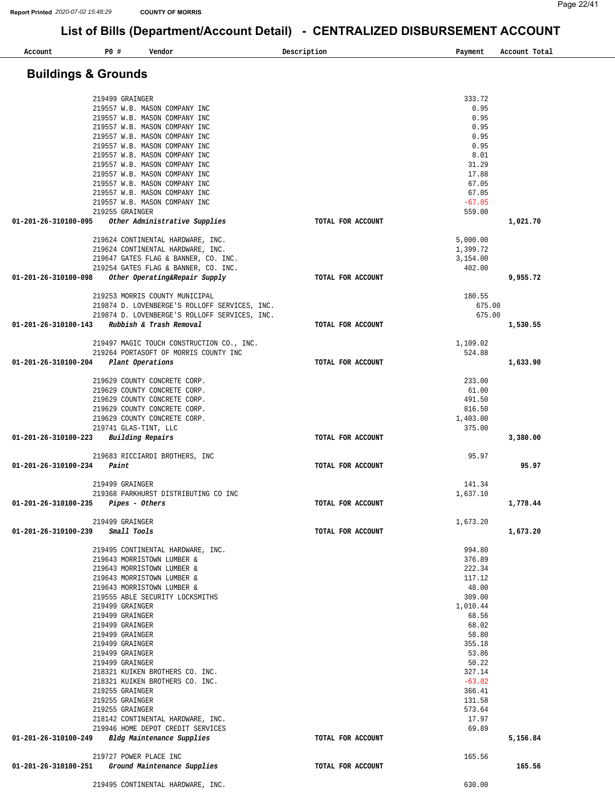| Account                                | P0 #                               | Vendor                                                                             | Description       | Payment              | Account Total |
|----------------------------------------|------------------------------------|------------------------------------------------------------------------------------|-------------------|----------------------|---------------|
|                                        |                                    |                                                                                    |                   |                      |               |
| <b>Buildings &amp; Grounds</b>         |                                    |                                                                                    |                   |                      |               |
|                                        |                                    |                                                                                    |                   |                      |               |
|                                        | 219499 GRAINGER                    | 219557 W.B. MASON COMPANY INC                                                      |                   | 333.72<br>0.95       |               |
|                                        |                                    | 219557 W.B. MASON COMPANY INC                                                      |                   | 0.95                 |               |
|                                        |                                    | 219557 W.B. MASON COMPANY INC                                                      |                   | 0.95                 |               |
|                                        |                                    | 219557 W.B. MASON COMPANY INC                                                      |                   | 0.95                 |               |
|                                        |                                    | 219557 W.B. MASON COMPANY INC                                                      |                   | 0.95                 |               |
|                                        |                                    | 219557 W.B. MASON COMPANY INC<br>219557 W.B. MASON COMPANY INC                     |                   | 8.01<br>31.29        |               |
|                                        |                                    | 219557 W.B. MASON COMPANY INC                                                      |                   | 17.88                |               |
|                                        |                                    | 219557 W.B. MASON COMPANY INC                                                      |                   | 67.05                |               |
|                                        |                                    | 219557 W.B. MASON COMPANY INC                                                      |                   | 67.05                |               |
|                                        | 219255 GRAINGER                    | 219557 W.B. MASON COMPANY INC                                                      |                   | $-67.05$<br>559.00   |               |
| 01-201-26-310100-095                   |                                    | Other Administrative Supplies                                                      | TOTAL FOR ACCOUNT |                      | 1,021.70      |
|                                        |                                    |                                                                                    |                   |                      |               |
|                                        |                                    | 219624 CONTINENTAL HARDWARE, INC.                                                  |                   | 5,000.00             |               |
|                                        |                                    | 219624 CONTINENTAL HARDWARE, INC.<br>219647 GATES FLAG & BANNER, CO. INC.          |                   | 1,399.72<br>3,154.00 |               |
|                                        |                                    | 219254 GATES FLAG & BANNER, CO. INC.                                               |                   | 402.00               |               |
| 01-201-26-310100-098                   |                                    | Other Operating&Repair Supply                                                      | TOTAL FOR ACCOUNT |                      | 9,955.72      |
|                                        |                                    |                                                                                    |                   |                      |               |
|                                        |                                    | 219253 MORRIS COUNTY MUNICIPAL<br>219874 D. LOVENBERGE'S ROLLOFF SERVICES, INC.    |                   | 180.55<br>675.00     |               |
|                                        |                                    | 219874 D. LOVENBERGE'S ROLLOFF SERVICES, INC.                                      |                   | 675.00               |               |
|                                        |                                    | 01-201-26-310100-143 Rubbish & Trash Removal                                       | TOTAL FOR ACCOUNT |                      | 1,530.55      |
|                                        |                                    |                                                                                    |                   |                      |               |
|                                        |                                    | 219497 MAGIC TOUCH CONSTRUCTION CO., INC.<br>219264 PORTASOFT OF MORRIS COUNTY INC |                   | 1,109.02<br>524.88   |               |
| 01-201-26-310100-204                   |                                    | Plant Operations                                                                   | TOTAL FOR ACCOUNT |                      | 1,633.90      |
|                                        |                                    |                                                                                    |                   |                      |               |
|                                        |                                    | 219629 COUNTY CONCRETE CORP.<br>219629 COUNTY CONCRETE CORP.                       |                   | 233.00<br>61.00      |               |
|                                        |                                    | 219629 COUNTY CONCRETE CORP.                                                       |                   | 491.50               |               |
|                                        |                                    | 219629 COUNTY CONCRETE CORP.                                                       |                   | 816.50               |               |
|                                        |                                    | 219629 COUNTY CONCRETE CORP.                                                       |                   | 1,403.00             |               |
| 01-201-26-310100-223 Building Repairs  |                                    | 219741 GLAS-TINT, LLC                                                              | TOTAL FOR ACCOUNT | 375.00               | 3,380.00      |
|                                        |                                    |                                                                                    |                   |                      |               |
|                                        |                                    | 219683 RICCIARDI BROTHERS, INC                                                     |                   | 95.97                |               |
| 01-201-26-310100-234                   | Paint                              |                                                                                    | TOTAL FOR ACCOUNT |                      | 95.97         |
|                                        | 219499 GRAINGER                    |                                                                                    |                   | 141.34               |               |
|                                        |                                    | 219368 PARKHURST DISTRIBUTING CO INC                                               |                   | 1,637.10             |               |
| 01-201-26-310100-235    Pipes - Others |                                    |                                                                                    | TOTAL FOR ACCOUNT |                      | 1,778.44      |
|                                        | 219499 GRAINGER                    |                                                                                    |                   | 1,673.20             |               |
| 01-201-26-310100-239                   |                                    | Small Tools                                                                        | TOTAL FOR ACCOUNT |                      | 1,673.20      |
|                                        |                                    |                                                                                    |                   |                      |               |
|                                        |                                    | 219495 CONTINENTAL HARDWARE, INC.<br>219643 MORRISTOWN LUMBER &                    |                   | 994.80               |               |
|                                        |                                    | 219643 MORRISTOWN LUMBER &                                                         |                   | 376.89<br>222.34     |               |
|                                        |                                    | 219643 MORRISTOWN LUMBER &                                                         |                   | 117.12               |               |
|                                        |                                    | 219643 MORRISTOWN LUMBER &                                                         |                   | 48.00                |               |
|                                        |                                    | 219555 ABLE SECURITY LOCKSMITHS                                                    |                   | 309.00               |               |
|                                        | 219499 GRAINGER<br>219499 GRAINGER |                                                                                    |                   | 1,010.44<br>68.56    |               |
|                                        | 219499 GRAINGER                    |                                                                                    |                   | 68.02                |               |
|                                        | 219499 GRAINGER                    |                                                                                    |                   | 58.80                |               |
|                                        | 219499 GRAINGER                    |                                                                                    |                   | 355.18               |               |
|                                        | 219499 GRAINGER                    |                                                                                    |                   | 53.86                |               |
|                                        | 219499 GRAINGER                    | 218321 KUIKEN BROTHERS CO. INC.                                                    |                   | 50.22<br>327.14      |               |
|                                        |                                    | 218321 KUIKEN BROTHERS CO. INC.                                                    |                   | $-63.02$             |               |
|                                        | 219255 GRAINGER                    |                                                                                    |                   | 366.41               |               |
|                                        | 219255 GRAINGER                    |                                                                                    |                   | 131.58               |               |
|                                        | 219255 GRAINGER                    | 218142 CONTINENTAL HARDWARE, INC.                                                  |                   | 573.64<br>17.97      |               |
|                                        |                                    | 219946 HOME DEPOT CREDIT SERVICES                                                  |                   | 69.89                |               |
|                                        |                                    | 01-201-26-310100-249 Bldg Maintenance Supplies                                     | TOTAL FOR ACCOUNT |                      | 5,156.84      |
|                                        |                                    |                                                                                    |                   |                      |               |
|                                        |                                    | 219727 POWER PLACE INC<br>01-201-26-310100-251 Ground Maintenance Supplies         | TOTAL FOR ACCOUNT | 165.56               | 165.56        |
|                                        |                                    |                                                                                    |                   |                      |               |
|                                        |                                    | 219495 CONTINENTAL HARDWARE, INC.                                                  |                   | 630.00               |               |
|                                        |                                    |                                                                                    |                   |                      |               |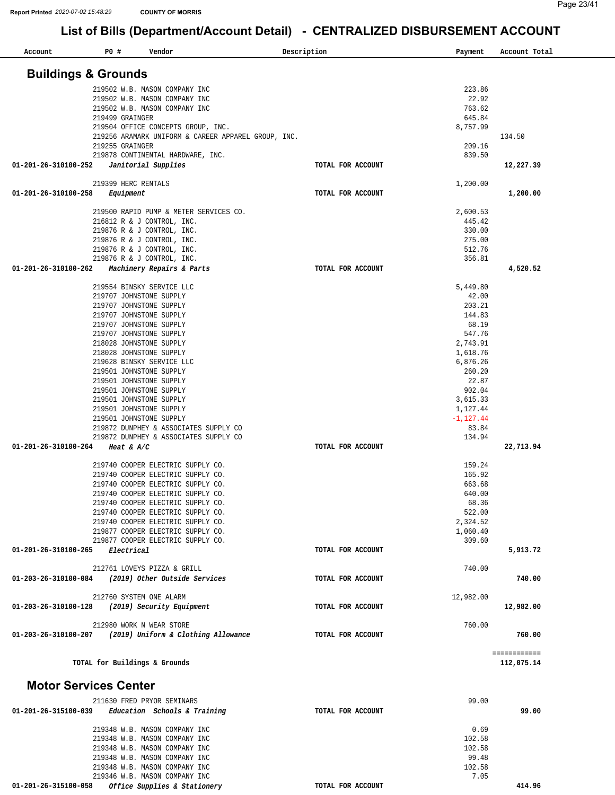| Account                        | P0#             |              | Vendor                                                   | Description       | Payment                  | Account Total |
|--------------------------------|-----------------|--------------|----------------------------------------------------------|-------------------|--------------------------|---------------|
| <b>Buildings &amp; Grounds</b> |                 |              |                                                          |                   |                          |               |
|                                |                 |              | 219502 W.B. MASON COMPANY INC                            |                   | 223.86                   |               |
|                                |                 |              | 219502 W.B. MASON COMPANY INC                            |                   | 22.92                    |               |
|                                |                 |              | 219502 W.B. MASON COMPANY INC                            |                   | 763.62                   |               |
|                                | 219499 GRAINGER |              |                                                          |                   | 645.84                   |               |
|                                |                 |              | 219504 OFFICE CONCEPTS GROUP, INC.                       |                   | 8,757.99                 |               |
|                                |                 |              | 219256 ARAMARK UNIFORM & CAREER APPAREL GROUP, INC.      |                   |                          | 134.50        |
|                                | 219255 GRAINGER |              |                                                          |                   | 209.16                   |               |
|                                |                 |              | 219878 CONTINENTAL HARDWARE, INC.                        |                   | 839.50                   |               |
| 01-201-26-310100-252           |                 |              | Janitorial Supplies                                      | TOTAL FOR ACCOUNT |                          | 12,227.39     |
|                                |                 |              | 219399 HERC RENTALS                                      |                   | 1,200.00                 |               |
| 01-201-26-310100-258           |                 | Equipment    |                                                          | TOTAL FOR ACCOUNT |                          | 1,200.00      |
|                                |                 |              |                                                          |                   |                          |               |
|                                |                 |              | 219500 RAPID PUMP & METER SERVICES CO.                   |                   | 2,600.53                 |               |
|                                |                 |              | 216812 R & J CONTROL, INC.                               |                   | 445.42                   |               |
|                                |                 |              | 219876 R & J CONTROL, INC.                               |                   | 330.00                   |               |
|                                |                 |              | 219876 R & J CONTROL, INC.                               |                   | 275.00                   |               |
|                                |                 |              | 219876 R & J CONTROL, INC.                               |                   | 512.76                   |               |
|                                |                 |              | 219876 R & J CONTROL, INC.                               |                   | 356.81                   |               |
| 01-201-26-310100-262           |                 |              | Machinery Repairs & Parts                                | TOTAL FOR ACCOUNT |                          | 4,520.52      |
|                                |                 |              | 219554 BINSKY SERVICE LLC                                |                   | 5,449.80                 |               |
|                                |                 |              | 219707 JOHNSTONE SUPPLY                                  |                   | 42.00                    |               |
|                                |                 |              | 219707 JOHNSTONE SUPPLY                                  |                   | 203.21                   |               |
|                                |                 |              | 219707 JOHNSTONE SUPPLY                                  |                   | 144.83                   |               |
|                                |                 |              | 219707 JOHNSTONE SUPPLY                                  |                   | 68.19                    |               |
|                                |                 |              | 219707 JOHNSTONE SUPPLY                                  |                   | 547.76                   |               |
|                                |                 |              | 218028 JOHNSTONE SUPPLY                                  |                   | 2,743.91                 |               |
|                                |                 |              | 218028 JOHNSTONE SUPPLY                                  |                   | 1,618.76                 |               |
|                                |                 |              | 219628 BINSKY SERVICE LLC                                |                   | 6,876.26                 |               |
|                                |                 |              | 219501 JOHNSTONE SUPPLY                                  |                   | 260.20                   |               |
|                                |                 |              | 219501 JOHNSTONE SUPPLY                                  |                   | 22.87                    |               |
|                                |                 |              | 219501 JOHNSTONE SUPPLY                                  |                   | 902.04                   |               |
|                                |                 |              | 219501 JOHNSTONE SUPPLY                                  |                   | 3,615.33                 |               |
|                                |                 |              | 219501 JOHNSTONE SUPPLY<br>219501 JOHNSTONE SUPPLY       |                   | 1,127.44<br>$-1, 127.44$ |               |
|                                |                 |              | 219872 DUNPHEY & ASSOCIATES SUPPLY CO                    |                   | 83.84                    |               |
|                                |                 |              | 219872 DUNPHEY & ASSOCIATES SUPPLY CO                    |                   | 134.94                   |               |
| 01-201-26-310100-264           |                 | Heat & $A/C$ |                                                          | TOTAL FOR ACCOUNT |                          | 22,713.94     |
|                                |                 |              |                                                          |                   |                          |               |
|                                |                 |              | 219740 COOPER ELECTRIC SUPPLY CO.                        |                   | 159.24                   |               |
|                                |                 |              | 219740 COOPER ELECTRIC SUPPLY CO.                        |                   | 165.92                   |               |
|                                |                 |              | 219740 COOPER ELECTRIC SUPPLY CO.                        |                   | 663.68                   |               |
|                                |                 |              | 219740 COOPER ELECTRIC SUPPLY CO.                        |                   | 640.00                   |               |
|                                |                 |              | 219740 COOPER ELECTRIC SUPPLY CO.                        |                   | 68.36                    |               |
|                                |                 |              | 219740 COOPER ELECTRIC SUPPLY CO.                        |                   | 522.00                   |               |
|                                |                 |              | 219740 COOPER ELECTRIC SUPPLY CO.                        |                   | 2,324.52                 |               |
|                                |                 |              | 219877 COOPER ELECTRIC SUPPLY CO.                        |                   | 1,060.40                 |               |
|                                |                 |              | 219877 COOPER ELECTRIC SUPPLY CO.                        |                   | 309.60                   |               |
| 01-201-26-310100-265           |                 | Electrical   |                                                          | TOTAL FOR ACCOUNT |                          | 5,913.72      |
|                                |                 |              | 212761 LOVEYS PIZZA & GRILL                              |                   | 740.00                   |               |
| 01-203-26-310100-084           |                 |              | (2019) Other Outside Services                            | TOTAL FOR ACCOUNT |                          | 740.00        |
|                                |                 |              |                                                          |                   |                          |               |
|                                |                 |              | 212760 SYSTEM ONE ALARM                                  |                   | 12,982.00                |               |
| 01-203-26-310100-128           |                 |              | (2019) Security Equipment                                | TOTAL FOR ACCOUNT |                          | 12,982.00     |
|                                |                 |              |                                                          |                   |                          |               |
|                                |                 |              | 212980 WORK N WEAR STORE                                 |                   | 760.00                   |               |
|                                |                 |              | 01-203-26-310100-207 (2019) Uniform & Clothing Allowance | TOTAL FOR ACCOUNT |                          | 760.00        |
|                                |                 |              |                                                          |                   |                          | ============  |
|                                |                 |              | TOTAL for Buildings & Grounds                            |                   |                          | 112,075.14    |
| <b>Motor Services Center</b>   |                 |              |                                                          |                   |                          |               |
|                                |                 |              |                                                          |                   | 99.00                    |               |
| 01-201-26-315100-039           |                 |              | 211630 FRED PRYOR SEMINARS                               |                   |                          | 99.00         |
|                                |                 |              | Education Schools & Training                             | TOTAL FOR ACCOUNT |                          |               |
|                                |                 |              | 219348 W.B. MASON COMPANY INC                            |                   | 0.69                     |               |
|                                |                 |              | 219348 W.B. MASON COMPANY INC                            |                   | 102.58                   |               |
|                                |                 |              | 219348 W.B. MASON COMPANY INC                            |                   | 102.58                   |               |
|                                |                 |              | 219348 W.B. MASON COMPANY INC                            |                   | 99.48                    |               |
|                                |                 |              | 219348 W.B. MASON COMPANY INC                            |                   | 102.58                   |               |
|                                |                 |              | 219346 W.B. MASON COMPANY INC                            |                   | 7.05                     |               |
| 01-201-26-315100-058           |                 |              | Office Supplies & Stationery                             | TOTAL FOR ACCOUNT |                          | 414.96        |
|                                |                 |              |                                                          |                   |                          |               |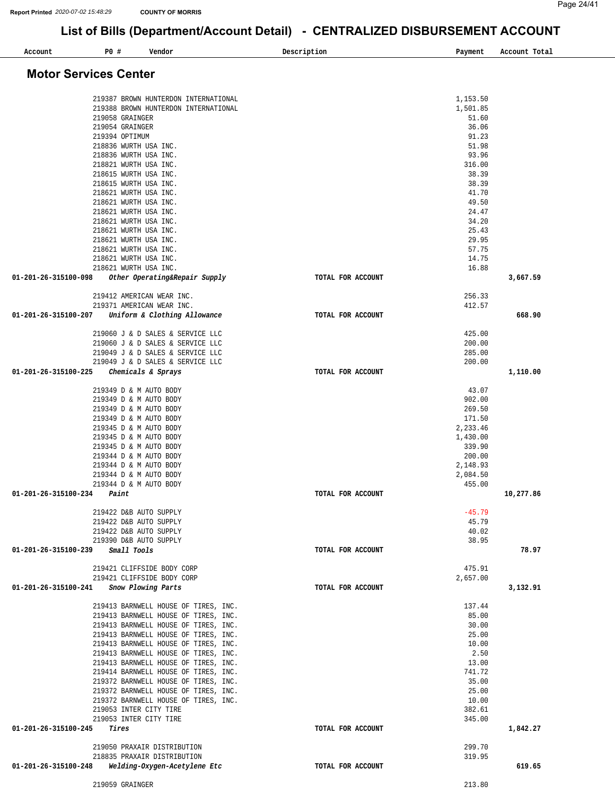| P0 #<br>Vendor<br>Account                                                      | Description       | Payment            | Account Total |
|--------------------------------------------------------------------------------|-------------------|--------------------|---------------|
| <b>Motor Services Center</b>                                                   |                   |                    |               |
| 219387 BROWN HUNTERDON INTERNATIONAL                                           |                   | 1,153.50           |               |
| 219388 BROWN HUNTERDON INTERNATIONAL                                           |                   | 1,501.85           |               |
| 219058 GRAINGER                                                                |                   | 51.60              |               |
| 219054 GRAINGER                                                                |                   | 36.06              |               |
| 219394 OPTIMUM<br>218836 WURTH USA INC.                                        |                   | 91.23<br>51.98     |               |
| 218836 WURTH USA INC.                                                          |                   | 93.96              |               |
| 218821 WURTH USA INC.                                                          |                   | 316.00             |               |
| 218615 WURTH USA INC.                                                          |                   | 38.39              |               |
| 218615 WURTH USA INC.                                                          |                   | 38.39              |               |
| 218621 WURTH USA INC.                                                          |                   | 41.70              |               |
| 218621 WURTH USA INC.<br>218621 WURTH USA INC.                                 |                   | 49.50<br>24.47     |               |
| 218621 WURTH USA INC.                                                          |                   | 34.20              |               |
| 218621 WURTH USA INC.                                                          |                   | 25.43              |               |
| 218621 WURTH USA INC.                                                          |                   | 29.95              |               |
| 218621 WURTH USA INC.                                                          |                   | 57.75              |               |
| 218621 WURTH USA INC.                                                          |                   | 14.75              |               |
| 218621 WURTH USA INC.<br>01-201-26-315100-098<br>Other Operating&Repair Supply | TOTAL FOR ACCOUNT | 16.88              | 3,667.59      |
|                                                                                |                   |                    |               |
| 219412 AMERICAN WEAR INC.                                                      |                   | 256.33             |               |
| 219371 AMERICAN WEAR INC.                                                      |                   | 412.57             |               |
| Uniform & Clothing Allowance<br>01-201-26-315100-207                           | TOTAL FOR ACCOUNT |                    | 668.90        |
| 219060 J & D SALES & SERVICE LLC                                               |                   | 425.00             |               |
| 219060 J & D SALES & SERVICE LLC                                               |                   | 200.00             |               |
| 219049 J & D SALES & SERVICE LLC                                               |                   | 285.00             |               |
| 219049 J & D SALES & SERVICE LLC<br>01-201-26-315100-225<br>Chemicals & Sprays | TOTAL FOR ACCOUNT | 200.00             | 1,110.00      |
|                                                                                |                   |                    |               |
| 219349 D & M AUTO BODY                                                         |                   | 43.07              |               |
| 219349 D & M AUTO BODY                                                         |                   | 902.00             |               |
| 219349 D & M AUTO BODY<br>219349 D & M AUTO BODY                               |                   | 269.50<br>171.50   |               |
| 219345 D & M AUTO BODY                                                         |                   | 2,233.46           |               |
| 219345 D & M AUTO BODY                                                         |                   | 1,430.00           |               |
| 219345 D & M AUTO BODY                                                         |                   | 339.90             |               |
| 219344 D & M AUTO BODY                                                         |                   | 200.00             |               |
| 219344 D & M AUTO BODY                                                         |                   | 2,148.93           |               |
| 219344 D & M AUTO BODY<br>219344 D & M AUTO BODY                               |                   | 2,084.50<br>455.00 |               |
| 01-201-26-315100-234<br>Paint                                                  | TOTAL FOR ACCOUNT |                    | 10,277.86     |
|                                                                                |                   |                    |               |
| 219422 D&B AUTO SUPPLY<br>219422 D&B AUTO SUPPLY                               |                   | $-45.79$<br>45.79  |               |
| 219422 D&B AUTO SUPPLY                                                         |                   | 40.02              |               |
| 219390 D&B AUTO SUPPLY                                                         |                   | 38.95              |               |
| Small Tools<br>01-201-26-315100-239                                            | TOTAL FOR ACCOUNT |                    | 78.97         |
| 219421 CLIFFSIDE BODY CORP                                                     |                   | 475.91             |               |
| 219421 CLIFFSIDE BODY CORP                                                     |                   | 2,657.00           |               |
| 01-201-26-315100-241<br>Snow Plowing Parts                                     | TOTAL FOR ACCOUNT |                    | 3,132.91      |
|                                                                                |                   |                    |               |
| 219413 BARNWELL HOUSE OF TIRES, INC.<br>219413 BARNWELL HOUSE OF TIRES, INC.   |                   | 137.44<br>85.00    |               |
| 219413 BARNWELL HOUSE OF TIRES, INC.                                           |                   | 30.00              |               |
| 219413 BARNWELL HOUSE OF TIRES, INC.                                           |                   | 25.00              |               |
| 219413 BARNWELL HOUSE OF TIRES, INC.                                           |                   | 10.00              |               |
| 219413 BARNWELL HOUSE OF TIRES, INC.                                           |                   | 2.50               |               |
| 219413 BARNWELL HOUSE OF TIRES, INC.                                           |                   | 13.00<br>741.72    |               |
| 219414 BARNWELL HOUSE OF TIRES, INC.<br>219372 BARNWELL HOUSE OF TIRES, INC.   |                   | 35.00              |               |
| 219372 BARNWELL HOUSE OF TIRES, INC.                                           |                   | 25.00              |               |
| 219372 BARNWELL HOUSE OF TIRES, INC.                                           |                   | 10.00              |               |
| 219053 INTER CITY TIRE                                                         |                   | 382.61             |               |
| 219053 INTER CITY TIRE                                                         |                   | 345.00             |               |
| 01-201-26-315100-245<br>Tires                                                  | TOTAL FOR ACCOUNT |                    | 1,842.27      |
| 219050 PRAXAIR DISTRIBUTION                                                    |                   | 299.70             |               |
| 218835 PRAXAIR DISTRIBUTION                                                    |                   | 319.95             |               |
| Welding-Oxygen-Acetylene Etc<br>01-201-26-315100-248                           | TOTAL FOR ACCOUNT |                    | 619.65        |

219059 GRAINGER 213.80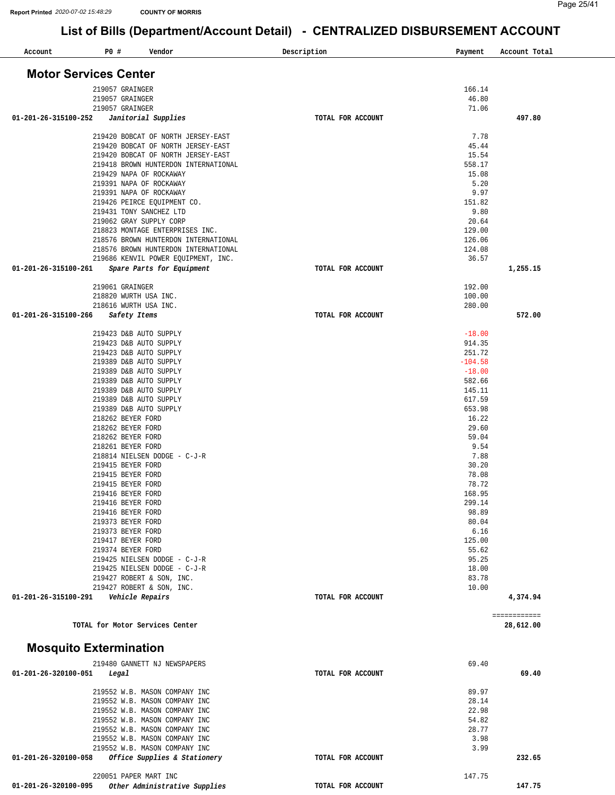| Account                       | P0 # | Vendor                                                                   | Description       | Payment            | Account Total             |
|-------------------------------|------|--------------------------------------------------------------------------|-------------------|--------------------|---------------------------|
| <b>Motor Services Center</b>  |      |                                                                          |                   |                    |                           |
|                               |      | 219057 GRAINGER                                                          |                   | 166.14             |                           |
|                               |      | 219057 GRAINGER                                                          |                   | 46.80              |                           |
| 01-201-26-315100-252          |      | 219057 GRAINGER<br>Janitorial Supplies                                   | TOTAL FOR ACCOUNT | 71.06              | 497.80                    |
|                               |      |                                                                          |                   |                    |                           |
|                               |      | 219420 BOBCAT OF NORTH JERSEY-EAST                                       |                   | 7.78               |                           |
|                               |      | 219420 BOBCAT OF NORTH JERSEY-EAST<br>219420 BOBCAT OF NORTH JERSEY-EAST |                   | 45.44<br>15.54     |                           |
|                               |      | 219418 BROWN HUNTERDON INTERNATIONAL                                     |                   | 558.17             |                           |
|                               |      | 219429 NAPA OF ROCKAWAY                                                  |                   | 15.08              |                           |
|                               |      | 219391 NAPA OF ROCKAWAY                                                  |                   | 5.20<br>9.97       |                           |
|                               |      | 219391 NAPA OF ROCKAWAY<br>219426 PEIRCE EQUIPMENT CO.                   |                   | 151.82             |                           |
|                               |      | 219431 TONY SANCHEZ LTD                                                  |                   | 9.80               |                           |
|                               |      | 219062 GRAY SUPPLY CORP                                                  |                   | 20.64              |                           |
|                               |      | 218823 MONTAGE ENTERPRISES INC.<br>218576 BROWN HUNTERDON INTERNATIONAL  |                   | 129.00<br>126.06   |                           |
|                               |      | 218576 BROWN HUNTERDON INTERNATIONAL                                     |                   | 124.08             |                           |
|                               |      | 219686 KENVIL POWER EQUIPMENT, INC.                                      |                   | 36.57              |                           |
| 01-201-26-315100-261          |      | Spare Parts for Equipment                                                | TOTAL FOR ACCOUNT |                    | 1,255.15                  |
|                               |      | 219061 GRAINGER                                                          |                   | 192.00             |                           |
|                               |      | 218820 WURTH USA INC.                                                    |                   | 100.00             |                           |
| 01-201-26-315100-266          |      | 218616 WURTH USA INC.<br>Safety Items                                    | TOTAL FOR ACCOUNT | 280.00             | 572.00                    |
|                               |      |                                                                          |                   |                    |                           |
|                               |      | 219423 D&B AUTO SUPPLY<br>219423 D&B AUTO SUPPLY                         |                   | $-18.00$<br>914.35 |                           |
|                               |      | 219423 D&B AUTO SUPPLY                                                   |                   | 251.72             |                           |
|                               |      | 219389 D&B AUTO SUPPLY                                                   |                   | $-104.58$          |                           |
|                               |      | 219389 D&B AUTO SUPPLY<br>219389 D&B AUTO SUPPLY                         |                   | $-18.00$<br>582.66 |                           |
|                               |      | 219389 D&B AUTO SUPPLY                                                   |                   | 145.11             |                           |
|                               |      | 219389 D&B AUTO SUPPLY                                                   |                   | 617.59             |                           |
|                               |      | 219389 D&B AUTO SUPPLY                                                   |                   | 653.98             |                           |
|                               |      | 218262 BEYER FORD<br>218262 BEYER FORD                                   |                   | 16.22<br>29.60     |                           |
|                               |      | 218262 BEYER FORD                                                        |                   | 59.04              |                           |
|                               |      | 218261 BEYER FORD                                                        |                   | 9.54               |                           |
|                               |      | 218814 NIELSEN DODGE - C-J-R                                             |                   | 7.88               |                           |
|                               |      | 219415 BEYER FORD<br>219415 BEYER FORD                                   |                   | 30.20<br>78.08     |                           |
|                               |      | 219415 BEYER FORD                                                        |                   | 78.72              |                           |
|                               |      | 219416 BEYER FORD                                                        |                   | 168.95             |                           |
|                               |      | 219416 BEYER FORD                                                        |                   | 299.14             |                           |
|                               |      | 219416 BEYER FORD<br>219373 BEYER FORD                                   |                   | 98.89<br>80.04     |                           |
|                               |      | 219373 BEYER FORD                                                        |                   | 6.16               |                           |
|                               |      | 219417 BEYER FORD                                                        |                   | 125.00             |                           |
|                               |      | 219374 BEYER FORD<br>219425 NIELSEN DODGE - C-J-R                        |                   | 55.62<br>95.25     |                           |
|                               |      | 219425 NIELSEN DODGE - C-J-R                                             |                   | 18.00              |                           |
|                               |      | 219427 ROBERT & SON, INC.                                                |                   | 83.78              |                           |
| 01-201-26-315100-291          |      | 219427 ROBERT & SON, INC.<br>Vehicle Repairs                             | TOTAL FOR ACCOUNT | 10.00              | 4,374.94                  |
|                               |      |                                                                          |                   |                    |                           |
|                               |      | TOTAL for Motor Services Center                                          |                   |                    | ============<br>28,612.00 |
| <b>Mosquito Extermination</b> |      |                                                                          |                   |                    |                           |
|                               |      | 219480 GANNETT NJ NEWSPAPERS                                             |                   | 69.40              |                           |
| 01-201-26-320100-051          |      | Legal                                                                    | TOTAL FOR ACCOUNT |                    | 69.40                     |
|                               |      | 219552 W.B. MASON COMPANY INC                                            |                   | 89.97              |                           |
|                               |      | 219552 W.B. MASON COMPANY INC                                            |                   | 28.14              |                           |
|                               |      | 219552 W.B. MASON COMPANY INC                                            |                   | 22.98              |                           |
|                               |      | 219552 W.B. MASON COMPANY INC                                            |                   | 54.82<br>28.77     |                           |
|                               |      | 219552 W.B. MASON COMPANY INC<br>219552 W.B. MASON COMPANY INC           |                   | 3.98               |                           |
|                               |      | 219552 W.B. MASON COMPANY INC                                            |                   | 3.99               |                           |
| 01-201-26-320100-058          |      | Office Supplies & Stationery                                             | TOTAL FOR ACCOUNT |                    | 232.65                    |
|                               |      | 220051 PAPER MART INC                                                    |                   | 147.75             |                           |
| 01-201-26-320100-095          |      | Other Administrative Supplies                                            | TOTAL FOR ACCOUNT |                    | 147.75                    |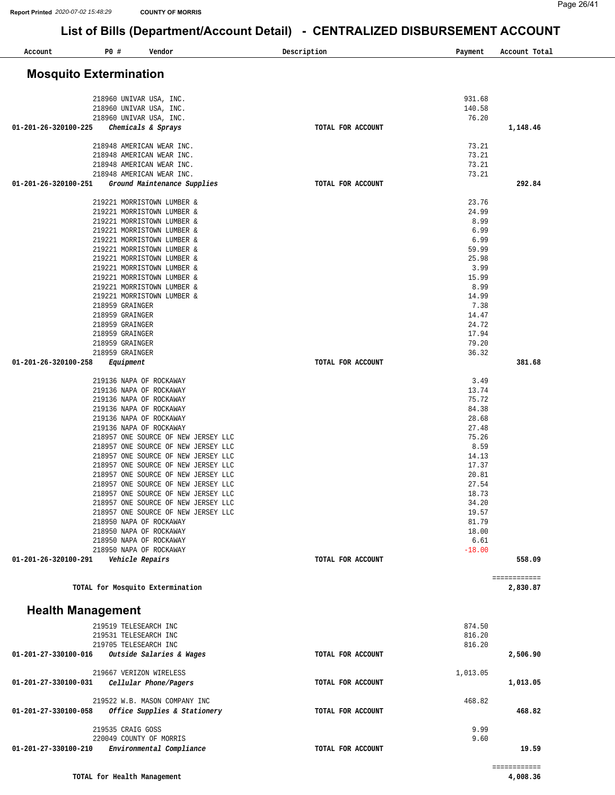| P0 #<br>Account                    | Vendor                                                                     | Description       | Payment          | Account Total            |
|------------------------------------|----------------------------------------------------------------------------|-------------------|------------------|--------------------------|
|                                    |                                                                            |                   |                  |                          |
| <b>Mosquito Extermination</b>      |                                                                            |                   |                  |                          |
|                                    | 218960 UNIVAR USA, INC.                                                    |                   | 931.68           |                          |
|                                    | 218960 UNIVAR USA, INC.                                                    |                   | 140.58           |                          |
|                                    | 218960 UNIVAR USA, INC.                                                    |                   | 76.20            |                          |
| 01-201-26-320100-225               | Chemicals & Sprays                                                         | TOTAL FOR ACCOUNT |                  | 1,148.46                 |
|                                    | 218948 AMERICAN WEAR INC.                                                  |                   | 73.21            |                          |
|                                    | 218948 AMERICAN WEAR INC.                                                  |                   | 73.21            |                          |
|                                    | 218948 AMERICAN WEAR INC.<br>218948 AMERICAN WEAR INC.                     |                   | 73.21<br>73.21   |                          |
| 01-201-26-320100-251               | Ground Maintenance Supplies                                                | TOTAL FOR ACCOUNT |                  | 292.84                   |
|                                    |                                                                            |                   |                  |                          |
|                                    | 219221 MORRISTOWN LUMBER &<br>219221 MORRISTOWN LUMBER &                   |                   | 23.76<br>24.99   |                          |
|                                    | 219221 MORRISTOWN LUMBER &                                                 |                   | 8.99             |                          |
|                                    | 219221 MORRISTOWN LUMBER &                                                 |                   | 6.99             |                          |
|                                    | 219221 MORRISTOWN LUMBER &<br>219221 MORRISTOWN LUMBER &                   |                   | 6.99<br>59.99    |                          |
|                                    | 219221 MORRISTOWN LUMBER &                                                 |                   | 25.98            |                          |
|                                    | 219221 MORRISTOWN LUMBER &                                                 |                   | 3.99             |                          |
|                                    | 219221 MORRISTOWN LUMBER &                                                 |                   | 15.99            |                          |
|                                    | 219221 MORRISTOWN LUMBER &<br>219221 MORRISTOWN LUMBER &                   |                   | 8.99<br>14.99    |                          |
| 218959 GRAINGER                    |                                                                            |                   | 7.38             |                          |
| 218959 GRAINGER                    |                                                                            |                   | 14.47            |                          |
| 218959 GRAINGER                    |                                                                            |                   | 24.72            |                          |
| 218959 GRAINGER<br>218959 GRAINGER |                                                                            |                   | 17.94<br>79.20   |                          |
| 218959 GRAINGER                    |                                                                            |                   | 36.32            |                          |
| 01-201-26-320100-258               | Equipment                                                                  | TOTAL FOR ACCOUNT |                  | 381.68                   |
|                                    | 219136 NAPA OF ROCKAWAY                                                    |                   | 3.49             |                          |
|                                    | 219136 NAPA OF ROCKAWAY                                                    |                   | 13.74            |                          |
|                                    | 219136 NAPA OF ROCKAWAY<br>219136 NAPA OF ROCKAWAY                         |                   | 75.72<br>84.38   |                          |
|                                    | 219136 NAPA OF ROCKAWAY                                                    |                   | 28.68            |                          |
|                                    | 219136 NAPA OF ROCKAWAY                                                    |                   | 27.48            |                          |
|                                    | 218957 ONE SOURCE OF NEW JERSEY LLC                                        |                   | 75.26            |                          |
|                                    | 218957 ONE SOURCE OF NEW JERSEY LLC<br>218957 ONE SOURCE OF NEW JERSEY LLC |                   | 8.59<br>14.13    |                          |
|                                    | 218957 ONE SOURCE OF NEW JERSEY LLC                                        |                   | 17.37            |                          |
|                                    | 218957 ONE SOURCE OF NEW JERSEY LLC                                        |                   | 20.81            |                          |
|                                    | 218957 ONE SOURCE OF NEW JERSEY LLC<br>218957 ONE SOURCE OF NEW JERSEY LLC |                   | 27.54<br>18.73   |                          |
|                                    | 218957 ONE SOURCE OF NEW JERSEY LLC                                        |                   | 34.20            |                          |
|                                    | 218957 ONE SOURCE OF NEW JERSEY LLC                                        |                   | 19.57            |                          |
|                                    | 218950 NAPA OF ROCKAWAY<br>218950 NAPA OF ROCKAWAY                         |                   | 81.79<br>18.00   |                          |
|                                    | 218950 NAPA OF ROCKAWAY                                                    |                   | 6.61             |                          |
|                                    | 218950 NAPA OF ROCKAWAY                                                    |                   | $-18.00$         |                          |
| 01-201-26-320100-291               | Vehicle Repairs                                                            | TOTAL FOR ACCOUNT |                  | 558.09                   |
|                                    | TOTAL for Mosquito Extermination                                           |                   |                  | ============<br>2,830.87 |
|                                    |                                                                            |                   |                  |                          |
| <b>Health Management</b>           |                                                                            |                   |                  |                          |
|                                    | 219519 TELESEARCH INC                                                      |                   | 874.50           |                          |
|                                    | 219531 TELESEARCH INC<br>219705 TELESEARCH INC                             |                   | 816.20<br>816.20 |                          |
| 01-201-27-330100-016               | Outside Salaries & Wages                                                   | TOTAL FOR ACCOUNT |                  | 2,506.90                 |
|                                    | 219667 VERIZON WIRELESS                                                    |                   |                  |                          |
| 01-201-27-330100-031               | Cellular Phone/Pagers                                                      | TOTAL FOR ACCOUNT | 1,013.05         | 1,013.05                 |
|                                    |                                                                            |                   |                  |                          |
|                                    | 219522 W.B. MASON COMPANY INC                                              |                   | 468.82           |                          |
| 01-201-27-330100-058               | Office Supplies & Stationery                                               | TOTAL FOR ACCOUNT |                  | 468.82                   |
|                                    | 219535 CRAIG GOSS                                                          |                   | 9.99             |                          |
| 01-201-27-330100-210               | 220049 COUNTY OF MORRIS<br>Environmental Compliance                        | TOTAL FOR ACCOUNT | 9.60             | 19.59                    |
|                                    |                                                                            |                   |                  |                          |
|                                    | TOTAL for Health Management                                                |                   |                  | ============<br>4,008.36 |
|                                    |                                                                            |                   |                  |                          |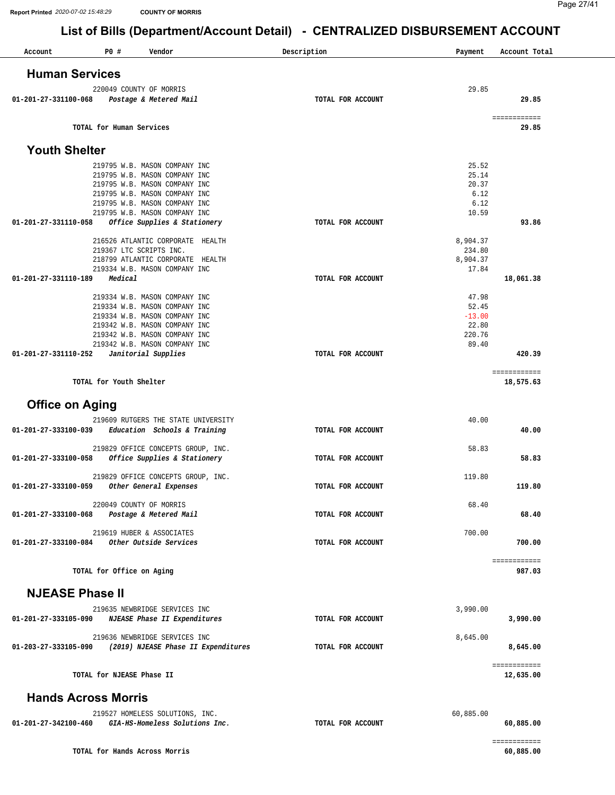| Account                                     | P0 #                          | Vendor                                                            | Description       | Payment            | Account Total             |
|---------------------------------------------|-------------------------------|-------------------------------------------------------------------|-------------------|--------------------|---------------------------|
| <b>Human Services</b>                       |                               |                                                                   |                   |                    |                           |
|                                             |                               |                                                                   |                   |                    |                           |
|                                             |                               | 220049 COUNTY OF MORRIS                                           |                   | 29.85              |                           |
| 01-201-27-331100-068                        |                               | Postage & Metered Mail                                            | TOTAL FOR ACCOUNT |                    | 29.85                     |
|                                             |                               |                                                                   |                   |                    | ============              |
|                                             | TOTAL for Human Services      |                                                                   |                   |                    | 29.85                     |
| <b>Youth Shelter</b>                        |                               |                                                                   |                   |                    |                           |
|                                             |                               | 219795 W.B. MASON COMPANY INC                                     |                   | 25.52              |                           |
|                                             |                               | 219795 W.B. MASON COMPANY INC                                     |                   | 25.14              |                           |
|                                             |                               | 219795 W.B. MASON COMPANY INC                                     |                   | 20.37              |                           |
|                                             |                               | 219795 W.B. MASON COMPANY INC                                     |                   | 6.12               |                           |
|                                             |                               | 219795 W.B. MASON COMPANY INC<br>219795 W.B. MASON COMPANY INC    |                   | 6.12<br>10.59      |                           |
| 01-201-27-331110-058                        |                               | Office Supplies & Stationery                                      | TOTAL FOR ACCOUNT |                    | 93.86                     |
|                                             |                               |                                                                   |                   |                    |                           |
|                                             |                               | 216526 ATLANTIC CORPORATE HEALTH<br>219367 LTC SCRIPTS INC.       |                   | 8,904.37<br>234.80 |                           |
|                                             |                               | 218799 ATLANTIC CORPORATE HEALTH                                  |                   | 8,904.37           |                           |
|                                             |                               | 219334 W.B. MASON COMPANY INC                                     |                   | 17.84              |                           |
| 01-201-27-331110-189                        | Medical                       |                                                                   | TOTAL FOR ACCOUNT |                    | 18,061.38                 |
|                                             |                               |                                                                   |                   |                    |                           |
|                                             |                               | 219334 W.B. MASON COMPANY INC                                     |                   | 47.98              |                           |
|                                             |                               | 219334 W.B. MASON COMPANY INC                                     |                   | 52.45<br>$-13.00$  |                           |
|                                             |                               | 219334 W.B. MASON COMPANY INC<br>219342 W.B. MASON COMPANY INC    |                   | 22.80              |                           |
|                                             |                               | 219342 W.B. MASON COMPANY INC                                     |                   | 220.76             |                           |
|                                             |                               | 219342 W.B. MASON COMPANY INC                                     |                   | 89.40              |                           |
| 01-201-27-331110-252                        |                               | Janitorial Supplies                                               | TOTAL FOR ACCOUNT |                    | 420.39                    |
|                                             |                               |                                                                   |                   |                    | ============              |
|                                             | TOTAL for Youth Shelter       |                                                                   |                   |                    | 18,575.63                 |
| <b>Office on Aging</b>                      |                               |                                                                   |                   |                    |                           |
|                                             |                               | 219609 RUTGERS THE STATE UNIVERSITY                               |                   | 40.00              |                           |
| 01-201-27-333100-039                        |                               | Education Schools & Training                                      | TOTAL FOR ACCOUNT |                    | 40.00                     |
|                                             |                               | 219829 OFFICE CONCEPTS GROUP, INC.                                |                   | 58.83              |                           |
| 01-201-27-333100-058                        |                               | Office Supplies & Stationery                                      | TOTAL FOR ACCOUNT |                    | 58.83                     |
|                                             |                               | 219829 OFFICE CONCEPTS GROUP, INC.                                |                   | 119.80             |                           |
| 01-201-27-333100-059 Other General Expenses |                               |                                                                   | TOTAL FOR ACCOUNT |                    | 119.80                    |
|                                             |                               |                                                                   |                   |                    |                           |
|                                             |                               | 220049 COUNTY OF MORRIS                                           |                   | 68.40              |                           |
| 01-201-27-333100-068                        |                               | Postage & Metered Mail                                            | TOTAL FOR ACCOUNT |                    | 68.40                     |
|                                             |                               | 219619 HUBER & ASSOCIATES                                         |                   | 700.00             |                           |
| 01-201-27-333100-084                        |                               | Other Outside Services                                            | TOTAL FOR ACCOUNT |                    | 700.00                    |
|                                             | TOTAL for Office on Aging     |                                                                   |                   |                    | ============<br>987.03    |
|                                             |                               |                                                                   |                   |                    |                           |
| <b>NJEASE Phase II</b>                      |                               |                                                                   |                   |                    |                           |
|                                             |                               | 219635 NEWBRIDGE SERVICES INC                                     |                   | 3,990.00           |                           |
| 01-201-27-333105-090                        |                               | NJEASE Phase II Expenditures                                      | TOTAL FOR ACCOUNT |                    | 3,990.00                  |
|                                             |                               | 219636 NEWBRIDGE SERVICES INC                                     |                   | 8,645.00           |                           |
| 01-203-27-333105-090                        |                               | (2019) NJEASE Phase II Expenditures                               | TOTAL FOR ACCOUNT |                    | 8,645.00                  |
|                                             | TOTAL for NJEASE Phase II     |                                                                   |                   |                    | ============<br>12,635.00 |
|                                             | <b>Hands Across Morris</b>    |                                                                   |                   |                    |                           |
|                                             |                               |                                                                   |                   |                    |                           |
| 01-201-27-342100-460                        |                               | 219527 HOMELESS SOLUTIONS, INC.<br>GIA-HS-Homeless Solutions Inc. | TOTAL FOR ACCOUNT | 60,885.00          | 60,885.00                 |
|                                             |                               |                                                                   |                   |                    | ============              |
|                                             | TOTAL for Hands Across Morris |                                                                   |                   |                    | 60,885.00                 |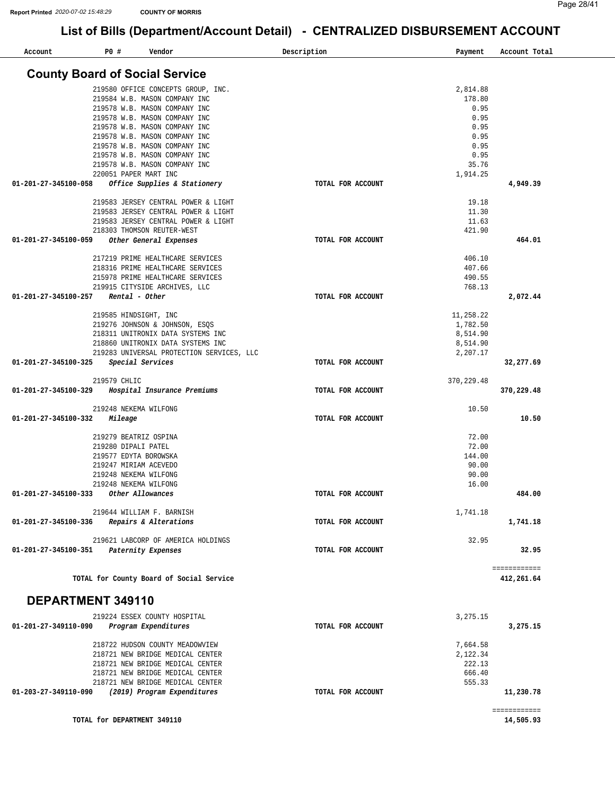| Account                               | P0 #         | Vendor                                                               | Description<br>Payment | Account Total              |
|---------------------------------------|--------------|----------------------------------------------------------------------|------------------------|----------------------------|
|                                       |              | <b>County Board of Social Service</b>                                |                        |                            |
|                                       |              |                                                                      |                        |                            |
|                                       |              | 219580 OFFICE CONCEPTS GROUP, INC.<br>219584 W.B. MASON COMPANY INC  | 2,814.88<br>178.80     |                            |
|                                       |              | 219578 W.B. MASON COMPANY INC                                        | 0.95                   |                            |
|                                       |              | 219578 W.B. MASON COMPANY INC                                        | 0.95                   |                            |
|                                       |              | 219578 W.B. MASON COMPANY INC                                        | 0.95                   |                            |
|                                       |              | 219578 W.B. MASON COMPANY INC                                        | 0.95                   |                            |
|                                       |              | 219578 W.B. MASON COMPANY INC                                        | 0.95                   |                            |
|                                       |              | 219578 W.B. MASON COMPANY INC                                        | 0.95                   |                            |
|                                       |              | 219578 W.B. MASON COMPANY INC                                        | 35.76                  |                            |
|                                       |              | 220051 PAPER MART INC                                                | 1,914.25               |                            |
| 01-201-27-345100-058                  |              | Office Supplies & Stationery                                         | TOTAL FOR ACCOUNT      | 4,949.39                   |
|                                       |              | 219583 JERSEY CENTRAL POWER & LIGHT                                  | 19.18                  |                            |
|                                       |              | 219583 JERSEY CENTRAL POWER & LIGHT                                  | 11.30                  |                            |
|                                       |              | 219583 JERSEY CENTRAL POWER & LIGHT                                  | 11.63                  |                            |
|                                       |              | 218303 THOMSON REUTER-WEST                                           | 421.90                 |                            |
| 01-201-27-345100-059                  |              | Other General Expenses                                               | TOTAL FOR ACCOUNT      | 464.01                     |
|                                       |              | 217219 PRIME HEALTHCARE SERVICES                                     | 406.10                 |                            |
|                                       |              | 218316 PRIME HEALTHCARE SERVICES                                     | 407.66                 |                            |
|                                       |              | 215978 PRIME HEALTHCARE SERVICES                                     | 490.55                 |                            |
|                                       |              | 219915 CITYSIDE ARCHIVES, LLC                                        | 768.13                 |                            |
| $01 - 201 - 27 - 345100 - 257$        |              | Rental - Other                                                       | TOTAL FOR ACCOUNT      | 2,072.44                   |
|                                       |              |                                                                      |                        |                            |
|                                       |              | 219585 HINDSIGHT, INC<br>219276 JOHNSON & JOHNSON, ESQS              | 11,258.22<br>1,782.50  |                            |
|                                       |              | 218311 UNITRONIX DATA SYSTEMS INC                                    | 8,514.90               |                            |
|                                       |              | 218860 UNITRONIX DATA SYSTEMS INC                                    | 8,514.90               |                            |
|                                       |              | 219283 UNIVERSAL PROTECTION SERVICES, LLC                            | 2,207.17               |                            |
| 01-201-27-345100-325                  |              | Special Services                                                     | TOTAL FOR ACCOUNT      | 32,277.69                  |
|                                       | 219579 CHLIC |                                                                      | 370, 229.48            |                            |
| 01-201-27-345100-329                  |              | Hospital Insurance Premiums                                          | TOTAL FOR ACCOUNT      | 370,229.48                 |
|                                       |              | 219248 NEKEMA WILFONG                                                | 10.50                  |                            |
| 01-201-27-345100-332                  |              | Mileage                                                              | TOTAL FOR ACCOUNT      | 10.50                      |
|                                       |              |                                                                      |                        |                            |
|                                       |              | 219279 BEATRIZ OSPINA                                                | 72.00                  |                            |
|                                       |              | 219280 DIPALI PATEL                                                  | 72.00                  |                            |
|                                       |              | 219577 EDYTA BOROWSKA                                                | 144.00                 |                            |
|                                       |              | 219247 MIRIAM ACEVEDO<br>219248 NEKEMA WILFONG                       | 90.00                  |                            |
|                                       |              | 219248 NEKEMA WILFONG                                                | 90.00<br>16.00         |                            |
| 01-201-27-345100-333 Other Allowances |              |                                                                      | TOTAL FOR ACCOUNT      | 484.00                     |
|                                       |              |                                                                      |                        |                            |
|                                       |              | 219644 WILLIAM F. BARNISH                                            | 1,741.18               |                            |
| 01-201-27-345100-336                  |              | Repairs & Alterations                                                | TOTAL FOR ACCOUNT      | 1,741.18                   |
|                                       |              | 219621 LABCORP OF AMERICA HOLDINGS                                   | 32.95                  |                            |
| 01-201-27-345100-351                  |              | Paternity Expenses                                                   | TOTAL FOR ACCOUNT      | 32.95                      |
|                                       |              |                                                                      |                        |                            |
|                                       |              | TOTAL for County Board of Social Service                             |                        | ============<br>412,261.64 |
|                                       |              |                                                                      |                        |                            |
| DEPARTMENT 349110                     |              |                                                                      |                        |                            |
|                                       |              | 219224 ESSEX COUNTY HOSPITAL                                         | 3,275.15               |                            |
| 01-201-27-349110-090                  |              | Program Expenditures                                                 | TOTAL FOR ACCOUNT      | 3,275.15                   |
|                                       |              |                                                                      |                        |                            |
|                                       |              | 218722 HUDSON COUNTY MEADOWVIEW                                      | 7,664.58               |                            |
|                                       |              | 218721 NEW BRIDGE MEDICAL CENTER                                     | 2,122.34               |                            |
|                                       |              | 218721 NEW BRIDGE MEDICAL CENTER                                     | 222.13<br>666.40       |                            |
|                                       |              | 218721 NEW BRIDGE MEDICAL CENTER<br>218721 NEW BRIDGE MEDICAL CENTER | 555.33                 |                            |
| 01-203-27-349110-090                  |              | (2019) Program Expenditures                                          | TOTAL FOR ACCOUNT      | 11,230.78                  |
|                                       |              |                                                                      |                        |                            |
|                                       |              |                                                                      |                        | ============               |
|                                       |              | TOTAL for DEPARTMENT 349110                                          |                        | 14,505.93                  |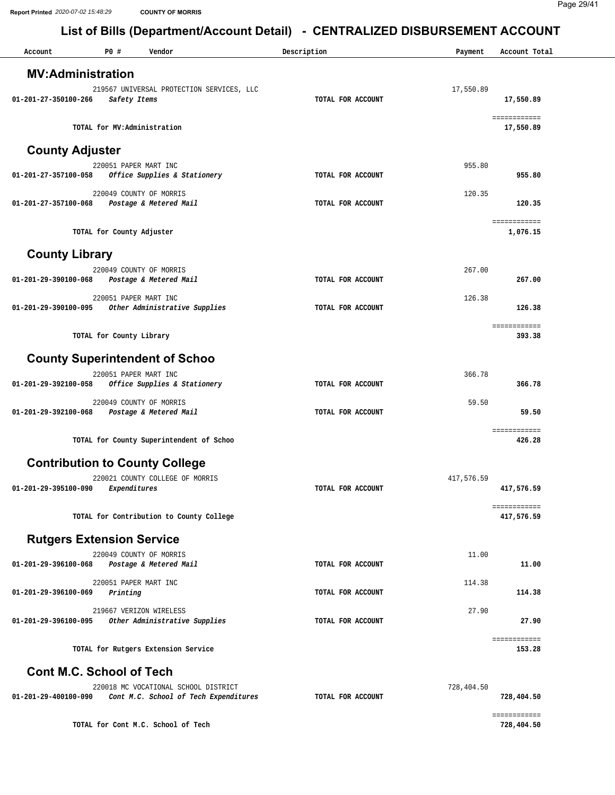| Account                          | P0 #                              | Vendor                                    | Description       | Payment    | Account Total              |
|----------------------------------|-----------------------------------|-------------------------------------------|-------------------|------------|----------------------------|
| <b>MV:Administration</b>         |                                   |                                           |                   |            |                            |
|                                  |                                   | 219567 UNIVERSAL PROTECTION SERVICES, LLC |                   | 17,550.89  |                            |
| 01-201-27-350100-266             | Safety Items                      |                                           | TOTAL FOR ACCOUNT |            | 17,550.89                  |
|                                  | TOTAL for MV:Administration       |                                           |                   |            | ============<br>17,550.89  |
|                                  |                                   |                                           |                   |            |                            |
| <b>County Adjuster</b>           |                                   |                                           |                   |            |                            |
| 01-201-27-357100-058             | 220051 PAPER MART INC             | Office Supplies & Stationery              | TOTAL FOR ACCOUNT | 955.80     | 955.80                     |
|                                  | 220049 COUNTY OF MORRIS           |                                           |                   | 120.35     |                            |
| 01-201-27-357100-068             |                                   | Postage & Metered Mail                    | TOTAL FOR ACCOUNT |            | 120.35                     |
|                                  |                                   |                                           |                   |            | ============               |
|                                  | TOTAL for County Adjuster         |                                           |                   |            | 1,076.15                   |
| <b>County Library</b>            |                                   |                                           |                   |            |                            |
|                                  | 220049 COUNTY OF MORRIS           |                                           |                   | 267.00     |                            |
| 01-201-29-390100-068             |                                   | Postage & Metered Mail                    | TOTAL FOR ACCOUNT |            | 267.00                     |
|                                  | 220051 PAPER MART INC             |                                           |                   | 126.38     |                            |
| 01-201-29-390100-095             |                                   | Other Administrative Supplies             | TOTAL FOR ACCOUNT |            | 126.38                     |
|                                  | TOTAL for County Library          |                                           |                   |            | ============<br>393.38     |
|                                  |                                   |                                           |                   |            |                            |
|                                  |                                   | <b>County Superintendent of Schoo</b>     |                   |            |                            |
| 01-201-29-392100-058             | 220051 PAPER MART INC             | Office Supplies & Stationery              | TOTAL FOR ACCOUNT | 366.78     | 366.78                     |
|                                  | 220049 COUNTY OF MORRIS           |                                           |                   | 59.50      |                            |
| 01-201-29-392100-068             |                                   | Postage & Metered Mail                    | TOTAL FOR ACCOUNT |            | 59.50                      |
|                                  |                                   |                                           |                   |            | ============               |
|                                  |                                   | TOTAL for County Superintendent of Schoo  |                   |            | 426.28                     |
|                                  |                                   | <b>Contribution to County College</b>     |                   |            |                            |
|                                  |                                   | 220021 COUNTY COLLEGE OF MORRIS           |                   | 417,576.59 |                            |
| 01-201-29-395100-090             | Expenditures                      |                                           | TOTAL FOR ACCOUNT |            | 417,576.59                 |
|                                  |                                   | TOTAL for Contribution to County College  |                   |            | ============<br>417,576.59 |
|                                  |                                   |                                           |                   |            |                            |
| <b>Rutgers Extension Service</b> |                                   |                                           |                   |            |                            |
| 01-201-29-396100-068             | 220049 COUNTY OF MORRIS           | Postage & Metered Mail                    | TOTAL FOR ACCOUNT | 11.00      | 11.00                      |
|                                  |                                   |                                           |                   |            |                            |
| 01-201-29-396100-069             | 220051 PAPER MART INC<br>Printing |                                           | TOTAL FOR ACCOUNT | 114.38     | 114.38                     |
|                                  | 219667 VERIZON WIRELESS           |                                           |                   | 27.90      |                            |
| 01-201-29-396100-095             |                                   | Other Administrative Supplies             | TOTAL FOR ACCOUNT |            | 27.90                      |
|                                  |                                   |                                           |                   |            | ============               |
|                                  |                                   | TOTAL for Rutgers Extension Service       |                   |            | 153.28                     |
| <b>Cont M.C. School of Tech</b>  |                                   |                                           |                   |            |                            |
|                                  |                                   | 220018 MC VOCATIONAL SCHOOL DISTRICT      |                   | 728,404.50 |                            |
| 01-201-29-400100-090             |                                   | Cont M.C. School of Tech Expenditures     | TOTAL FOR ACCOUNT |            | 728,404.50                 |

**TOTAL for Cont M.C. School of Tech 728,404.50**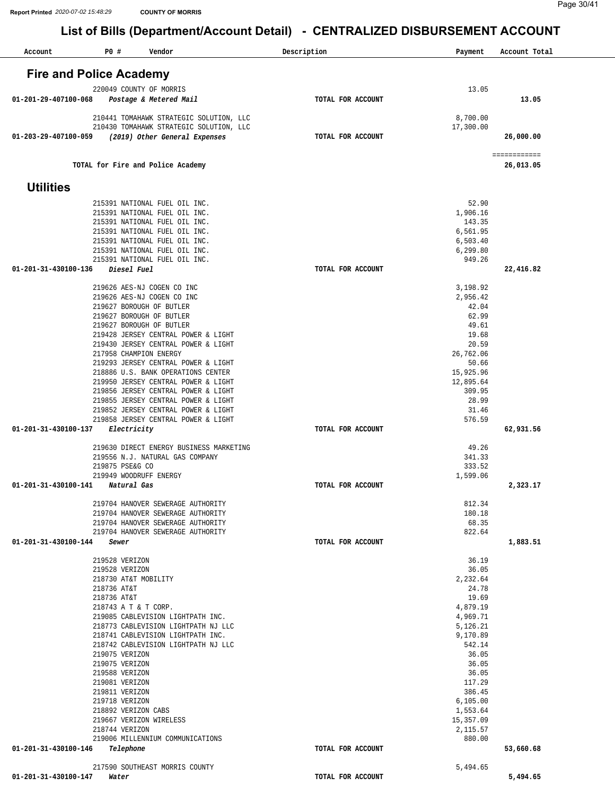| Account              | P0 #<br>Vendor                                                            | Description       | Payment             | Account Total |
|----------------------|---------------------------------------------------------------------------|-------------------|---------------------|---------------|
|                      | <b>Fire and Police Academy</b>                                            |                   |                     |               |
|                      |                                                                           |                   |                     |               |
| 01-201-29-407100-068 | 220049 COUNTY OF MORRIS                                                   | TOTAL FOR ACCOUNT | 13.05               | 13.05         |
|                      | Postage & Metered Mail                                                    |                   |                     |               |
|                      | 210441 TOMAHAWK STRATEGIC SOLUTION, LLC                                   |                   | 8,700.00            |               |
|                      | 210430 TOMAHAWK STRATEGIC SOLUTION, LLC                                   |                   | 17,300.00           |               |
| 01-203-29-407100-059 | (2019) Other General Expenses                                             | TOTAL FOR ACCOUNT |                     | 26,000.00     |
|                      |                                                                           |                   |                     | ============  |
|                      | TOTAL for Fire and Police Academy                                         |                   |                     | 26,013.05     |
|                      |                                                                           |                   |                     |               |
| <b>Utilities</b>     |                                                                           |                   |                     |               |
|                      | 215391 NATIONAL FUEL OIL INC.                                             |                   | 52.90               |               |
|                      | 215391 NATIONAL FUEL OIL INC.                                             |                   | 1,906.16<br>143.35  |               |
|                      | 215391 NATIONAL FUEL OIL INC.<br>215391 NATIONAL FUEL OIL INC.            |                   | 6,561.95            |               |
|                      | 215391 NATIONAL FUEL OIL INC.                                             |                   | 6,503.40            |               |
|                      | 215391 NATIONAL FUEL OIL INC.                                             |                   | 6,299.80            |               |
|                      | 215391 NATIONAL FUEL OIL INC.<br>Diesel Fuel                              |                   | 949.26              |               |
| 01-201-31-430100-136 |                                                                           | TOTAL FOR ACCOUNT |                     | 22,416.82     |
|                      | 219626 AES-NJ COGEN CO INC                                                |                   | 3,198.92            |               |
|                      | 219626 AES-NJ COGEN CO INC                                                |                   | 2,956.42            |               |
|                      | 219627 BOROUGH OF BUTLER                                                  |                   | 42.04               |               |
|                      | 219627 BOROUGH OF BUTLER<br>219627 BOROUGH OF BUTLER                      |                   | 62.99<br>49.61      |               |
|                      | 219428 JERSEY CENTRAL POWER & LIGHT                                       |                   | 19.68               |               |
|                      | 219430 JERSEY CENTRAL POWER & LIGHT                                       |                   | 20.59               |               |
|                      | 217958 CHAMPION ENERGY                                                    |                   | 26,762.06           |               |
|                      | 219293 JERSEY CENTRAL POWER & LIGHT<br>218886 U.S. BANK OPERATIONS CENTER |                   | 50.66<br>15,925.96  |               |
|                      | 219950 JERSEY CENTRAL POWER & LIGHT                                       |                   | 12,895.64           |               |
|                      | 219856 JERSEY CENTRAL POWER & LIGHT                                       |                   | 309.95              |               |
|                      | 219855 JERSEY CENTRAL POWER & LIGHT                                       |                   | 28.99               |               |
|                      | 219852 JERSEY CENTRAL POWER & LIGHT                                       |                   | 31.46<br>576.59     |               |
| 01-201-31-430100-137 | 219858 JERSEY CENTRAL POWER & LIGHT<br>Electricity                        | TOTAL FOR ACCOUNT |                     | 62,931.56     |
|                      |                                                                           |                   |                     |               |
|                      | 219630 DIRECT ENERGY BUSINESS MARKETING                                   |                   | 49.26               |               |
|                      | 219556 N.J. NATURAL GAS COMPANY<br>219875 PSE&G CO                        |                   | 341.33<br>333.52    |               |
|                      | 219949 WOODRUFF ENERGY                                                    |                   | 1,599.06            |               |
| 01-201-31-430100-141 | Natural Gas                                                               | TOTAL FOR ACCOUNT |                     | 2,323.17      |
|                      | 219704 HANOVER SEWERAGE AUTHORITY                                         |                   |                     |               |
|                      | 219704 HANOVER SEWERAGE AUTHORITY                                         |                   | 812.34<br>180.18    |               |
|                      | 219704 HANOVER SEWERAGE AUTHORITY                                         |                   | 68.35               |               |
|                      | 219704 HANOVER SEWERAGE AUTHORITY                                         |                   | 822.64              |               |
| 01-201-31-430100-144 | Sewer                                                                     | TOTAL FOR ACCOUNT |                     | 1,883.51      |
|                      | 219528 VERIZON                                                            |                   | 36.19               |               |
|                      | 219528 VERIZON                                                            |                   | 36.05               |               |
|                      | 218730 AT&T MOBILITY                                                      |                   | 2,232.64            |               |
|                      | 218736 AT&T<br>218736 AT&T                                                |                   | 24.78<br>19.69      |               |
|                      | 218743 A T & T CORP.                                                      |                   | 4,879.19            |               |
|                      | 219085 CABLEVISION LIGHTPATH INC.                                         |                   | 4,969.71            |               |
|                      | 218773 CABLEVISION LIGHTPATH NJ LLC                                       |                   | 5,126.21            |               |
|                      | 218741 CABLEVISION LIGHTPATH INC.<br>218742 CABLEVISION LIGHTPATH NJ LLC  |                   | 9,170.89<br>542.14  |               |
|                      | 219075 VERIZON                                                            |                   | 36.05               |               |
|                      | 219075 VERIZON                                                            |                   | 36.05               |               |
|                      | 219588 VERIZON                                                            |                   | 36.05               |               |
|                      | 219081 VERIZON                                                            |                   | 117.29              |               |
|                      | 219811 VERIZON<br>219718 VERIZON                                          |                   | 386.45<br>6, 105.00 |               |
|                      | 218892 VERIZON CABS                                                       |                   | 1,553.64            |               |
|                      | 219667 VERIZON WIRELESS                                                   |                   | 15,357.09           |               |
|                      | 218744 VERIZON                                                            |                   | 2,115.57            |               |
| 01-201-31-430100-146 | 219006 MILLENNIUM COMMUNICATIONS<br>Telephone                             | TOTAL FOR ACCOUNT | 880.00              | 53,660.68     |
|                      |                                                                           |                   |                     |               |
|                      | 217590 SOUTHEAST MORRIS COUNTY                                            |                   | 5,494.65            |               |
| 01-201-31-430100-147 | Water                                                                     | TOTAL FOR ACCOUNT |                     | 5,494.65      |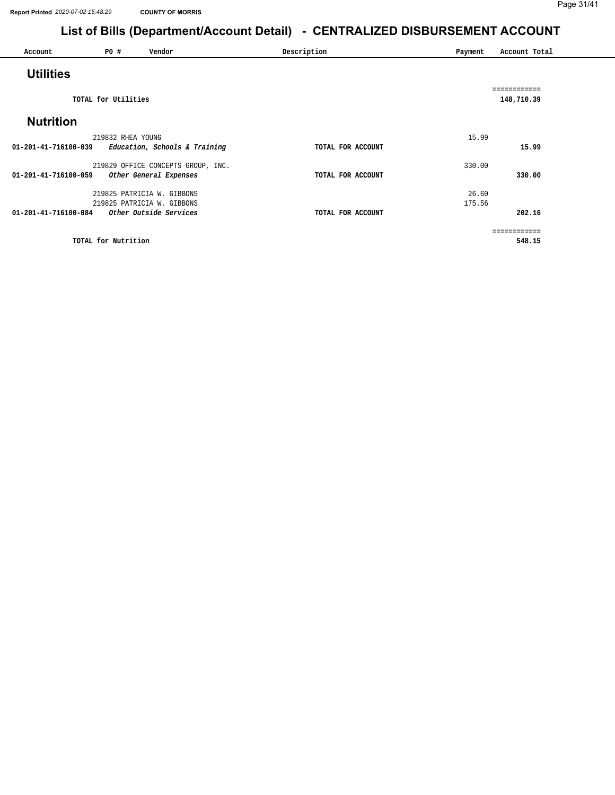| Account              | <b>PO #</b>         | Vendor                             | Description       | Payment | Account Total |
|----------------------|---------------------|------------------------------------|-------------------|---------|---------------|
|                      |                     |                                    |                   |         |               |
| <b>Utilities</b>     |                     |                                    |                   |         |               |
|                      |                     |                                    |                   |         | ============  |
|                      | TOTAL for Utilities |                                    |                   |         | 148,710.39    |
| <b>Nutrition</b>     |                     |                                    |                   |         |               |
|                      |                     |                                    |                   |         |               |
|                      | 219832 RHEA YOUNG   |                                    |                   | 15.99   |               |
| 01-201-41-716100-039 |                     | Education, Schools & Training      | TOTAL FOR ACCOUNT |         | 15.99         |
|                      |                     | 219829 OFFICE CONCEPTS GROUP, INC. |                   | 330.00  |               |
| 01-201-41-716100-059 |                     | Other General Expenses             | TOTAL FOR ACCOUNT |         | 330.00        |
|                      |                     | 219825 PATRICIA W. GIBBONS         |                   | 26.60   |               |
|                      |                     | 219825 PATRICIA W. GIBBONS         |                   | 175.56  |               |
| 01-201-41-716100-084 |                     | Other Outside Services             | TOTAL FOR ACCOUNT |         | 202.16        |
|                      |                     |                                    |                   |         | ============  |
|                      | TOTAL for Nutrition |                                    |                   |         | 548.15        |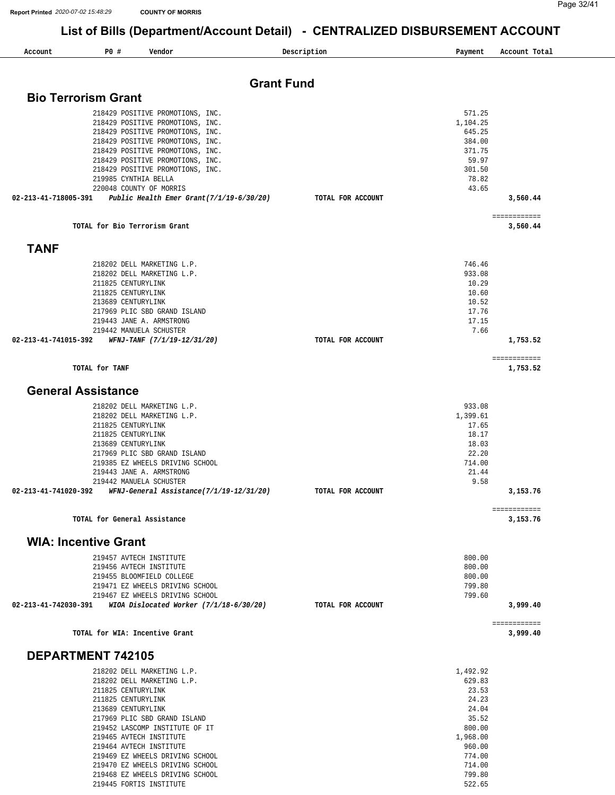219469 EZ WHEELS DRIVING SCHOOL 219470 EZ WHEELS DRIVING SCHOOL 219468 EZ WHEELS DRIVING SCHOOL 219445 FORTIS INSTITUTE

774.00 714.00 799.80 522.65

| Account                     | P0 #                                     | Vendor                                                               | Description       | Payment            | Account Total            |
|-----------------------------|------------------------------------------|----------------------------------------------------------------------|-------------------|--------------------|--------------------------|
|                             |                                          |                                                                      |                   |                    |                          |
| <b>Bio Terrorism Grant</b>  |                                          | <b>Grant Fund</b>                                                    |                   |                    |                          |
|                             |                                          |                                                                      |                   |                    |                          |
|                             |                                          | 218429 POSITIVE PROMOTIONS, INC.                                     |                   | 571.25<br>1,104.25 |                          |
|                             |                                          | 218429 POSITIVE PROMOTIONS, INC.<br>218429 POSITIVE PROMOTIONS, INC. |                   | 645.25             |                          |
|                             |                                          | 218429 POSITIVE PROMOTIONS, INC.                                     |                   | 384.00             |                          |
|                             |                                          | 218429 POSITIVE PROMOTIONS, INC.                                     |                   | 371.75             |                          |
|                             |                                          | 218429 POSITIVE PROMOTIONS, INC.                                     |                   | 59.97              |                          |
|                             |                                          | 218429 POSITIVE PROMOTIONS, INC.<br>219985 CYNTHIA BELLA             |                   | 301.50<br>78.82    |                          |
|                             |                                          | 220048 COUNTY OF MORRIS                                              |                   | 43.65              |                          |
|                             |                                          | 02-213-41-718005-391 Public Health Emer Grant(7/1/19-6/30/20)        | TOTAL FOR ACCOUNT |                    | 3,560.44                 |
|                             |                                          |                                                                      |                   |                    | ============             |
|                             |                                          | TOTAL for Bio Terrorism Grant                                        |                   |                    | 3,560.44                 |
| <b>TANF</b>                 |                                          |                                                                      |                   |                    |                          |
|                             |                                          | 218202 DELL MARKETING L.P.                                           |                   | 746.46             |                          |
|                             |                                          | 218202 DELL MARKETING L.P.                                           |                   | 933.08             |                          |
|                             | 211825 CENTURYLINK                       |                                                                      |                   | 10.29              |                          |
|                             | 211825 CENTURYLINK<br>213689 CENTURYLINK |                                                                      |                   | 10.60<br>10.52     |                          |
|                             |                                          | 217969 PLIC SBD GRAND ISLAND                                         |                   | 17.76              |                          |
|                             |                                          | 219443 JANE A. ARMSTRONG                                             |                   | 17.15              |                          |
|                             |                                          | 219442 MANUELA SCHUSTER                                              |                   | 7.66               |                          |
| 02-213-41-741015-392        |                                          | WFNJ-TANF (7/1/19-12/31/20)                                          | TOTAL FOR ACCOUNT |                    | 1,753.52                 |
|                             | TOTAL for TANF                           |                                                                      |                   |                    | ============<br>1,753.52 |
| <b>General Assistance</b>   |                                          |                                                                      |                   |                    |                          |
|                             |                                          |                                                                      |                   |                    |                          |
|                             |                                          | 218202 DELL MARKETING L.P.<br>218202 DELL MARKETING L.P.             |                   | 933.08<br>1,399.61 |                          |
|                             | 211825 CENTURYLINK                       |                                                                      |                   | 17.65              |                          |
|                             | 211825 CENTURYLINK                       |                                                                      |                   | 18.17              |                          |
|                             | 213689 CENTURYLINK                       |                                                                      |                   | 18.03              |                          |
|                             |                                          | 217969 PLIC SBD GRAND ISLAND                                         |                   | 22.20              |                          |
|                             |                                          | 219385 EZ WHEELS DRIVING SCHOOL<br>219443 JANE A. ARMSTRONG          |                   | 714.00<br>21.44    |                          |
|                             |                                          | 219442 MANUELA SCHUSTER                                              |                   | 9.58               |                          |
| 02-213-41-741020-392        |                                          | WFNJ-General Assistance(7/1/19-12/31/20)                             | TOTAL FOR ACCOUNT |                    | 3,153.76                 |
|                             |                                          |                                                                      |                   |                    | ============             |
|                             |                                          | TOTAL for General Assistance                                         |                   |                    | 3,153.76                 |
| <b>WIA: Incentive Grant</b> |                                          |                                                                      |                   |                    |                          |
|                             |                                          | 219457 AVTECH INSTITUTE                                              |                   | 800.00             |                          |
|                             |                                          | 219456 AVTECH INSTITUTE<br>219455 BLOOMFIELD COLLEGE                 |                   | 800.00             |                          |
|                             |                                          | 219471 EZ WHEELS DRIVING SCHOOL                                      |                   | 800.00<br>799.80   |                          |
|                             |                                          | 219467 EZ WHEELS DRIVING SCHOOL                                      |                   | 799.60             |                          |
| 02-213-41-742030-391        |                                          | WIOA Dislocated Worker (7/1/18-6/30/20)                              | TOTAL FOR ACCOUNT |                    | 3,999.40                 |
|                             |                                          | TOTAL for WIA: Incentive Grant                                       |                   |                    | ============<br>3,999.40 |
|                             |                                          |                                                                      |                   |                    |                          |
| <b>DEPARTMENT 742105</b>    |                                          |                                                                      |                   |                    |                          |
|                             |                                          | 218202 DELL MARKETING L.P.                                           |                   | 1,492.92           |                          |
|                             | 211825 CENTURYLINK                       | 218202 DELL MARKETING L.P.                                           |                   | 629.83<br>23.53    |                          |
|                             | 211825 CENTURYLINK                       |                                                                      |                   | 24.23              |                          |
|                             | 213689 CENTURYLINK                       |                                                                      |                   | 24.04              |                          |
|                             |                                          | 217969 PLIC SBD GRAND ISLAND                                         |                   | 35.52              |                          |
|                             |                                          | 219452 LASCOMP INSTITUTE OF IT                                       |                   | 800.00             |                          |
|                             |                                          | 219465 AVTECH INSTITUTE<br>219464 AVTECH INSTITUTE                   |                   | 1,968.00<br>960.00 |                          |
|                             |                                          |                                                                      |                   |                    |                          |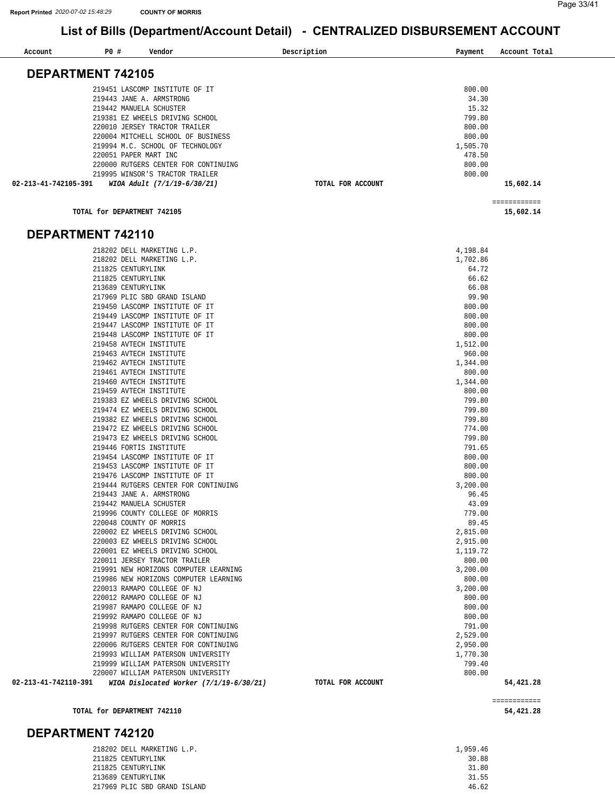**[54,421.28](https://54,421.28)** 

## **List of Bills (Department/Account Detail) - CENTRALIZED DISBURSEMENT ACCOUNT**

| Account                  | <b>PO #</b> | Vendor                                                                          | Description       | Payment            | Account Total |
|--------------------------|-------------|---------------------------------------------------------------------------------|-------------------|--------------------|---------------|
|                          |             |                                                                                 |                   |                    |               |
| <b>DEPARTMENT 742105</b> |             |                                                                                 |                   |                    |               |
|                          |             | 219451 LASCOMP INSTITUTE OF IT                                                  |                   | 800.00             |               |
|                          |             | 219443 JANE A. ARMSTRONG                                                        |                   | 34.30              |               |
|                          |             | 219442 MANUELA SCHUSTER                                                         |                   | 15.32              |               |
|                          |             | 219381 EZ WHEELS DRIVING SCHOOL                                                 |                   | 799.80             |               |
|                          |             | 220010 JERSEY TRACTOR TRAILER                                                   |                   | 800.00             |               |
|                          |             | 220004 MITCHELL SCHOOL OF BUSINESS                                              |                   | 800.00             |               |
|                          |             | 219994 M.C. SCHOOL OF TECHNOLOGY                                                |                   | 1,505.70           |               |
|                          |             | 220051 PAPER MART INC                                                           |                   | 478.50             |               |
|                          |             | 220000 RUTGERS CENTER FOR CONTINUING                                            |                   | 800.00             |               |
|                          |             | 219995 WINSOR'S TRACTOR TRAILER                                                 |                   | 800.00             |               |
| 02-213-41-742105-391     |             | WIOA Adult (7/1/19-6/30/21)                                                     | TOTAL FOR ACCOUNT |                    | 15,602.14     |
|                          |             |                                                                                 |                   |                    | ============  |
|                          |             | TOTAL for DEPARTMENT 742105                                                     |                   |                    | 15,602.14     |
|                          |             |                                                                                 |                   |                    |               |
| DEPARTMENT 742110        |             |                                                                                 |                   |                    |               |
|                          |             | 218202 DELL MARKETING L.P.                                                      |                   | 4,198.84           |               |
|                          |             | 218202 DELL MARKETING L.P.                                                      |                   | 1,702.86           |               |
|                          |             | 211825 CENTURYLINK                                                              |                   | 64.72              |               |
|                          |             | 211825 CENTURYLINK                                                              |                   | 66.62              |               |
|                          |             | 213689 CENTURYLINK                                                              |                   | 66.08              |               |
|                          |             | 217969 PLIC SBD GRAND ISLAND                                                    |                   | 99.90              |               |
|                          |             | 219450 LASCOMP INSTITUTE OF IT                                                  |                   | 800.00             |               |
|                          |             | 219449 LASCOMP INSTITUTE OF IT                                                  |                   | 800.00             |               |
|                          |             | 219447 LASCOMP INSTITUTE OF IT<br>219448 LASCOMP INSTITUTE OF IT                |                   | 800.00<br>800.00   |               |
|                          |             | 219458 AVTECH INSTITUTE                                                         |                   | 1,512.00           |               |
|                          |             | 219463 AVTECH INSTITUTE                                                         |                   | 960.00             |               |
|                          |             | 219462 AVTECH INSTITUTE                                                         |                   | 1,344.00           |               |
|                          |             | 219461 AVTECH INSTITUTE                                                         |                   | 800.00             |               |
|                          |             | 219460 AVTECH INSTITUTE                                                         |                   | 1,344.00           |               |
|                          |             | 219459 AVTECH INSTITUTE                                                         |                   | 800.00             |               |
|                          |             | 219383 EZ WHEELS DRIVING SCHOOL                                                 |                   | 799.80             |               |
|                          |             | 219474 EZ WHEELS DRIVING SCHOOL                                                 |                   | 799.80             |               |
|                          |             | 219382 EZ WHEELS DRIVING SCHOOL                                                 |                   | 799.80             |               |
|                          |             | 219472 EZ WHEELS DRIVING SCHOOL                                                 |                   | 774.00             |               |
|                          |             | 219473 EZ WHEELS DRIVING SCHOOL<br>219446 FORTIS INSTITUTE                      |                   | 799.80<br>791.65   |               |
|                          |             | 219454 LASCOMP INSTITUTE OF IT                                                  |                   | 800.00             |               |
|                          |             | 219453 LASCOMP INSTITUTE OF IT                                                  |                   | 800.00             |               |
|                          |             | 219476 LASCOMP INSTITUTE OF IT                                                  |                   | 800.00             |               |
|                          |             | 219444 RUTGERS CENTER FOR CONTINUING                                            |                   | 3,200.00           |               |
|                          |             | 219443 JANE A. ARMSTRONG                                                        |                   | 96.45              |               |
|                          |             | 219442 MANUELA SCHUSTER                                                         |                   | 43.09              |               |
|                          |             | 219996 COUNTY COLLEGE OF MORRIS                                                 |                   | 779.00             |               |
|                          |             | 220048 COUNTY OF MORRIS                                                         |                   | 89.45              |               |
|                          |             | 220002 EZ WHEELS DRIVING SCHOOL                                                 |                   | 2,815.00           |               |
|                          |             | 220003 EZ WHEELS DRIVING SCHOOL                                                 |                   | 2,915.00           |               |
|                          |             | 220001 EZ WHEELS DRIVING SCHOOL<br>220011 JERSEY TRACTOR TRAILER                |                   | 1,119.72<br>800.00 |               |
|                          |             | 219991 NEW HORIZONS COMPUTER LEARNING                                           |                   | 3,200.00           |               |
|                          |             | 219986 NEW HORIZONS COMPUTER LEARNING                                           |                   | 800.00             |               |
|                          |             | 220013 RAMAPO COLLEGE OF NJ                                                     |                   | 3,200.00           |               |
|                          |             | 220012 RAMAPO COLLEGE OF NJ                                                     |                   | 800.00             |               |
|                          |             | 219987 RAMAPO COLLEGE OF NJ                                                     |                   | 800.00             |               |
|                          |             | 219992 RAMAPO COLLEGE OF NJ                                                     |                   | 800.00             |               |
|                          |             | 219998 RUTGERS CENTER FOR CONTINUING                                            |                   | 791.00             |               |
|                          |             | 219997 RUTGERS CENTER FOR CONTINUING                                            |                   | 2,529.00           |               |
|                          |             | 220006 RUTGERS CENTER FOR CONTINUING                                            |                   | 2,950.00           |               |
|                          |             | 219993 WILLIAM PATERSON UNIVERSITY                                              |                   | 1,770.30           |               |
|                          |             | 219999 WILLIAM PATERSON UNIVERSITY                                              |                   | 799.40             |               |
| 02-213-41-742110-391     |             | 220007 WILLIAM PATERSON UNIVERSITY<br>WIOA Dislocated Worker $(7/1/19-6/30/21)$ | TOTAL FOR ACCOUNT | 800.00             | 54,421.28     |
|                          |             |                                                                                 |                   |                    |               |
|                          |             |                                                                                 |                   |                    | ============  |

**TOTAL for DEPARTMENT 742110** 

#### **DEPARTMENT 742120**

| 218202 DELL MARKETING L.P.   | 1,959.46 |
|------------------------------|----------|
| 211825 CENTURYLINK           | 30.88    |
| 211825 CENTURYLINK           | 31.80    |
| 213689 CENTURYLINK           | 31.55    |
| 217969 PLIC SBD GRAND ISLAND | 46.62    |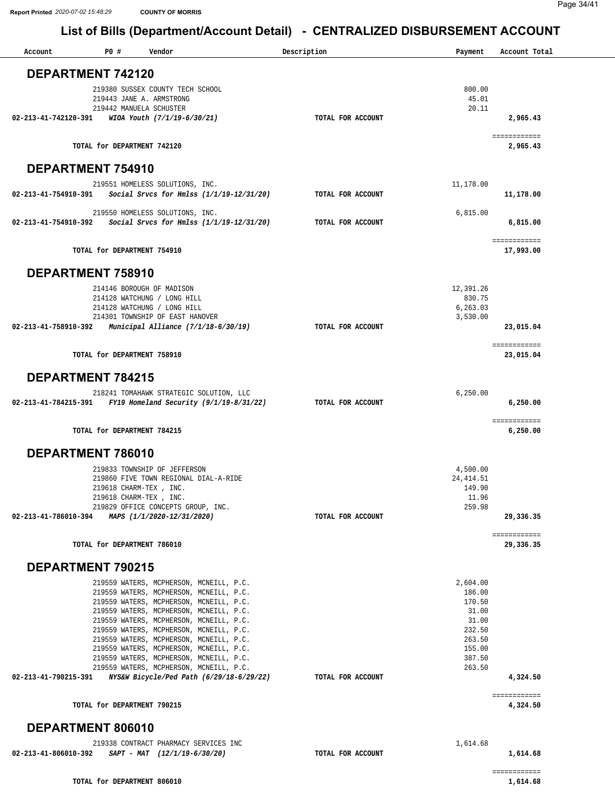| Account              | P0 #<br>Vendor                                                                        | Description       | Payment             | Account Total            |
|----------------------|---------------------------------------------------------------------------------------|-------------------|---------------------|--------------------------|
|                      | DEPARTMENT 742120                                                                     |                   |                     |                          |
|                      |                                                                                       |                   |                     |                          |
|                      | 219380 SUSSEX COUNTY TECH SCHOOL                                                      |                   | 800.00              |                          |
|                      | 219443 JANE A. ARMSTRONG                                                              |                   | 45.01               |                          |
| 02-213-41-742120-391 | 219442 MANUELA SCHUSTER<br>WIOA Youth (7/1/19-6/30/21)                                | TOTAL FOR ACCOUNT | 20.11               | 2,965.43                 |
|                      |                                                                                       |                   |                     |                          |
|                      |                                                                                       |                   |                     | ============             |
|                      | TOTAL for DEPARTMENT 742120                                                           |                   |                     | 2,965.43                 |
|                      | DEPARTMENT 754910                                                                     |                   |                     |                          |
|                      |                                                                                       |                   |                     |                          |
|                      | 219551 HOMELESS SOLUTIONS, INC.                                                       |                   | 11,178.00           |                          |
|                      | 02-213-41-754910-391 Social Srvcs for Hmlss (1/1/19-12/31/20)                         | TOTAL FOR ACCOUNT |                     | 11,178.00                |
|                      | 219550 HOMELESS SOLUTIONS, INC.                                                       |                   | 6,815.00            |                          |
| 02-213-41-754910-392 | Social Srvcs for Hmlss (1/1/19-12/31/20)                                              | TOTAL FOR ACCOUNT |                     | 6,815.00                 |
|                      |                                                                                       |                   |                     |                          |
|                      | TOTAL for DEPARTMENT 754910                                                           |                   |                     | ============             |
|                      |                                                                                       |                   |                     | 17,993.00                |
|                      | DEPARTMENT 758910                                                                     |                   |                     |                          |
|                      |                                                                                       |                   |                     |                          |
|                      | 214146 BOROUGH OF MADISON<br>214128 WATCHUNG / LONG HILL                              |                   | 12,391.26<br>830.75 |                          |
|                      | 214128 WATCHUNG / LONG HILL                                                           |                   | 6,263.03            |                          |
|                      | 214301 TOWNSHIP OF EAST HANOVER                                                       |                   | 3,530.00            |                          |
| 02-213-41-758910-392 | Municipal Alliance $(7/1/18-6/30/19)$                                                 | TOTAL FOR ACCOUNT |                     | 23,015.04                |
|                      |                                                                                       |                   |                     | ============             |
|                      | TOTAL for DEPARTMENT 758910                                                           |                   |                     | 23,015.04                |
|                      |                                                                                       |                   |                     |                          |
|                      | DEPARTMENT 784215                                                                     |                   |                     |                          |
|                      | 218241 TOMAHAWK STRATEGIC SOLUTION, LLC                                               |                   | 6, 250.00           |                          |
| 02-213-41-784215-391 | FY19 Homeland Security $(9/1/19-8/31/22)$                                             | TOTAL FOR ACCOUNT |                     | 6,250.00                 |
|                      |                                                                                       |                   |                     |                          |
|                      | TOTAL for DEPARTMENT 784215                                                           |                   |                     | ============<br>6,250.00 |
|                      |                                                                                       |                   |                     |                          |
|                      | DEPARTMENT 786010                                                                     |                   |                     |                          |
|                      | 219833 TOWNSHIP OF JEFFERSON                                                          |                   | 4,500.00            |                          |
|                      | 219860 FIVE TOWN REGIONAL DIAL-A-RIDE                                                 |                   | 24, 414.51          |                          |
|                      | 219618 CHARM-TEX, INC.                                                                |                   | 149.90              |                          |
|                      | 219618 CHARM-TEX , INC.                                                               |                   | 11.96               |                          |
|                      | 219829 OFFICE CONCEPTS GROUP, INC.<br>02-213-41-786010-394 MAPS (1/1/2020-12/31/2020) | TOTAL FOR ACCOUNT | 259.98              | 29,336.35                |
|                      |                                                                                       |                   |                     |                          |
|                      |                                                                                       |                   |                     | ============             |
|                      | TOTAL for DEPARTMENT 786010                                                           |                   |                     | 29,336.35                |
|                      | DEPARTMENT 790215                                                                     |                   |                     |                          |
|                      |                                                                                       |                   |                     |                          |
|                      | 219559 WATERS, MCPHERSON, MCNEILL, P.C.                                               |                   | 2,604.00            |                          |
|                      | 219559 WATERS, MCPHERSON, MCNEILL, P.C.<br>219559 WATERS, MCPHERSON, MCNEILL, P.C.    |                   | 186.00<br>170.50    |                          |
|                      | 219559 WATERS, MCPHERSON, MCNEILL, P.C.                                               |                   | 31.00               |                          |
|                      | 219559 WATERS, MCPHERSON, MCNEILL, P.C.                                               |                   | 31.00               |                          |
|                      | 219559 WATERS, MCPHERSON, MCNEILL, P.C.                                               |                   | 232.50              |                          |
|                      | 219559 WATERS, MCPHERSON, MCNEILL, P.C.                                               |                   | 263.50              |                          |
|                      | 219559 WATERS, MCPHERSON, MCNEILL, P.C.                                               |                   | 155.00              |                          |
|                      | 219559 WATERS, MCPHERSON, MCNEILL, P.C.<br>219559 WATERS, MCPHERSON, MCNEILL, P.C.    |                   | 387.50<br>263.50    |                          |
|                      | 02-213-41-790215-391 NYS&W Bicycle/Ped Path (6/29/18-6/29/22)                         | TOTAL FOR ACCOUNT |                     | 4,324.50                 |
|                      |                                                                                       |                   |                     |                          |
|                      | TOTAL for DEPARTMENT 790215                                                           |                   |                     | ============<br>4,324.50 |
|                      |                                                                                       |                   |                     |                          |
|                      | DEPARTMENT 806010                                                                     |                   |                     |                          |
|                      | 219338 CONTRACT PHARMACY SERVICES INC                                                 |                   | 1,614.68            |                          |
|                      | 02-213-41-806010-392 SAPT - MAT $(12/1/19-6/30/20)$                                   | TOTAL FOR ACCOUNT |                     | 1,614.68                 |
|                      |                                                                                       |                   |                     | ============             |
|                      | TOTAL for DEPARTMENT 806010                                                           |                   |                     | 1,614.68                 |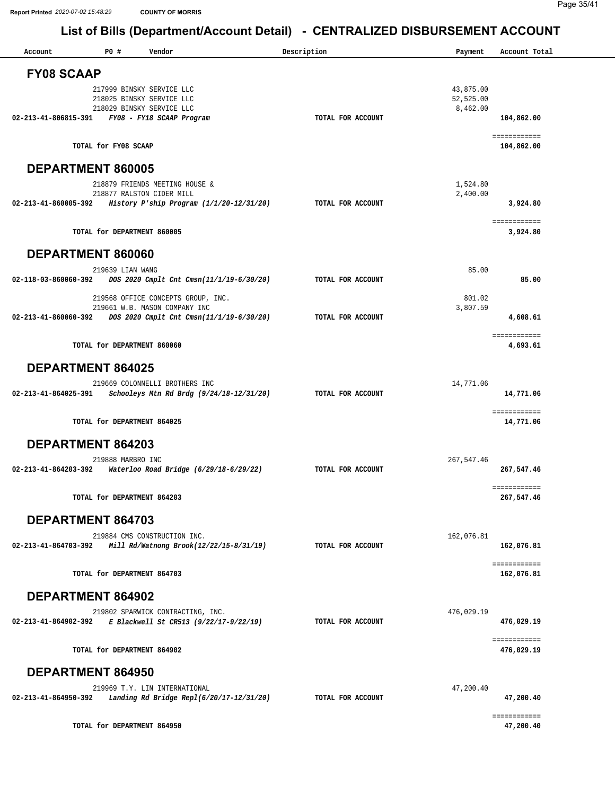| Account                                        | P0 #                                                   | Vendor                                                                                           | Description       | Payment                | Account Total              |
|------------------------------------------------|--------------------------------------------------------|--------------------------------------------------------------------------------------------------|-------------------|------------------------|----------------------------|
| <b>FY08 SCAAP</b>                              |                                                        |                                                                                                  |                   |                        |                            |
|                                                |                                                        |                                                                                                  |                   |                        |                            |
|                                                | 217999 BINSKY SERVICE LLC<br>218025 BINSKY SERVICE LLC |                                                                                                  |                   | 43,875.00<br>52,525.00 |                            |
|                                                | 218029 BINSKY SERVICE LLC                              |                                                                                                  |                   | 8,462.00               |                            |
| 02-213-41-806815-391 FY08 - FY18 SCAAP Program |                                                        |                                                                                                  | TOTAL FOR ACCOUNT |                        | 104,862.00                 |
|                                                |                                                        |                                                                                                  |                   |                        |                            |
|                                                | TOTAL for FY08 SCAAP                                   |                                                                                                  |                   |                        | ============<br>104,862.00 |
|                                                |                                                        |                                                                                                  |                   |                        |                            |
| <b>DEPARTMENT 860005</b>                       |                                                        |                                                                                                  |                   |                        |                            |
|                                                |                                                        | 218879 FRIENDS MEETING HOUSE &                                                                   |                   | 1,524.80               |                            |
|                                                | 218877 RALSTON CIDER MILL                              |                                                                                                  |                   | 2,400.00               |                            |
|                                                |                                                        | 02-213-41-860005-392 History P'ship Program (1/1/20-12/31/20)                                    | TOTAL FOR ACCOUNT |                        | 3,924.80                   |
|                                                |                                                        |                                                                                                  |                   |                        | ============               |
|                                                | TOTAL for DEPARTMENT 860005                            |                                                                                                  |                   |                        | 3,924.80                   |
|                                                |                                                        |                                                                                                  |                   |                        |                            |
| DEPARTMENT 860060                              |                                                        |                                                                                                  |                   |                        |                            |
|                                                | 219639 LIAN WANG                                       |                                                                                                  |                   | 85.00                  |                            |
|                                                |                                                        | 02-118-03-860060-392 DOS 2020 Cmplt Cnt Cmsn(11/1/19-6/30/20)                                    | TOTAL FOR ACCOUNT |                        | 85.00                      |
|                                                |                                                        |                                                                                                  |                   | 801.02                 |                            |
|                                                |                                                        | 219568 OFFICE CONCEPTS GROUP, INC.<br>219661 W.B. MASON COMPANY INC                              |                   | 3,807.59               |                            |
|                                                |                                                        | 02-213-41-860060-392 DOS 2020 Cmplt Cnt Cmsn(11/1/19-6/30/20)                                    | TOTAL FOR ACCOUNT |                        | 4,608.61                   |
|                                                |                                                        |                                                                                                  |                   |                        |                            |
|                                                | TOTAL for DEPARTMENT 860060                            |                                                                                                  |                   |                        | ============<br>4,693.61   |
|                                                |                                                        |                                                                                                  |                   |                        |                            |
| <b>DEPARTMENT 864025</b>                       |                                                        |                                                                                                  |                   |                        |                            |
|                                                |                                                        | 219669 COLONNELLI BROTHERS INC                                                                   |                   | 14,771.06              |                            |
| 02-213-41-864025-391                           |                                                        | Schooleys Mtn Rd Brdg (9/24/18-12/31/20)                                                         | TOTAL FOR ACCOUNT |                        | 14,771.06                  |
|                                                |                                                        |                                                                                                  |                   |                        |                            |
|                                                | TOTAL for DEPARTMENT 864025                            |                                                                                                  |                   |                        | ============<br>14,771.06  |
|                                                |                                                        |                                                                                                  |                   |                        |                            |
| DEPARTMENT 864203                              |                                                        |                                                                                                  |                   |                        |                            |
|                                                | 219888 MARBRO INC                                      |                                                                                                  |                   | 267,547.46             |                            |
| 02-213-41-864203-392                           |                                                        | Waterloo Road Bridge (6/29/18-6/29/22)                                                           | TOTAL FOR ACCOUNT |                        | 267,547.46                 |
|                                                |                                                        |                                                                                                  |                   |                        |                            |
|                                                |                                                        |                                                                                                  |                   |                        | ============               |
|                                                | TOTAL for DEPARTMENT 864203                            |                                                                                                  |                   |                        | 267,547.46                 |
| DEPARTMENT 864703                              |                                                        |                                                                                                  |                   |                        |                            |
|                                                |                                                        |                                                                                                  |                   |                        |                            |
| 02-213-41-864703-392                           |                                                        | 219884 CMS CONSTRUCTION INC.<br>Mill Rd/Watnong Brook(12/22/15-8/31/19)                          | TOTAL FOR ACCOUNT | 162,076.81             | 162,076.81                 |
|                                                |                                                        |                                                                                                  |                   |                        |                            |
|                                                |                                                        |                                                                                                  |                   |                        | ============               |
|                                                | TOTAL for DEPARTMENT 864703                            |                                                                                                  |                   |                        | 162,076.81                 |
| <b>DEPARTMENT 864902</b>                       |                                                        |                                                                                                  |                   |                        |                            |
|                                                |                                                        |                                                                                                  |                   |                        |                            |
|                                                |                                                        | 219802 SPARWICK CONTRACTING, INC.<br>02-213-41-864902-392 E Blackwell St CR513 (9/22/17-9/22/19) | TOTAL FOR ACCOUNT | 476,029.19             | 476,029.19                 |
|                                                |                                                        |                                                                                                  |                   |                        |                            |
|                                                |                                                        |                                                                                                  |                   |                        | ============               |
|                                                | TOTAL for DEPARTMENT 864902                            |                                                                                                  |                   |                        | 476,029.19                 |
| <b>DEPARTMENT 864950</b>                       |                                                        |                                                                                                  |                   |                        |                            |
|                                                |                                                        |                                                                                                  |                   |                        |                            |
|                                                |                                                        | 219969 T.Y. LIN INTERNATIONAL                                                                    |                   | 47,200.40              |                            |
| 02-213-41-864950-392                           |                                                        | Landing Rd Bridge Repl(6/20/17-12/31/20)                                                         | TOTAL FOR ACCOUNT |                        | 47,200.40                  |
|                                                |                                                        |                                                                                                  |                   |                        | ============               |
|                                                | TOTAL for DEPARTMENT 864950                            |                                                                                                  |                   |                        | 47,200.40                  |
|                                                |                                                        |                                                                                                  |                   |                        |                            |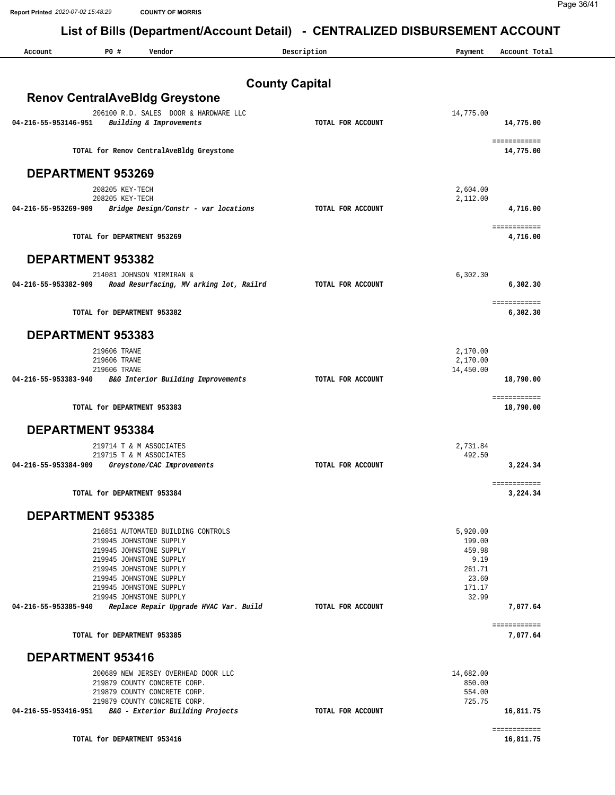**Report Printed** *2020-07-02 15:48:29* **COUNTY OF MORRIS**

Page 36/41

| Account                  | P0 #            | Vendor                                                           | Description           | Payment         | Account Total            |
|--------------------------|-----------------|------------------------------------------------------------------|-----------------------|-----------------|--------------------------|
|                          |                 |                                                                  | <b>County Capital</b> |                 |                          |
|                          |                 | <b>Renov CentralAveBldg Greystone</b>                            |                       |                 |                          |
|                          |                 | 206100 R.D. SALES DOOR & HARDWARE LLC                            |                       | 14,775.00       |                          |
| 04-216-55-953146-951     |                 | Building & Improvements                                          | TOTAL FOR ACCOUNT     |                 | 14,775.00                |
|                          |                 |                                                                  |                       |                 | ============             |
|                          |                 | TOTAL for Renov CentralAveBldg Greystone                         |                       |                 | 14,775.00                |
| <b>DEPARTMENT 953269</b> |                 |                                                                  |                       |                 |                          |
|                          | 208205 KEY-TECH |                                                                  |                       | 2,604.00        |                          |
| 04-216-55-953269-909     | 208205 KEY-TECH | Bridge Design/Constr - var locations                             | TOTAL FOR ACCOUNT     | 2,112.00        | 4,716.00                 |
|                          |                 |                                                                  |                       |                 |                          |
|                          |                 | TOTAL for DEPARTMENT 953269                                      |                       |                 | ============<br>4,716.00 |
| DEPARTMENT 953382        |                 |                                                                  |                       |                 |                          |
|                          |                 | 214081 JOHNSON MIRMIRAN &                                        |                       | 6,302.30        |                          |
| 04-216-55-953382-909     |                 | Road Resurfacing, MV arking lot, Railrd                          | TOTAL FOR ACCOUNT     |                 | 6,302.30                 |
|                          |                 |                                                                  |                       |                 | ============             |
|                          |                 | TOTAL for DEPARTMENT 953382                                      |                       |                 | 6,302.30                 |
| DEPARTMENT 953383        |                 |                                                                  |                       |                 |                          |
|                          | 219606 TRANE    |                                                                  |                       | 2,170.00        |                          |
|                          | 219606 TRANE    |                                                                  |                       | 2,170.00        |                          |
| 04-216-55-953383-940     | 219606 TRANE    | B&G Interior Building Improvements                               | TOTAL FOR ACCOUNT     | 14,450.00       | 18,790.00                |
|                          |                 |                                                                  |                       |                 | ============             |
|                          |                 | TOTAL for DEPARTMENT 953383                                      |                       |                 | 18,790.00                |
| <b>DEPARTMENT 953384</b> |                 |                                                                  |                       |                 |                          |
|                          |                 | 219714 T & M ASSOCIATES                                          |                       | 2,731.84        |                          |
| 04-216-55-953384-909     |                 | 219715 T & M ASSOCIATES<br>Greystone/CAC Improvements            | TOTAL FOR ACCOUNT     | 492.50          | 3,224.34                 |
|                          |                 |                                                                  |                       |                 |                          |
|                          |                 | TOTAL for DEPARTMENT 953384                                      |                       |                 | ============<br>3,224.34 |
| <b>DEPARTMENT 953385</b> |                 |                                                                  |                       |                 |                          |
|                          |                 | 216851 AUTOMATED BUILDING CONTROLS                               |                       | 5,920.00        |                          |
|                          |                 | 219945 JOHNSTONE SUPPLY                                          |                       | 199.00          |                          |
|                          |                 | 219945 JOHNSTONE SUPPLY<br>219945 JOHNSTONE SUPPLY               |                       | 459.98<br>9.19  |                          |
|                          |                 | 219945 JOHNSTONE SUPPLY                                          |                       | 261.71          |                          |
|                          |                 | 219945 JOHNSTONE SUPPLY                                          |                       | 23.60           |                          |
|                          |                 | 219945 JOHNSTONE SUPPLY<br>219945 JOHNSTONE SUPPLY               |                       | 171.17<br>32.99 |                          |
| 04-216-55-953385-940     |                 | Replace Repair Upgrade HVAC Var. Build                           | TOTAL FOR ACCOUNT     |                 | 7,077.64                 |
|                          |                 | TOTAL for DEPARTMENT 953385                                      |                       |                 | ============<br>7,077.64 |
|                          |                 |                                                                  |                       |                 |                          |
| DEPARTMENT 953416        |                 | 200689 NEW JERSEY OVERHEAD DOOR LLC                              |                       | 14,682.00       |                          |
|                          |                 | 219879 COUNTY CONCRETE CORP.                                     |                       | 850.00          |                          |
|                          |                 | 219879 COUNTY CONCRETE CORP.                                     |                       | 554.00          |                          |
| 04-216-55-953416-951     |                 | 219879 COUNTY CONCRETE CORP.<br>B&G - Exterior Building Projects | TOTAL FOR ACCOUNT     | 725.75          | 16,811.75                |
|                          |                 |                                                                  |                       |                 |                          |
|                          |                 |                                                                  |                       |                 | ============             |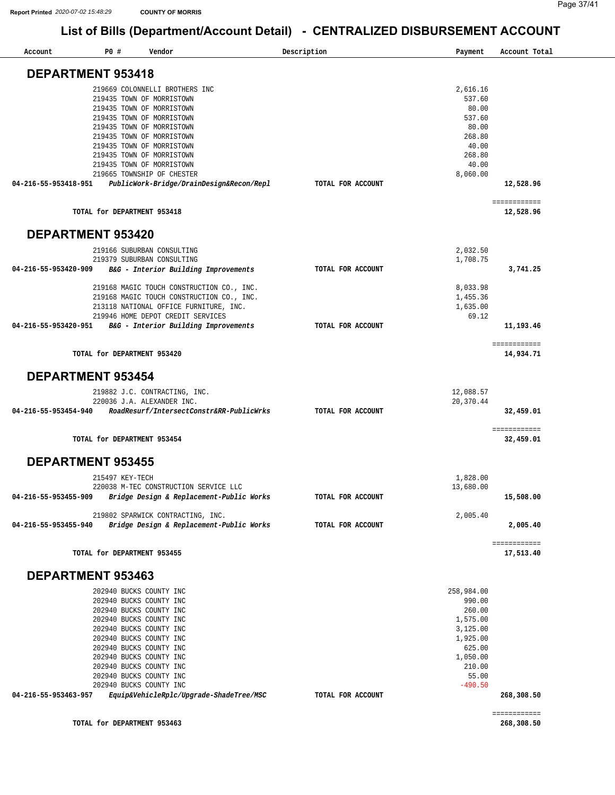| Account                  | <b>PO #</b>                 | Vendor                                                                            | Description       | Payment              | Account Total             |
|--------------------------|-----------------------------|-----------------------------------------------------------------------------------|-------------------|----------------------|---------------------------|
| <b>DEPARTMENT 953418</b> |                             |                                                                                   |                   |                      |                           |
|                          |                             | 219669 COLONNELLI BROTHERS INC                                                    |                   | 2,616.16             |                           |
|                          |                             | 219435 TOWN OF MORRISTOWN                                                         |                   | 537.60               |                           |
|                          |                             | 219435 TOWN OF MORRISTOWN                                                         |                   | 80.00                |                           |
|                          |                             | 219435 TOWN OF MORRISTOWN                                                         |                   | 537.60               |                           |
|                          |                             | 219435 TOWN OF MORRISTOWN                                                         |                   | 80.00                |                           |
|                          |                             | 219435 TOWN OF MORRISTOWN                                                         |                   | 268.80               |                           |
|                          |                             | 219435 TOWN OF MORRISTOWN                                                         |                   | 40.00                |                           |
|                          |                             | 219435 TOWN OF MORRISTOWN                                                         |                   | 268.80               |                           |
|                          |                             | 219435 TOWN OF MORRISTOWN<br>219665 TOWNSHIP OF CHESTER                           |                   | 40.00                |                           |
| 04-216-55-953418-951     |                             | PublicWork-Bridge/DrainDesign&Recon/Repl                                          | TOTAL FOR ACCOUNT | 8,060.00             | 12,528.96                 |
|                          |                             |                                                                                   |                   |                      |                           |
|                          | TOTAL for DEPARTMENT 953418 |                                                                                   |                   |                      | ============<br>12,528.96 |
| <b>DEPARTMENT 953420</b> |                             |                                                                                   |                   |                      |                           |
|                          |                             | 219166 SUBURBAN CONSULTING                                                        |                   | 2,032.50             |                           |
|                          |                             | 219379 SUBURBAN CONSULTING                                                        |                   | 1,708.75             |                           |
| 04-216-55-953420-909     |                             | B&G - Interior Building Improvements                                              | TOTAL FOR ACCOUNT |                      | 3,741.25                  |
|                          |                             |                                                                                   |                   |                      |                           |
|                          |                             | 219168 MAGIC TOUCH CONSTRUCTION CO., INC.                                         |                   | 8,033.98             |                           |
|                          |                             | 219168 MAGIC TOUCH CONSTRUCTION CO., INC.                                         |                   | 1,455.36             |                           |
|                          |                             | 213118 NATIONAL OFFICE FURNITURE, INC.                                            |                   | 1,635.00             |                           |
|                          |                             | 219946 HOME DEPOT CREDIT SERVICES                                                 |                   | 69.12                |                           |
| 04-216-55-953420-951     |                             | B&G - Interior Building Improvements                                              | TOTAL FOR ACCOUNT |                      | 11,193.46                 |
|                          | TOTAL for DEPARTMENT 953420 |                                                                                   |                   |                      | ============<br>14,934.71 |
| <b>DEPARTMENT 953454</b> |                             |                                                                                   |                   |                      |                           |
|                          |                             |                                                                                   |                   |                      |                           |
|                          |                             | 219882 J.C. CONTRACTING, INC.                                                     |                   | 12,088.57            |                           |
|                          |                             | 220036 J.A. ALEXANDER INC.                                                        |                   | 20,370.44            |                           |
| 04-216-55-953454-940     |                             | RoadResurf/IntersectConstr&RR-PublicWrks                                          | TOTAL FOR ACCOUNT |                      | 32,459.01                 |
|                          | TOTAL for DEPARTMENT 953454 |                                                                                   |                   |                      | ============<br>32,459.01 |
| <b>DEPARTMENT 953455</b> |                             |                                                                                   |                   |                      |                           |
|                          |                             |                                                                                   |                   |                      |                           |
|                          | 215497 KEY-TECH             |                                                                                   |                   | 1,828.00             |                           |
| 04-216-55-953455-909     |                             | 220038 M-TEC CONSTRUCTION SERVICE LLC<br>Bridge Design & Replacement-Public Works | TOTAL FOR ACCOUNT | 13,680.00            | 15,508.00                 |
|                          |                             |                                                                                   |                   |                      |                           |
|                          |                             | 219802 SPARWICK CONTRACTING, INC.                                                 |                   | 2,005.40             |                           |
| 04-216-55-953455-940     |                             | Bridge Design & Replacement-Public Works                                          | TOTAL FOR ACCOUNT |                      | 2,005.40                  |
|                          | TOTAL for DEPARTMENT 953455 |                                                                                   |                   |                      | ============<br>17,513.40 |
|                          |                             |                                                                                   |                   |                      |                           |
| DEPARTMENT 953463        |                             |                                                                                   |                   |                      |                           |
|                          |                             | 202940 BUCKS COUNTY INC                                                           |                   | 258,984.00<br>990.00 |                           |
|                          |                             | 202940 BUCKS COUNTY INC<br>202940 BUCKS COUNTY INC                                |                   | 260.00               |                           |
|                          |                             | 202940 BUCKS COUNTY INC                                                           |                   | 1,575.00             |                           |
|                          |                             | 202940 BUCKS COUNTY INC                                                           |                   | 3,125.00             |                           |
|                          |                             | 202940 BUCKS COUNTY INC                                                           |                   | 1,925.00             |                           |
|                          |                             | 202940 BUCKS COUNTY INC                                                           |                   | 625.00               |                           |
|                          |                             |                                                                                   |                   | 1,050.00             |                           |
|                          |                             | 202940 BUCKS COUNTY INC                                                           |                   |                      |                           |
|                          |                             | 202940 BUCKS COUNTY INC                                                           |                   | 210.00               |                           |
|                          |                             | 202940 BUCKS COUNTY INC                                                           |                   | 55.00                |                           |
| 04-216-55-953463-957     |                             | 202940 BUCKS COUNTY INC<br>Equip&VehicleRplc/Upgrade-ShadeTree/MSC                | TOTAL FOR ACCOUNT | $-490.50$            | 268,308.50                |

**TOTAL for DEPARTMENT 953463** 

**[268,308.50](https://268,308.50)**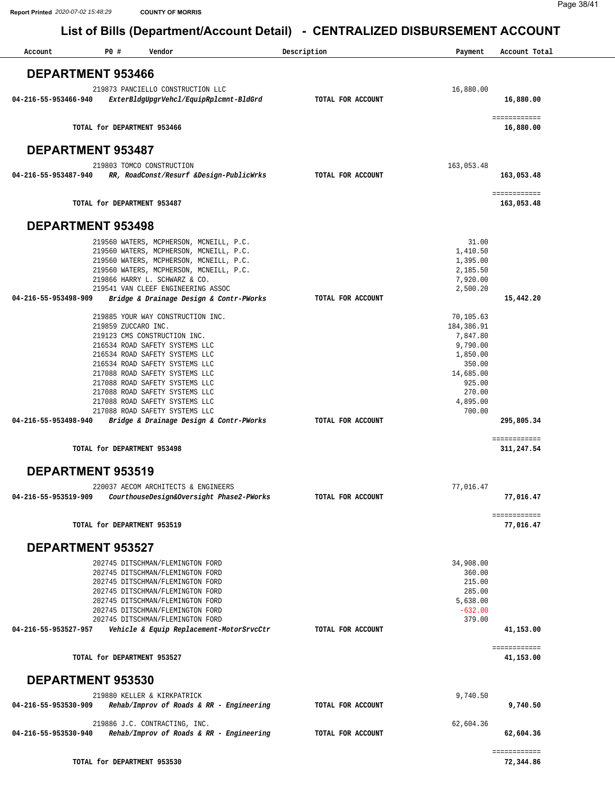| Account                  | P0#                         | Vendor                                                                   | Description       | Payment              | Account Total              |
|--------------------------|-----------------------------|--------------------------------------------------------------------------|-------------------|----------------------|----------------------------|
| <b>DEPARTMENT 953466</b> |                             |                                                                          |                   |                      |                            |
|                          |                             | 219873 PANCIELLO CONSTRUCTION LLC                                        |                   | 16,880.00            |                            |
| 04-216-55-953466-940     |                             | ExterBldgUpgrVehcl/EquipRplcmnt-BldGrd                                   | TOTAL FOR ACCOUNT |                      | 16,880.00                  |
|                          |                             | TOTAL for DEPARTMENT 953466                                              |                   |                      | ============<br>16,880.00  |
| <b>DEPARTMENT 953487</b> |                             |                                                                          |                   |                      |                            |
|                          |                             | 219803 TOMCO CONSTRUCTION                                                |                   | 163,053.48           |                            |
| 04-216-55-953487-940     |                             | RR, RoadConst/Resurf &Design-PublicWrks                                  | TOTAL FOR ACCOUNT |                      | 163,053.48                 |
|                          |                             | TOTAL for DEPARTMENT 953487                                              |                   |                      | ============<br>163,053.48 |
| <b>DEPARTMENT 953498</b> |                             |                                                                          |                   |                      |                            |
|                          |                             | 219560 WATERS, MCPHERSON, MCNEILL, P.C.                                  |                   | 31.00                |                            |
|                          |                             | 219560 WATERS, MCPHERSON, MCNEILL, P.C.                                  |                   | 1,410.50             |                            |
|                          |                             | 219560 WATERS, MCPHERSON, MCNEILL, P.C.                                  |                   | 1,395.00             |                            |
|                          |                             | 219560 WATERS, MCPHERSON, MCNEILL, P.C.<br>219866 HARRY L. SCHWARZ & CO. |                   | 2,185.50<br>7,920.00 |                            |
|                          |                             | 219541 VAN CLEEF ENGINEERING ASSOC                                       |                   | 2,500.20             |                            |
| 04-216-55-953498-909     |                             | Bridge & Drainage Design & Contr-PWorks                                  | TOTAL FOR ACCOUNT |                      | 15,442.20                  |
|                          |                             | 219885 YOUR WAY CONSTRUCTION INC.                                        |                   | 70,105.63            |                            |
|                          | 219859 ZUCCARO INC.         |                                                                          |                   | 184,386.91           |                            |
|                          |                             | 219123 CMS CONSTRUCTION INC.                                             |                   | 7,847.80             |                            |
|                          |                             | 216534 ROAD SAFETY SYSTEMS LLC<br>216534 ROAD SAFETY SYSTEMS LLC         |                   | 9,790.00<br>1,850.00 |                            |
|                          |                             | 216534 ROAD SAFETY SYSTEMS LLC                                           |                   | 350.00               |                            |
|                          |                             | 217088 ROAD SAFETY SYSTEMS LLC                                           |                   | 14,685.00            |                            |
|                          |                             | 217088 ROAD SAFETY SYSTEMS LLC                                           |                   | 925.00<br>270.00     |                            |
|                          |                             | 217088 ROAD SAFETY SYSTEMS LLC<br>217088 ROAD SAFETY SYSTEMS LLC         |                   | 4,895.00             |                            |
|                          |                             | 217088 ROAD SAFETY SYSTEMS LLC                                           |                   | 700.00               |                            |
|                          |                             | 04-216-55-953498-940 Bridge & Drainage Design & Contr-PWorks             | TOTAL FOR ACCOUNT |                      | 295,805.34                 |
|                          |                             | TOTAL for DEPARTMENT 953498                                              |                   |                      | ============<br>311,247.54 |
| <b>DEPARTMENT 953519</b> |                             |                                                                          |                   |                      |                            |
|                          |                             | 220037 AECOM ARCHITECTS & ENGINEERS                                      |                   | 77,016.47            |                            |
| 04-216-55-953519-909     |                             | CourthouseDesign&Oversight Phase2-PWorks                                 | TOTAL FOR ACCOUNT |                      | 77,016.47                  |
|                          |                             | TOTAL for DEPARTMENT 953519                                              |                   |                      | ============<br>77,016.47  |
| <b>DEPARTMENT 953527</b> |                             |                                                                          |                   |                      |                            |
|                          |                             | 202745 DITSCHMAN/FLEMINGTON FORD                                         |                   | 34,908.00            |                            |
|                          |                             | 202745 DITSCHMAN/FLEMINGTON FORD                                         |                   | 360.00               |                            |
|                          |                             | 202745 DITSCHMAN/FLEMINGTON FORD                                         |                   | 215.00               |                            |
|                          |                             | 202745 DITSCHMAN/FLEMINGTON FORD<br>202745 DITSCHMAN/FLEMINGTON FORD     |                   | 285.00<br>5,638.00   |                            |
|                          |                             | 202745 DITSCHMAN/FLEMINGTON FORD                                         |                   | $-632.00$            |                            |
|                          |                             | 202745 DITSCHMAN/FLEMINGTON FORD                                         |                   | 379.00               |                            |
| 04-216-55-953527-957     |                             | Vehicle & Equip Replacement-MotorSrvcCtr                                 | TOTAL FOR ACCOUNT |                      | 41,153.00<br>============  |
|                          |                             | TOTAL for DEPARTMENT 953527                                              |                   |                      | 41,153.00                  |
| <b>DEPARTMENT 953530</b> |                             |                                                                          |                   |                      |                            |
|                          |                             | 219880 KELLER & KIRKPATRICK                                              |                   | 9,740.50             |                            |
| 04-216-55-953530-909     |                             | Rehab/Improv of Roads & RR - Engineering                                 | TOTAL FOR ACCOUNT |                      | 9,740.50                   |
|                          |                             | 219886 J.C. CONTRACTING, INC.                                            |                   | 62,604.36            |                            |
| 04-216-55-953530-940     |                             | Rehab/Improv of Roads & RR - Engineering                                 | TOTAL FOR ACCOUNT |                      | 62,604.36                  |
|                          | TOTAL for DEPARTMENT 953530 |                                                                          |                   |                      | ============<br>72,344.86  |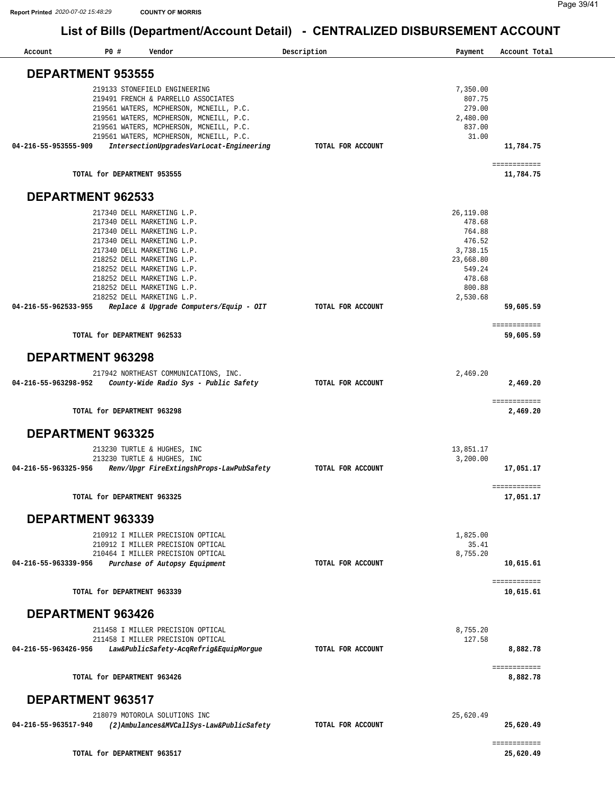| Account              | P0#                         | Vendor                                                                                                                                                     | Description       | Payment                                  |       | Account Total              |
|----------------------|-----------------------------|------------------------------------------------------------------------------------------------------------------------------------------------------------|-------------------|------------------------------------------|-------|----------------------------|
|                      | <b>DEPARTMENT 953555</b>    |                                                                                                                                                            |                   |                                          |       |                            |
|                      |                             | 219133 STONEFIELD ENGINEERING<br>219491 FRENCH & PARRELLO ASSOCIATES<br>219561 WATERS, MCPHERSON, MCNEILL, P.C.<br>219561 WATERS, MCPHERSON, MCNEILL, P.C. |                   | 7,350.00<br>807.75<br>279.00<br>2,480.00 |       |                            |
|                      |                             | 219561 WATERS, MCPHERSON, MCNEILL, P.C.<br>219561 WATERS, MCPHERSON, MCNEILL, P.C.                                                                         |                   | 837.00                                   | 31.00 |                            |
| 04-216-55-953555-909 |                             | IntersectionUpgradesVarLocat-Engineering                                                                                                                   | TOTAL FOR ACCOUNT |                                          |       | 11,784.75                  |
|                      | TOTAL for DEPARTMENT 953555 |                                                                                                                                                            |                   |                                          |       | = ===========<br>11,784.75 |
|                      | <b>DEPARTMENT 962533</b>    |                                                                                                                                                            |                   |                                          |       |                            |
|                      |                             | 217340 DELL MARKETING L.P.                                                                                                                                 |                   | 26, 119.08                               |       |                            |
|                      |                             | 217340 DELL MARKETING L.P.                                                                                                                                 |                   | 478.68                                   |       |                            |
|                      |                             | 217340 DELL MARKETING L.P.                                                                                                                                 |                   | 764.88                                   |       |                            |
|                      |                             | 217340 DELL MARKETING L.P.                                                                                                                                 |                   | 476.52                                   |       |                            |
|                      |                             | 217340 DELL MARKETING L.P.                                                                                                                                 |                   | 3,738.15                                 |       |                            |
|                      |                             | 218252 DELL MARKETING L.P.<br>218252 DELL MARKETING L.P.                                                                                                   |                   | 23,668.80<br>549.24                      |       |                            |
|                      |                             | 218252 DELL MARKETING L.P.                                                                                                                                 |                   | 478.68                                   |       |                            |
|                      |                             | 218252 DELL MARKETING L.P.                                                                                                                                 |                   | 800.88                                   |       |                            |
|                      |                             | 218252 DELL MARKETING L.P.                                                                                                                                 |                   | 2,530.68                                 |       |                            |
| 04-216-55-962533-955 |                             | Replace & Upgrade Computers/Equip - OIT                                                                                                                    | TOTAL FOR ACCOUNT |                                          |       | 59,605.59                  |
|                      | TOTAL for DEPARTMENT 962533 |                                                                                                                                                            |                   |                                          |       | = ===========<br>59,605.59 |
|                      | DEPARTMENT 963298           |                                                                                                                                                            |                   |                                          |       |                            |
|                      |                             |                                                                                                                                                            |                   |                                          |       |                            |
|                      |                             | 217942 NORTHEAST COMMUNICATIONS, INC.                                                                                                                      |                   | 2,469.20                                 |       |                            |
| 04-216-55-963298-952 |                             | County-Wide Radio Sys - Public Safety                                                                                                                      | TOTAL FOR ACCOUNT |                                          |       | 2,469.20                   |
|                      | TOTAL for DEPARTMENT 963298 |                                                                                                                                                            |                   |                                          |       | = ===========<br>2,469.20  |
|                      | <b>DEPARTMENT 963325</b>    |                                                                                                                                                            |                   |                                          |       |                            |
|                      |                             | 213230 TURTLE & HUGHES, INC                                                                                                                                |                   | 13,851.17                                |       |                            |
|                      |                             | 213230 TURTLE & HUGHES, INC                                                                                                                                |                   | 3,200.00                                 |       |                            |
| 04-216-55-963325-956 |                             | Renv/Upgr FireExtingshProps-LawPubSafety                                                                                                                   | TOTAL FOR ACCOUNT |                                          |       | 17,051.17                  |
|                      | TOTAL for DEPARTMENT 963325 |                                                                                                                                                            |                   |                                          |       | 17,051.17                  |
|                      | DEPARTMENT 963339           |                                                                                                                                                            |                   |                                          |       |                            |
|                      |                             | 210912 I MILLER PRECISION OPTICAL                                                                                                                          |                   | 1,825.00                                 |       |                            |
|                      |                             | 210912 I MILLER PRECISION OPTICAL                                                                                                                          |                   |                                          | 35.41 |                            |
|                      |                             | 210464 I MILLER PRECISION OPTICAL                                                                                                                          |                   | 8,755.20                                 |       |                            |
| 04-216-55-963339-956 |                             | Purchase of Autopsy Equipment                                                                                                                              | TOTAL FOR ACCOUNT |                                          |       | 10,615.61                  |
|                      | TOTAL for DEPARTMENT 963339 |                                                                                                                                                            |                   |                                          |       | = ===========<br>10,615.61 |
|                      | DEPARTMENT 963426           |                                                                                                                                                            |                   |                                          |       |                            |
|                      |                             |                                                                                                                                                            |                   |                                          |       |                            |
|                      |                             | 211458 I MILLER PRECISION OPTICAL                                                                                                                          |                   | 8,755.20                                 |       |                            |
|                      |                             | 211458 I MILLER PRECISION OPTICAL                                                                                                                          |                   | 127.58                                   |       |                            |
| 04-216-55-963426-956 |                             | Law&PublicSafety-AcqRefrig&EquipMorgue                                                                                                                     | TOTAL FOR ACCOUNT |                                          |       | 8,882.78<br>= ===========  |
|                      | TOTAL for DEPARTMENT 963426 |                                                                                                                                                            |                   |                                          |       | 8,882.78                   |
|                      | <b>DEPARTMENT 963517</b>    |                                                                                                                                                            |                   |                                          |       |                            |
|                      |                             | 218079 MOTOROLA SOLUTIONS INC                                                                                                                              |                   | 25,620.49                                |       |                            |
| 04-216-55-963517-940 |                             | (2)Ambulances&MVCallSys-Law&PublicSafety                                                                                                                   | TOTAL FOR ACCOUNT |                                          |       | 25,620.49                  |
|                      | TOTAL for DEPARTMENT 963517 |                                                                                                                                                            |                   |                                          |       | = ===========<br>25,620.49 |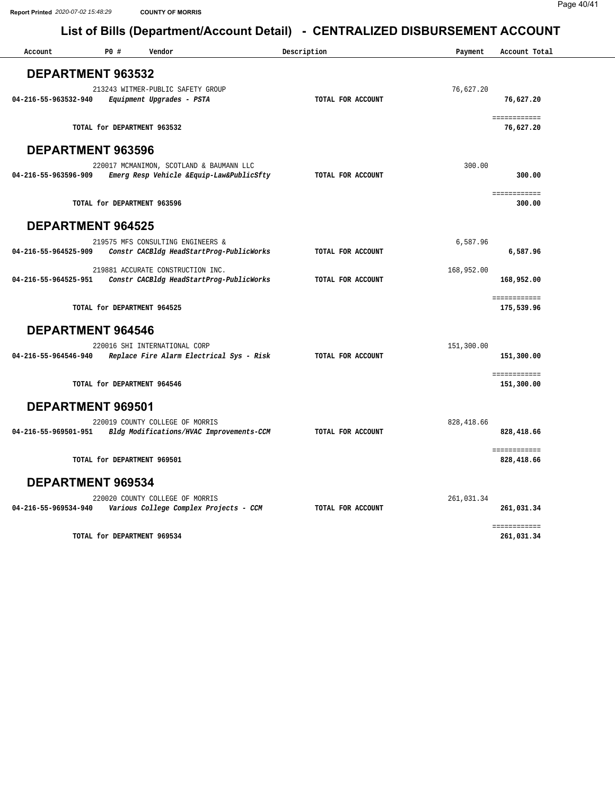| DEPARTMENT 963532<br>213243 WITMER-PUBLIC SAFETY GROUP<br>76,627.20<br>TOTAL FOR ACCOUNT<br>04-216-55-963532-940<br>76,627.20<br>Equipment Upgrades - PSTA<br>============<br>TOTAL for DEPARTMENT 963532<br>76,627.20<br>DEPARTMENT 963596<br>220017 MCMANIMON, SCOTLAND & BAUMANN LLC<br>300.00<br>04-216-55-963596-909<br>Emerg Resp Vehicle &Equip-Law&PublicSfty<br>TOTAL FOR ACCOUNT<br>300.00<br>============<br>TOTAL for DEPARTMENT 963596<br>300.00<br><b>DEPARTMENT 964525</b><br>219575 MFS CONSULTING ENGINEERS &<br>6,587.96<br>Constr CACBldg HeadStartProg-PublicWorks<br>TOTAL FOR ACCOUNT<br>04-216-55-964525-909<br>6,587.96<br>219881 ACCURATE CONSTRUCTION INC.<br>168,952.00<br>04-216-55-964525-951<br>Constr CACBldg HeadStartProg-PublicWorks<br>TOTAL FOR ACCOUNT<br>168,952.00<br>============<br>TOTAL for DEPARTMENT 964525<br>175,539.96<br><b>DEPARTMENT 964546</b><br>220016 SHI INTERNATIONAL CORP<br>151,300.00<br>Replace Fire Alarm Electrical Sys - Risk<br>TOTAL FOR ACCOUNT<br>151,300.00<br>04-216-55-964546-940<br>============<br>TOTAL for DEPARTMENT 964546<br>151,300.00<br>DEPARTMENT 969501<br>220019 COUNTY COLLEGE OF MORRIS<br>828, 418.66<br>04-216-55-969501-951<br>Bldg Modifications/HVAC Improvements-CCM<br>TOTAL FOR ACCOUNT<br>828,418.66<br>============<br>TOTAL for DEPARTMENT 969501<br>828,418.66<br><b>DEPARTMENT 969534</b><br>220020 COUNTY COLLEGE OF MORRIS<br>261,031.34<br>04-216-55-969534-940<br>Various College Complex Projects - CCM<br>TOTAL FOR ACCOUNT<br>261,031.34<br>============<br>TOTAL for DEPARTMENT 969534<br>261,031.34 | Account | P0# | Vendor | Description | Payment | Account Total |
|-----------------------------------------------------------------------------------------------------------------------------------------------------------------------------------------------------------------------------------------------------------------------------------------------------------------------------------------------------------------------------------------------------------------------------------------------------------------------------------------------------------------------------------------------------------------------------------------------------------------------------------------------------------------------------------------------------------------------------------------------------------------------------------------------------------------------------------------------------------------------------------------------------------------------------------------------------------------------------------------------------------------------------------------------------------------------------------------------------------------------------------------------------------------------------------------------------------------------------------------------------------------------------------------------------------------------------------------------------------------------------------------------------------------------------------------------------------------------------------------------------------------------------------------------------------------------------------------------------------------|---------|-----|--------|-------------|---------|---------------|
|                                                                                                                                                                                                                                                                                                                                                                                                                                                                                                                                                                                                                                                                                                                                                                                                                                                                                                                                                                                                                                                                                                                                                                                                                                                                                                                                                                                                                                                                                                                                                                                                                 |         |     |        |             |         |               |
|                                                                                                                                                                                                                                                                                                                                                                                                                                                                                                                                                                                                                                                                                                                                                                                                                                                                                                                                                                                                                                                                                                                                                                                                                                                                                                                                                                                                                                                                                                                                                                                                                 |         |     |        |             |         |               |
|                                                                                                                                                                                                                                                                                                                                                                                                                                                                                                                                                                                                                                                                                                                                                                                                                                                                                                                                                                                                                                                                                                                                                                                                                                                                                                                                                                                                                                                                                                                                                                                                                 |         |     |        |             |         |               |
|                                                                                                                                                                                                                                                                                                                                                                                                                                                                                                                                                                                                                                                                                                                                                                                                                                                                                                                                                                                                                                                                                                                                                                                                                                                                                                                                                                                                                                                                                                                                                                                                                 |         |     |        |             |         |               |
|                                                                                                                                                                                                                                                                                                                                                                                                                                                                                                                                                                                                                                                                                                                                                                                                                                                                                                                                                                                                                                                                                                                                                                                                                                                                                                                                                                                                                                                                                                                                                                                                                 |         |     |        |             |         |               |
|                                                                                                                                                                                                                                                                                                                                                                                                                                                                                                                                                                                                                                                                                                                                                                                                                                                                                                                                                                                                                                                                                                                                                                                                                                                                                                                                                                                                                                                                                                                                                                                                                 |         |     |        |             |         |               |
|                                                                                                                                                                                                                                                                                                                                                                                                                                                                                                                                                                                                                                                                                                                                                                                                                                                                                                                                                                                                                                                                                                                                                                                                                                                                                                                                                                                                                                                                                                                                                                                                                 |         |     |        |             |         |               |
|                                                                                                                                                                                                                                                                                                                                                                                                                                                                                                                                                                                                                                                                                                                                                                                                                                                                                                                                                                                                                                                                                                                                                                                                                                                                                                                                                                                                                                                                                                                                                                                                                 |         |     |        |             |         |               |
|                                                                                                                                                                                                                                                                                                                                                                                                                                                                                                                                                                                                                                                                                                                                                                                                                                                                                                                                                                                                                                                                                                                                                                                                                                                                                                                                                                                                                                                                                                                                                                                                                 |         |     |        |             |         |               |
|                                                                                                                                                                                                                                                                                                                                                                                                                                                                                                                                                                                                                                                                                                                                                                                                                                                                                                                                                                                                                                                                                                                                                                                                                                                                                                                                                                                                                                                                                                                                                                                                                 |         |     |        |             |         |               |
|                                                                                                                                                                                                                                                                                                                                                                                                                                                                                                                                                                                                                                                                                                                                                                                                                                                                                                                                                                                                                                                                                                                                                                                                                                                                                                                                                                                                                                                                                                                                                                                                                 |         |     |        |             |         |               |
|                                                                                                                                                                                                                                                                                                                                                                                                                                                                                                                                                                                                                                                                                                                                                                                                                                                                                                                                                                                                                                                                                                                                                                                                                                                                                                                                                                                                                                                                                                                                                                                                                 |         |     |        |             |         |               |
|                                                                                                                                                                                                                                                                                                                                                                                                                                                                                                                                                                                                                                                                                                                                                                                                                                                                                                                                                                                                                                                                                                                                                                                                                                                                                                                                                                                                                                                                                                                                                                                                                 |         |     |        |             |         |               |
|                                                                                                                                                                                                                                                                                                                                                                                                                                                                                                                                                                                                                                                                                                                                                                                                                                                                                                                                                                                                                                                                                                                                                                                                                                                                                                                                                                                                                                                                                                                                                                                                                 |         |     |        |             |         |               |
|                                                                                                                                                                                                                                                                                                                                                                                                                                                                                                                                                                                                                                                                                                                                                                                                                                                                                                                                                                                                                                                                                                                                                                                                                                                                                                                                                                                                                                                                                                                                                                                                                 |         |     |        |             |         |               |
|                                                                                                                                                                                                                                                                                                                                                                                                                                                                                                                                                                                                                                                                                                                                                                                                                                                                                                                                                                                                                                                                                                                                                                                                                                                                                                                                                                                                                                                                                                                                                                                                                 |         |     |        |             |         |               |
|                                                                                                                                                                                                                                                                                                                                                                                                                                                                                                                                                                                                                                                                                                                                                                                                                                                                                                                                                                                                                                                                                                                                                                                                                                                                                                                                                                                                                                                                                                                                                                                                                 |         |     |        |             |         |               |
|                                                                                                                                                                                                                                                                                                                                                                                                                                                                                                                                                                                                                                                                                                                                                                                                                                                                                                                                                                                                                                                                                                                                                                                                                                                                                                                                                                                                                                                                                                                                                                                                                 |         |     |        |             |         |               |
|                                                                                                                                                                                                                                                                                                                                                                                                                                                                                                                                                                                                                                                                                                                                                                                                                                                                                                                                                                                                                                                                                                                                                                                                                                                                                                                                                                                                                                                                                                                                                                                                                 |         |     |        |             |         |               |
|                                                                                                                                                                                                                                                                                                                                                                                                                                                                                                                                                                                                                                                                                                                                                                                                                                                                                                                                                                                                                                                                                                                                                                                                                                                                                                                                                                                                                                                                                                                                                                                                                 |         |     |        |             |         |               |
|                                                                                                                                                                                                                                                                                                                                                                                                                                                                                                                                                                                                                                                                                                                                                                                                                                                                                                                                                                                                                                                                                                                                                                                                                                                                                                                                                                                                                                                                                                                                                                                                                 |         |     |        |             |         |               |
|                                                                                                                                                                                                                                                                                                                                                                                                                                                                                                                                                                                                                                                                                                                                                                                                                                                                                                                                                                                                                                                                                                                                                                                                                                                                                                                                                                                                                                                                                                                                                                                                                 |         |     |        |             |         |               |
|                                                                                                                                                                                                                                                                                                                                                                                                                                                                                                                                                                                                                                                                                                                                                                                                                                                                                                                                                                                                                                                                                                                                                                                                                                                                                                                                                                                                                                                                                                                                                                                                                 |         |     |        |             |         |               |
|                                                                                                                                                                                                                                                                                                                                                                                                                                                                                                                                                                                                                                                                                                                                                                                                                                                                                                                                                                                                                                                                                                                                                                                                                                                                                                                                                                                                                                                                                                                                                                                                                 |         |     |        |             |         |               |
|                                                                                                                                                                                                                                                                                                                                                                                                                                                                                                                                                                                                                                                                                                                                                                                                                                                                                                                                                                                                                                                                                                                                                                                                                                                                                                                                                                                                                                                                                                                                                                                                                 |         |     |        |             |         |               |
|                                                                                                                                                                                                                                                                                                                                                                                                                                                                                                                                                                                                                                                                                                                                                                                                                                                                                                                                                                                                                                                                                                                                                                                                                                                                                                                                                                                                                                                                                                                                                                                                                 |         |     |        |             |         |               |
|                                                                                                                                                                                                                                                                                                                                                                                                                                                                                                                                                                                                                                                                                                                                                                                                                                                                                                                                                                                                                                                                                                                                                                                                                                                                                                                                                                                                                                                                                                                                                                                                                 |         |     |        |             |         |               |
|                                                                                                                                                                                                                                                                                                                                                                                                                                                                                                                                                                                                                                                                                                                                                                                                                                                                                                                                                                                                                                                                                                                                                                                                                                                                                                                                                                                                                                                                                                                                                                                                                 |         |     |        |             |         |               |
|                                                                                                                                                                                                                                                                                                                                                                                                                                                                                                                                                                                                                                                                                                                                                                                                                                                                                                                                                                                                                                                                                                                                                                                                                                                                                                                                                                                                                                                                                                                                                                                                                 |         |     |        |             |         |               |
|                                                                                                                                                                                                                                                                                                                                                                                                                                                                                                                                                                                                                                                                                                                                                                                                                                                                                                                                                                                                                                                                                                                                                                                                                                                                                                                                                                                                                                                                                                                                                                                                                 |         |     |        |             |         |               |
|                                                                                                                                                                                                                                                                                                                                                                                                                                                                                                                                                                                                                                                                                                                                                                                                                                                                                                                                                                                                                                                                                                                                                                                                                                                                                                                                                                                                                                                                                                                                                                                                                 |         |     |        |             |         |               |
|                                                                                                                                                                                                                                                                                                                                                                                                                                                                                                                                                                                                                                                                                                                                                                                                                                                                                                                                                                                                                                                                                                                                                                                                                                                                                                                                                                                                                                                                                                                                                                                                                 |         |     |        |             |         |               |